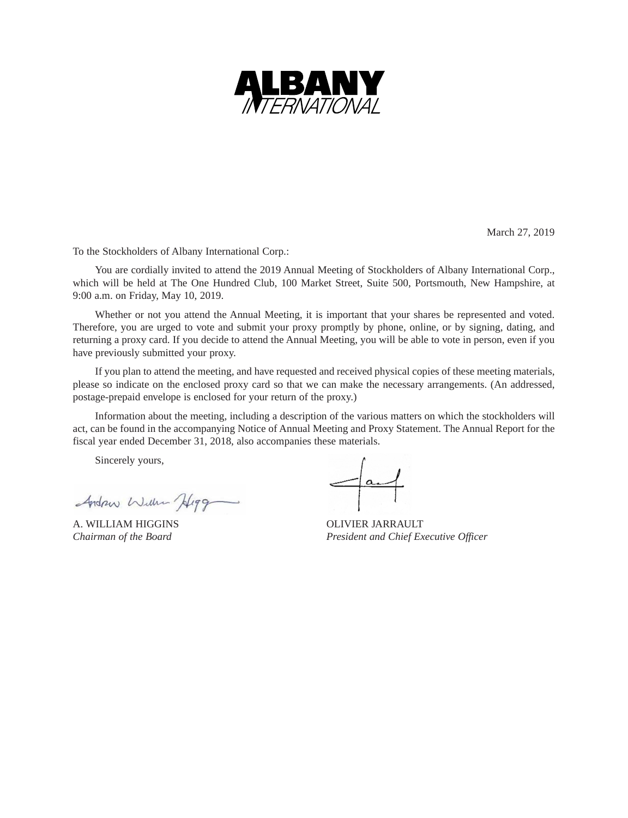

March 27, 2019

To the Stockholders of Albany International Corp.:

You are cordially invited to attend the 2019 Annual Meeting of Stockholders of Albany International Corp., which will be held at The One Hundred Club, 100 Market Street, Suite 500, Portsmouth, New Hampshire, at 9:00 a.m. on Friday, May 10, 2019.

Whether or not you attend the Annual Meeting, it is important that your shares be represented and voted. Therefore, you are urged to vote and submit your proxy promptly by phone, online, or by signing, dating, and returning a proxy card. If you decide to attend the Annual Meeting, you will be able to vote in person, even if you have previously submitted your proxy.

If you plan to attend the meeting, and have requested and received physical copies of these meeting materials, please so indicate on the enclosed proxy card so that we can make the necessary arrangements. (An addressed, postage-prepaid envelope is enclosed for your return of the proxy.)

Information about the meeting, including a description of the various matters on which the stockholders will act, can be found in the accompanying Notice of Annual Meeting and Proxy Statement. The Annual Report for the fiscal year ended December 31, 2018, also accompanies these materials.

Sincerely yours,

Andrew Wille Higg

A. WILLIAM HIGGINS OLIVIER JARRAULT

 $=$  and

*Chairman of the Board President and Chief Executive Officer*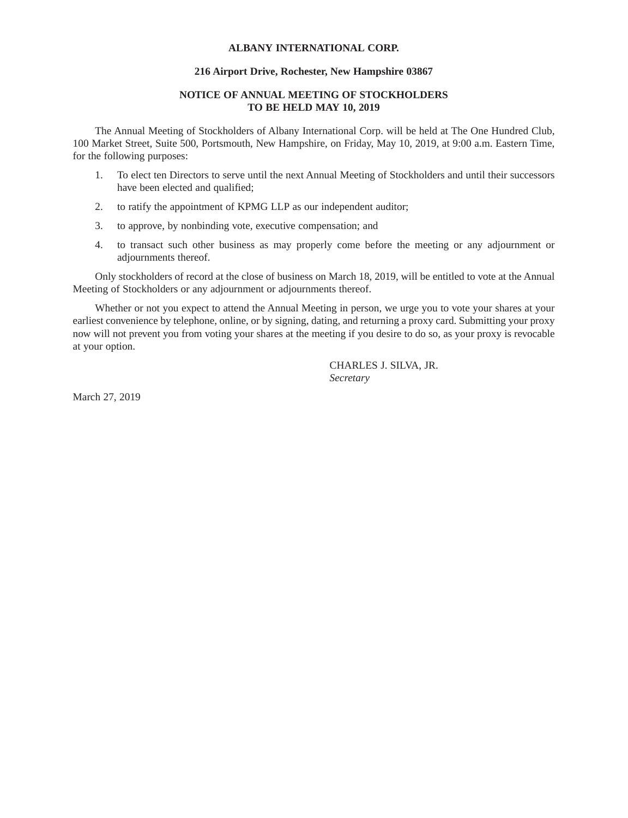# **ALBANY INTERNATIONAL CORP.**

## **216 Airport Drive, Rochester, New Hampshire 03867**

## **NOTICE OF ANNUAL MEETING OF STOCKHOLDERS TO BE HELD MAY 10, 2019**

The Annual Meeting of Stockholders of Albany International Corp. will be held at The One Hundred Club, 100 Market Street, Suite 500, Portsmouth, New Hampshire, on Friday, May 10, 2019, at 9:00 a.m. Eastern Time, for the following purposes:

- 1. To elect ten Directors to serve until the next Annual Meeting of Stockholders and until their successors have been elected and qualified;
- 2. to ratify the appointment of KPMG LLP as our independent auditor;
- 3. to approve, by nonbinding vote, executive compensation; and
- 4. to transact such other business as may properly come before the meeting or any adjournment or adjournments thereof.

Only stockholders of record at the close of business on March 18, 2019, will be entitled to vote at the Annual Meeting of Stockholders or any adjournment or adjournments thereof.

Whether or not you expect to attend the Annual Meeting in person, we urge you to vote your shares at your earliest convenience by telephone, online, or by signing, dating, and returning a proxy card. Submitting your proxy now will not prevent you from voting your shares at the meeting if you desire to do so, as your proxy is revocable at your option.

> CHARLES J. SILVA, JR. *Secretary*

March 27, 2019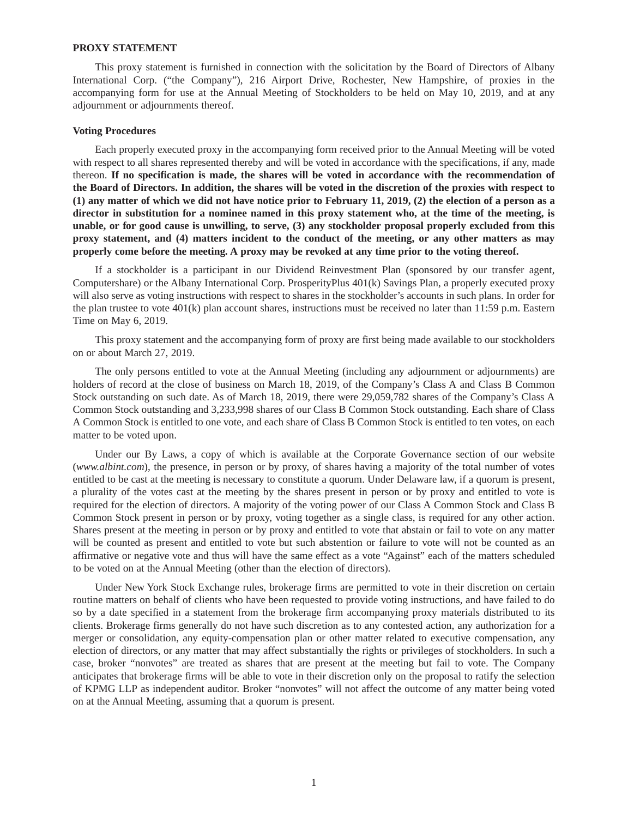#### **PROXY STATEMENT**

This proxy statement is furnished in connection with the solicitation by the Board of Directors of Albany International Corp. ("the Company"), 216 Airport Drive, Rochester, New Hampshire, of proxies in the accompanying form for use at the Annual Meeting of Stockholders to be held on May 10, 2019, and at any adjournment or adjournments thereof.

### **Voting Procedures**

Each properly executed proxy in the accompanying form received prior to the Annual Meeting will be voted with respect to all shares represented thereby and will be voted in accordance with the specifications, if any, made thereon. **If no specification is made, the shares will be voted in accordance with the recommendation of the Board of Directors. In addition, the shares will be voted in the discretion of the proxies with respect to (1) any matter of which we did not have notice prior to February 11, 2019, (2) the election of a person as a director in substitution for a nominee named in this proxy statement who, at the time of the meeting, is unable, or for good cause is unwilling, to serve, (3) any stockholder proposal properly excluded from this proxy statement, and (4) matters incident to the conduct of the meeting, or any other matters as may properly come before the meeting. A proxy may be revoked at any time prior to the voting thereof.**

If a stockholder is a participant in our Dividend Reinvestment Plan (sponsored by our transfer agent, Computershare) or the Albany International Corp. ProsperityPlus 401(k) Savings Plan, a properly executed proxy will also serve as voting instructions with respect to shares in the stockholder's accounts in such plans. In order for the plan trustee to vote 401(k) plan account shares, instructions must be received no later than 11:59 p.m. Eastern Time on May 6, 2019.

This proxy statement and the accompanying form of proxy are first being made available to our stockholders on or about March 27, 2019.

The only persons entitled to vote at the Annual Meeting (including any adjournment or adjournments) are holders of record at the close of business on March 18, 2019, of the Company's Class A and Class B Common Stock outstanding on such date. As of March 18, 2019, there were 29,059,782 shares of the Company's Class A Common Stock outstanding and 3,233,998 shares of our Class B Common Stock outstanding. Each share of Class A Common Stock is entitled to one vote, and each share of Class B Common Stock is entitled to ten votes, on each matter to be voted upon.

Under our By Laws, a copy of which is available at the Corporate Governance section of our website (*www.albint.com*), the presence, in person or by proxy, of shares having a majority of the total number of votes entitled to be cast at the meeting is necessary to constitute a quorum. Under Delaware law, if a quorum is present, a plurality of the votes cast at the meeting by the shares present in person or by proxy and entitled to vote is required for the election of directors. A majority of the voting power of our Class A Common Stock and Class B Common Stock present in person or by proxy, voting together as a single class, is required for any other action. Shares present at the meeting in person or by proxy and entitled to vote that abstain or fail to vote on any matter will be counted as present and entitled to vote but such abstention or failure to vote will not be counted as an affirmative or negative vote and thus will have the same effect as a vote "Against" each of the matters scheduled to be voted on at the Annual Meeting (other than the election of directors).

Under New York Stock Exchange rules, brokerage firms are permitted to vote in their discretion on certain routine matters on behalf of clients who have been requested to provide voting instructions, and have failed to do so by a date specified in a statement from the brokerage firm accompanying proxy materials distributed to its clients. Brokerage firms generally do not have such discretion as to any contested action, any authorization for a merger or consolidation, any equity-compensation plan or other matter related to executive compensation, any election of directors, or any matter that may affect substantially the rights or privileges of stockholders. In such a case, broker "nonvotes" are treated as shares that are present at the meeting but fail to vote. The Company anticipates that brokerage firms will be able to vote in their discretion only on the proposal to ratify the selection of KPMG LLP as independent auditor. Broker "nonvotes" will not affect the outcome of any matter being voted on at the Annual Meeting, assuming that a quorum is present.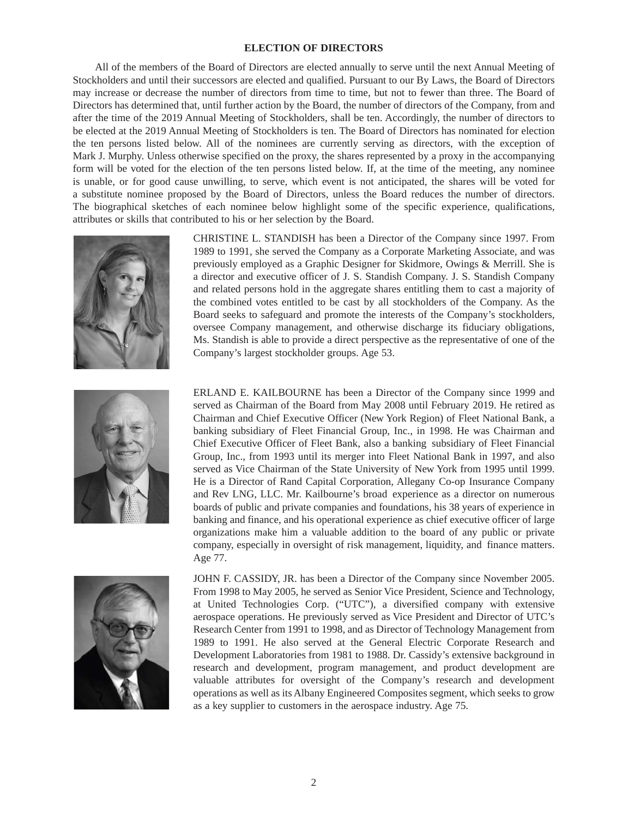### **ELECTION OF DIRECTORS**

All of the members of the Board of Directors are elected annually to serve until the next Annual Meeting of Stockholders and until their successors are elected and qualified. Pursuant to our By Laws, the Board of Directors may increase or decrease the number of directors from time to time, but not to fewer than three. The Board of Directors has determined that, until further action by the Board, the number of directors of the Company, from and after the time of the 2019 Annual Meeting of Stockholders, shall be ten. Accordingly, the number of directors to be elected at the 2019 Annual Meeting of Stockholders is ten. The Board of Directors has nominated for election the ten persons listed below. All of the nominees are currently serving as directors, with the exception of Mark J. Murphy. Unless otherwise specified on the proxy, the shares represented by a proxy in the accompanying form will be voted for the election of the ten persons listed below. If, at the time of the meeting, any nominee is unable, or for good cause unwilling, to serve, which event is not anticipated, the shares will be voted for a substitute nominee proposed by the Board of Directors, unless the Board reduces the number of directors. The biographical sketches of each nominee below highlight some of the specific experience, qualifications, attributes or skills that contributed to his or her selection by the Board.







ERLAND E. KAILBOURNE has been a Director of the Company since 1999 and served as Chairman of the Board from May 2008 until February 2019. He retired as Chairman and Chief Executive Officer (New York Region) of Fleet National Bank, a banking subsidiary of Fleet Financial Group, Inc., in 1998. He was Chairman and Chief Executive Officer of Fleet Bank, also a banking subsidiary of Fleet Financial Group, Inc., from 1993 until its merger into Fleet National Bank in 1997, and also served as Vice Chairman of the State University of New York from 1995 until 1999. He is a Director of Rand Capital Corporation, Allegany Co-op Insurance Company and Rev LNG, LLC. Mr. Kailbourne's broad experience as a director on numerous boards of public and private companies and foundations, his 38 years of experience in banking and finance, and his operational experience as chief executive officer of large organizations make him a valuable addition to the board of any public or private company, especially in oversight of risk management, liquidity, and finance matters. Age 77.



JOHN F. CASSIDY, JR. has been a Director of the Company since November 2005. From 1998 to May 2005, he served as Senior Vice President, Science and Technology, at United Technologies Corp. ("UTC"), a diversified company with extensive aerospace operations. He previously served as Vice President and Director of UTC's Research Center from 1991 to 1998, and as Director of Technology Management from 1989 to 1991. He also served at the General Electric Corporate Research and Development Laboratories from 1981 to 1988. Dr. Cassidy's extensive background in research and development, program management, and product development are valuable attributes for oversight of the Company's research and development operations as well as its Albany Engineered Composites segment, which seeks to grow as a key supplier to customers in the aerospace industry. Age 75.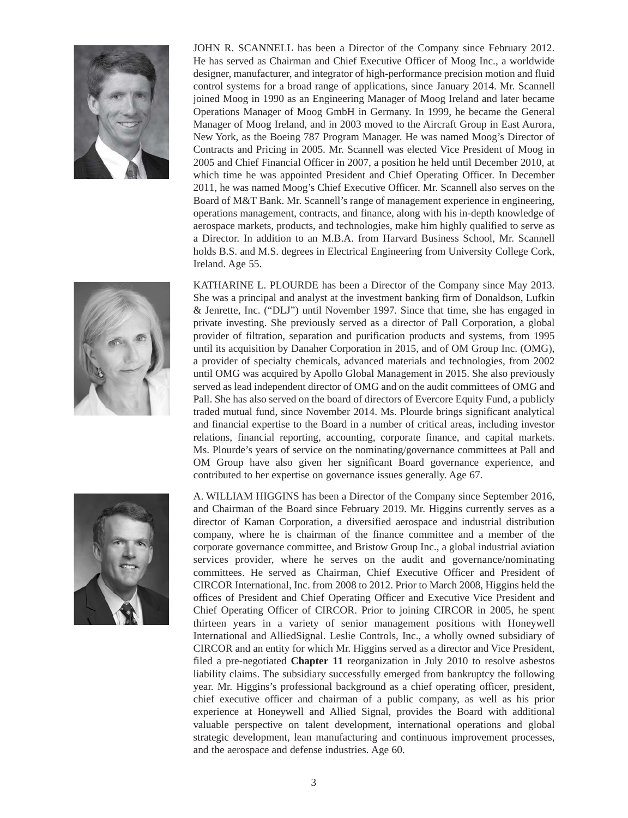

JOHN R. SCANNELL has been a Director of the Company since February 2012. He has served as Chairman and Chief Executive Officer of Moog Inc., a worldwide designer, manufacturer, and integrator of high-performance precision motion and fluid control systems for a broad range of applications, since January 2014. Mr. Scannell joined Moog in 1990 as an Engineering Manager of Moog Ireland and later became Operations Manager of Moog GmbH in Germany. In 1999, he became the General Manager of Moog Ireland, and in 2003 moved to the Aircraft Group in East Aurora, New York, as the Boeing 787 Program Manager. He was named Moog's Director of Contracts and Pricing in 2005. Mr. Scannell was elected Vice President of Moog in 2005 and Chief Financial Officer in 2007, a position he held until December 2010, at which time he was appointed President and Chief Operating Officer. In December 2011, he was named Moog's Chief Executive Officer. Mr. Scannell also serves on the Board of M&T Bank. Mr. Scannell's range of management experience in engineering, operations management, contracts, and finance, along with his in-depth knowledge of aerospace markets, products, and technologies, make him highly qualified to serve as a Director. In addition to an M.B.A. from Harvard Business School, Mr. Scannell holds B.S. and M.S. degrees in Electrical Engineering from University College Cork, Ireland. Age 55.



KATHARINE L. PLOURDE has been a Director of the Company since May 2013. She was a principal and analyst at the investment banking firm of Donaldson, Lufkin & Jenrette, Inc. ("DLJ") until November 1997. Since that time, she has engaged in private investing. She previously served as a director of Pall Corporation, a global provider of filtration, separation and purification products and systems, from 1995 until its acquisition by Danaher Corporation in 2015, and of OM Group Inc. (OMG), a provider of specialty chemicals, advanced materials and technologies, from 2002 until OMG was acquired by Apollo Global Management in 2015. She also previously served as lead independent director of OMG and on the audit committees of OMG and Pall. She has also served on the board of directors of Evercore Equity Fund, a publicly traded mutual fund, since November 2014. Ms. Plourde brings significant analytical and financial expertise to the Board in a number of critical areas, including investor relations, financial reporting, accounting, corporate finance, and capital markets. Ms. Plourde's years of service on the nominating/governance committees at Pall and OM Group have also given her significant Board governance experience, and contributed to her expertise on governance issues generally. Age 67.



A. WILLIAM HIGGINS has been a Director of the Company since September 2016, and Chairman of the Board since February 2019. Mr. Higgins currently serves as a director of Kaman Corporation, a diversified aerospace and industrial distribution company, where he is chairman of the finance committee and a member of the corporate governance committee, and Bristow Group Inc., a global industrial aviation services provider, where he serves on the audit and governance/nominating committees. He served as Chairman, Chief Executive Officer and President of CIRCOR International, Inc. from 2008 to 2012. Prior to March 2008, Higgins held the offices of President and Chief Operating Officer and Executive Vice President and Chief Operating Officer of CIRCOR. Prior to joining CIRCOR in 2005, he spent thirteen years in a variety of senior management positions with Honeywell International and AlliedSignal. Leslie Controls, Inc., a wholly owned subsidiary of CIRCOR and an entity for which Mr. Higgins served as a director and Vice President, filed a pre-negotiated **Chapter 11** reorganization in July 2010 to resolve asbestos liability claims. The subsidiary successfully emerged from bankruptcy the following year. Mr. Higgins's professional background as a chief operating officer, president, chief executive officer and chairman of a public company, as well as his prior experience at Honeywell and Allied Signal, provides the Board with additional valuable perspective on talent development, international operations and global strategic development, lean manufacturing and continuous improvement processes, and the aerospace and defense industries. Age 60.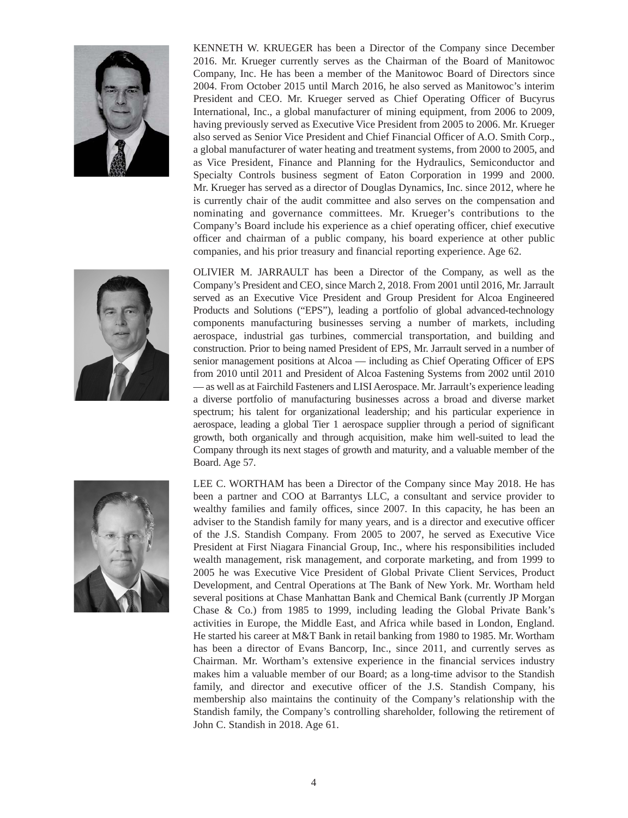

KENNETH W. KRUEGER has been a Director of the Company since December 2016. Mr. Krueger currently serves as the Chairman of the Board of Manitowoc Company, Inc. He has been a member of the Manitowoc Board of Directors since 2004. From October 2015 until March 2016, he also served as Manitowoc's interim President and CEO. Mr. Krueger served as Chief Operating Officer of Bucyrus International, Inc., a global manufacturer of mining equipment, from 2006 to 2009, having previously served as Executive Vice President from 2005 to 2006. Mr. Krueger also served as Senior Vice President and Chief Financial Officer of A.O. Smith Corp., a global manufacturer of water heating and treatment systems, from 2000 to 2005, and as Vice President, Finance and Planning for the Hydraulics, Semiconductor and Specialty Controls business segment of Eaton Corporation in 1999 and 2000. Mr. Krueger has served as a director of Douglas Dynamics, Inc. since 2012, where he is currently chair of the audit committee and also serves on the compensation and nominating and governance committees. Mr. Krueger's contributions to the Company's Board include his experience as a chief operating officer, chief executive officer and chairman of a public company, his board experience at other public companies, and his prior treasury and financial reporting experience. Age 62.



OLIVIER M. JARRAULT has been a Director of the Company, as well as the Company's President and CEO, since March 2, 2018. From 2001 until 2016, Mr. Jarrault served as an Executive Vice President and Group President for Alcoa Engineered Products and Solutions ("EPS"), leading a portfolio of global advanced-technology components manufacturing businesses serving a number of markets, including aerospace, industrial gas turbines, commercial transportation, and building and construction. Prior to being named President of EPS, Mr. Jarrault served in a number of senior management positions at Alcoa — including as Chief Operating Officer of EPS from 2010 until 2011 and President of Alcoa Fastening Systems from 2002 until 2010 — as well as at Fairchild Fasteners and LISI Aerospace. Mr. Jarrault's experience leading a diverse portfolio of manufacturing businesses across a broad and diverse market spectrum; his talent for organizational leadership; and his particular experience in aerospace, leading a global Tier 1 aerospace supplier through a period of significant growth, both organically and through acquisition, make him well-suited to lead the Company through its next stages of growth and maturity, and a valuable member of the Board. Age 57.



LEE C. WORTHAM has been a Director of the Company since May 2018. He has been a partner and COO at Barrantys LLC, a consultant and service provider to wealthy families and family offices, since 2007. In this capacity, he has been an adviser to the Standish family for many years, and is a director and executive officer of the J.S. Standish Company. From 2005 to 2007, he served as Executive Vice President at First Niagara Financial Group, Inc., where his responsibilities included wealth management, risk management, and corporate marketing, and from 1999 to 2005 he was Executive Vice President of Global Private Client Services, Product Development, and Central Operations at The Bank of New York. Mr. Wortham held several positions at Chase Manhattan Bank and Chemical Bank (currently JP Morgan Chase & Co.) from 1985 to 1999, including leading the Global Private Bank's activities in Europe, the Middle East, and Africa while based in London, England. He started his career at M&T Bank in retail banking from 1980 to 1985. Mr. Wortham has been a director of Evans Bancorp, Inc., since 2011, and currently serves as Chairman. Mr. Wortham's extensive experience in the financial services industry makes him a valuable member of our Board; as a long-time advisor to the Standish family, and director and executive officer of the J.S. Standish Company, his membership also maintains the continuity of the Company's relationship with the Standish family, the Company's controlling shareholder, following the retirement of John C. Standish in 2018. Age 61.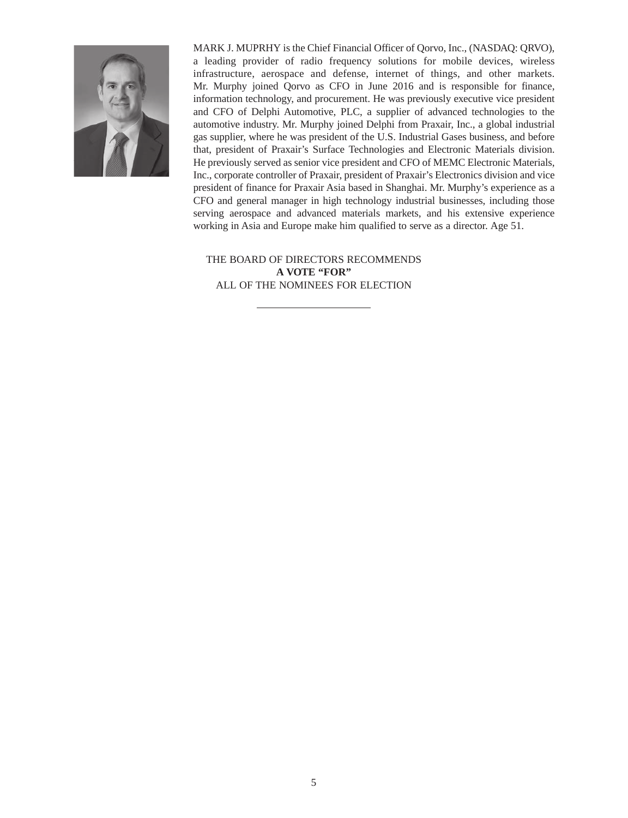

MARK J. MUPRHY is the Chief Financial Officer of Qorvo, Inc., (NASDAQ: QRVO), a leading provider of radio frequency solutions for mobile devices, wireless infrastructure, aerospace and defense, internet of things, and other markets. Mr. Murphy joined Qorvo as CFO in June 2016 and is responsible for finance, information technology, and procurement. He was previously executive vice president and CFO of Delphi Automotive, PLC, a supplier of advanced technologies to the automotive industry. Mr. Murphy joined Delphi from Praxair, Inc., a global industrial gas supplier, where he was president of the U.S. Industrial Gases business, and before that, president of Praxair's Surface Technologies and Electronic Materials division. He previously served as senior vice president and CFO of MEMC Electronic Materials, Inc., corporate controller of Praxair, president of Praxair's Electronics division and vice president of finance for Praxair Asia based in Shanghai. Mr. Murphy's experience as a CFO and general manager in high technology industrial businesses, including those serving aerospace and advanced materials markets, and his extensive experience working in Asia and Europe make him qualified to serve as a director. Age 51.

THE BOARD OF DIRECTORS RECOMMENDS **A VOTE "FOR"** ALL OF THE NOMINEES FOR ELECTION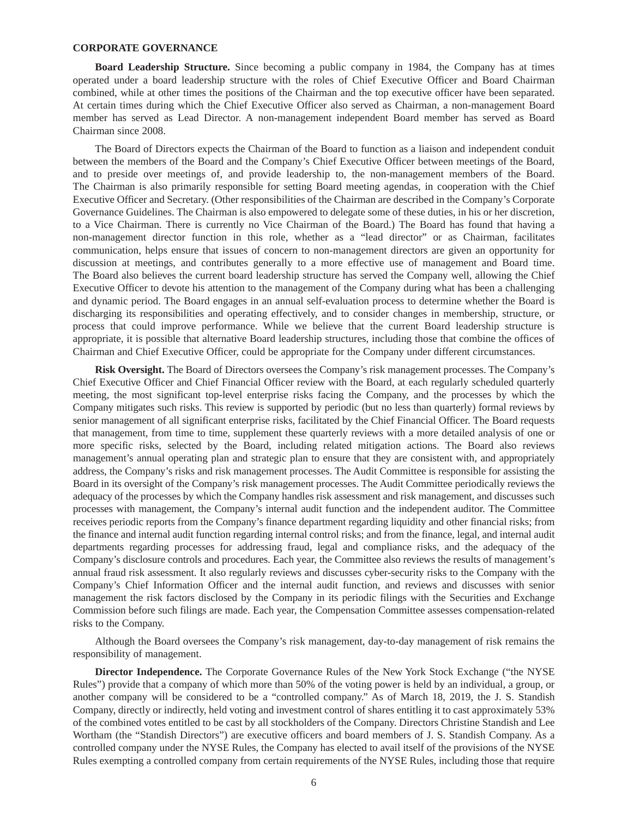#### **CORPORATE GOVERNANCE**

**Board Leadership Structure.** Since becoming a public company in 1984, the Company has at times operated under a board leadership structure with the roles of Chief Executive Officer and Board Chairman combined, while at other times the positions of the Chairman and the top executive officer have been separated. At certain times during which the Chief Executive Officer also served as Chairman, a non-management Board member has served as Lead Director. A non-management independent Board member has served as Board Chairman since 2008.

The Board of Directors expects the Chairman of the Board to function as a liaison and independent conduit between the members of the Board and the Company's Chief Executive Officer between meetings of the Board, and to preside over meetings of, and provide leadership to, the non-management members of the Board. The Chairman is also primarily responsible for setting Board meeting agendas, in cooperation with the Chief Executive Officer and Secretary. (Other responsibilities of the Chairman are described in the Company's Corporate Governance Guidelines. The Chairman is also empowered to delegate some of these duties, in his or her discretion, to a Vice Chairman. There is currently no Vice Chairman of the Board.) The Board has found that having a non-management director function in this role, whether as a "lead director" or as Chairman, facilitates communication, helps ensure that issues of concern to non-management directors are given an opportunity for discussion at meetings, and contributes generally to a more effective use of management and Board time. The Board also believes the current board leadership structure has served the Company well, allowing the Chief Executive Officer to devote his attention to the management of the Company during what has been a challenging and dynamic period. The Board engages in an annual self-evaluation process to determine whether the Board is discharging its responsibilities and operating effectively, and to consider changes in membership, structure, or process that could improve performance. While we believe that the current Board leadership structure is appropriate, it is possible that alternative Board leadership structures, including those that combine the offices of Chairman and Chief Executive Officer, could be appropriate for the Company under different circumstances.

**Risk Oversight.** The Board of Directors oversees the Company's risk management processes. The Company's Chief Executive Officer and Chief Financial Officer review with the Board, at each regularly scheduled quarterly meeting, the most significant top-level enterprise risks facing the Company, and the processes by which the Company mitigates such risks. This review is supported by periodic (but no less than quarterly) formal reviews by senior management of all significant enterprise risks, facilitated by the Chief Financial Officer. The Board requests that management, from time to time, supplement these quarterly reviews with a more detailed analysis of one or more specific risks, selected by the Board, including related mitigation actions. The Board also reviews management's annual operating plan and strategic plan to ensure that they are consistent with, and appropriately address, the Company's risks and risk management processes. The Audit Committee is responsible for assisting the Board in its oversight of the Company's risk management processes. The Audit Committee periodically reviews the adequacy of the processes by which the Company handles risk assessment and risk management, and discusses such processes with management, the Company's internal audit function and the independent auditor. The Committee receives periodic reports from the Company's finance department regarding liquidity and other financial risks; from the finance and internal audit function regarding internal control risks; and from the finance, legal, and internal audit departments regarding processes for addressing fraud, legal and compliance risks, and the adequacy of the Company's disclosure controls and procedures. Each year, the Committee also reviews the results of management's annual fraud risk assessment. It also regularly reviews and discusses cyber-security risks to the Company with the Company's Chief Information Officer and the internal audit function, and reviews and discusses with senior management the risk factors disclosed by the Company in its periodic filings with the Securities and Exchange Commission before such filings are made. Each year, the Compensation Committee assesses compensation-related risks to the Company.

Although the Board oversees the Company's risk management, day-to-day management of risk remains the responsibility of management.

**Director Independence.** The Corporate Governance Rules of the New York Stock Exchange ("the NYSE Rules") provide that a company of which more than 50% of the voting power is held by an individual, a group, or another company will be considered to be a "controlled company." As of March 18, 2019, the J. S. Standish Company, directly or indirectly, held voting and investment control of shares entitling it to cast approximately 53% of the combined votes entitled to be cast by all stockholders of the Company. Directors Christine Standish and Lee Wortham (the "Standish Directors") are executive officers and board members of J. S. Standish Company. As a controlled company under the NYSE Rules, the Company has elected to avail itself of the provisions of the NYSE Rules exempting a controlled company from certain requirements of the NYSE Rules, including those that require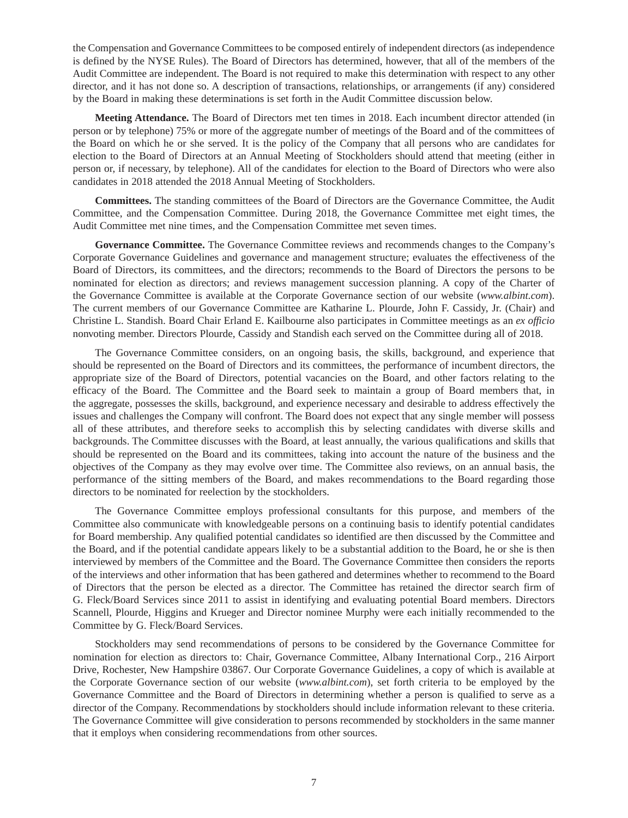the Compensation and Governance Committees to be composed entirely of independent directors (as independence is defined by the NYSE Rules). The Board of Directors has determined, however, that all of the members of the Audit Committee are independent. The Board is not required to make this determination with respect to any other director, and it has not done so. A description of transactions, relationships, or arrangements (if any) considered by the Board in making these determinations is set forth in the Audit Committee discussion below.

**Meeting Attendance.** The Board of Directors met ten times in 2018. Each incumbent director attended (in person or by telephone) 75% or more of the aggregate number of meetings of the Board and of the committees of the Board on which he or she served. It is the policy of the Company that all persons who are candidates for election to the Board of Directors at an Annual Meeting of Stockholders should attend that meeting (either in person or, if necessary, by telephone). All of the candidates for election to the Board of Directors who were also candidates in 2018 attended the 2018 Annual Meeting of Stockholders.

**Committees.** The standing committees of the Board of Directors are the Governance Committee, the Audit Committee, and the Compensation Committee. During 2018, the Governance Committee met eight times, the Audit Committee met nine times, and the Compensation Committee met seven times.

**Governance Committee.** The Governance Committee reviews and recommends changes to the Company's Corporate Governance Guidelines and governance and management structure; evaluates the effectiveness of the Board of Directors, its committees, and the directors; recommends to the Board of Directors the persons to be nominated for election as directors; and reviews management succession planning. A copy of the Charter of the Governance Committee is available at the Corporate Governance section of our website (*www.albint.com*). The current members of our Governance Committee are Katharine L. Plourde, John F. Cassidy, Jr. (Chair) and Christine L. Standish. Board Chair Erland E. Kailbourne also participates in Committee meetings as an *ex officio* nonvoting member. Directors Plourde, Cassidy and Standish each served on the Committee during all of 2018.

The Governance Committee considers, on an ongoing basis, the skills, background, and experience that should be represented on the Board of Directors and its committees, the performance of incumbent directors, the appropriate size of the Board of Directors, potential vacancies on the Board, and other factors relating to the efficacy of the Board. The Committee and the Board seek to maintain a group of Board members that, in the aggregate, possesses the skills, background, and experience necessary and desirable to address effectively the issues and challenges the Company will confront. The Board does not expect that any single member will possess all of these attributes, and therefore seeks to accomplish this by selecting candidates with diverse skills and backgrounds. The Committee discusses with the Board, at least annually, the various qualifications and skills that should be represented on the Board and its committees, taking into account the nature of the business and the objectives of the Company as they may evolve over time. The Committee also reviews, on an annual basis, the performance of the sitting members of the Board, and makes recommendations to the Board regarding those directors to be nominated for reelection by the stockholders.

The Governance Committee employs professional consultants for this purpose, and members of the Committee also communicate with knowledgeable persons on a continuing basis to identify potential candidates for Board membership. Any qualified potential candidates so identified are then discussed by the Committee and the Board, and if the potential candidate appears likely to be a substantial addition to the Board, he or she is then interviewed by members of the Committee and the Board. The Governance Committee then considers the reports of the interviews and other information that has been gathered and determines whether to recommend to the Board of Directors that the person be elected as a director. The Committee has retained the director search firm of G. Fleck/Board Services since 2011 to assist in identifying and evaluating potential Board members. Directors Scannell, Plourde, Higgins and Krueger and Director nominee Murphy were each initially recommended to the Committee by G. Fleck/Board Services.

Stockholders may send recommendations of persons to be considered by the Governance Committee for nomination for election as directors to: Chair, Governance Committee, Albany International Corp., 216 Airport Drive, Rochester, New Hampshire 03867. Our Corporate Governance Guidelines, a copy of which is available at the Corporate Governance section of our website (*www.albint.com*), set forth criteria to be employed by the Governance Committee and the Board of Directors in determining whether a person is qualified to serve as a director of the Company. Recommendations by stockholders should include information relevant to these criteria. The Governance Committee will give consideration to persons recommended by stockholders in the same manner that it employs when considering recommendations from other sources.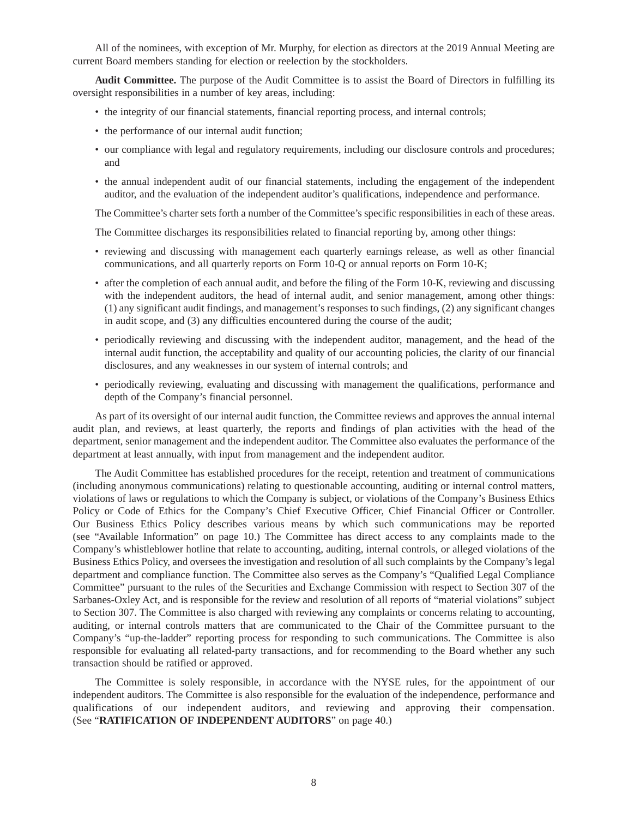All of the nominees, with exception of Mr. Murphy, for election as directors at the 2019 Annual Meeting are current Board members standing for election or reelection by the stockholders.

**Audit Committee.** The purpose of the Audit Committee is to assist the Board of Directors in fulfilling its oversight responsibilities in a number of key areas, including:

- the integrity of our financial statements, financial reporting process, and internal controls;
- the performance of our internal audit function;
- our compliance with legal and regulatory requirements, including our disclosure controls and procedures; and
- the annual independent audit of our financial statements, including the engagement of the independent auditor, and the evaluation of the independent auditor's qualifications, independence and performance.

The Committee's charter sets forth a number of the Committee's specific responsibilities in each of these areas.

The Committee discharges its responsibilities related to financial reporting by, among other things:

- reviewing and discussing with management each quarterly earnings release, as well as other financial communications, and all quarterly reports on Form 10-Q or annual reports on Form 10-K;
- after the completion of each annual audit, and before the filing of the Form 10-K, reviewing and discussing with the independent auditors, the head of internal audit, and senior management, among other things: (1) any significant audit findings, and management's responses to such findings, (2) any significant changes in audit scope, and (3) any difficulties encountered during the course of the audit;
- periodically reviewing and discussing with the independent auditor, management, and the head of the internal audit function, the acceptability and quality of our accounting policies, the clarity of our financial disclosures, and any weaknesses in our system of internal controls; and
- periodically reviewing, evaluating and discussing with management the qualifications, performance and depth of the Company's financial personnel.

As part of its oversight of our internal audit function, the Committee reviews and approves the annual internal audit plan, and reviews, at least quarterly, the reports and findings of plan activities with the head of the department, senior management and the independent auditor. The Committee also evaluates the performance of the department at least annually, with input from management and the independent auditor.

The Audit Committee has established procedures for the receipt, retention and treatment of communications (including anonymous communications) relating to questionable accounting, auditing or internal control matters, violations of laws or regulations to which the Company is subject, or violations of the Company's Business Ethics Policy or Code of Ethics for the Company's Chief Executive Officer, Chief Financial Officer or Controller. Our Business Ethics Policy describes various means by which such communications may be reported (see "Available Information" on page 10.) The Committee has direct access to any complaints made to the Company's whistleblower hotline that relate to accounting, auditing, internal controls, or alleged violations of the Business Ethics Policy, and oversees the investigation and resolution of all such complaints by the Company's legal department and compliance function. The Committee also serves as the Company's "Qualified Legal Compliance Committee" pursuant to the rules of the Securities and Exchange Commission with respect to Section 307 of the Sarbanes-Oxley Act, and is responsible for the review and resolution of all reports of "material violations" subject to Section 307. The Committee is also charged with reviewing any complaints or concerns relating to accounting, auditing, or internal controls matters that are communicated to the Chair of the Committee pursuant to the Company's "up-the-ladder" reporting process for responding to such communications. The Committee is also responsible for evaluating all related-party transactions, and for recommending to the Board whether any such transaction should be ratified or approved.

The Committee is solely responsible, in accordance with the NYSE rules, for the appointment of our independent auditors. The Committee is also responsible for the evaluation of the independence, performance and qualifications of our independent auditors, and reviewing and approving their compensation. (See "**RATIFICATION OF INDEPENDENT AUDITORS**" on page 40.)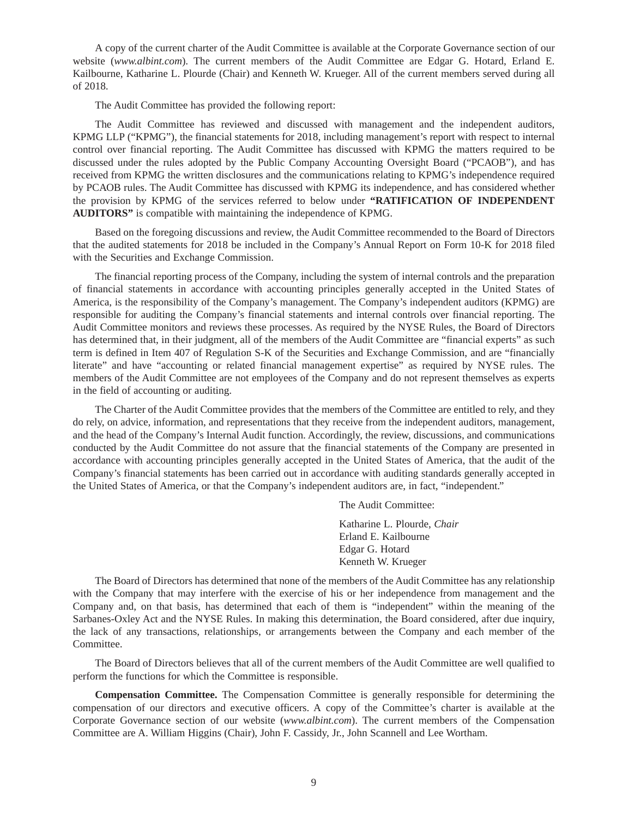A copy of the current charter of the Audit Committee is available at the Corporate Governance section of our website (*www.albint.com*). The current members of the Audit Committee are Edgar G. Hotard, Erland E. Kailbourne, Katharine L. Plourde (Chair) and Kenneth W. Krueger. All of the current members served during all of 2018.

The Audit Committee has provided the following report:

The Audit Committee has reviewed and discussed with management and the independent auditors, KPMG LLP ("KPMG"), the financial statements for 2018, including management's report with respect to internal control over financial reporting. The Audit Committee has discussed with KPMG the matters required to be discussed under the rules adopted by the Public Company Accounting Oversight Board ("PCAOB"), and has received from KPMG the written disclosures and the communications relating to KPMG's independence required by PCAOB rules. The Audit Committee has discussed with KPMG its independence, and has considered whether the provision by KPMG of the services referred to below under **"RATIFICATION OF INDEPENDENT AUDITORS"** is compatible with maintaining the independence of KPMG.

Based on the foregoing discussions and review, the Audit Committee recommended to the Board of Directors that the audited statements for 2018 be included in the Company's Annual Report on Form 10-K for 2018 filed with the Securities and Exchange Commission.

The financial reporting process of the Company, including the system of internal controls and the preparation of financial statements in accordance with accounting principles generally accepted in the United States of America, is the responsibility of the Company's management. The Company's independent auditors (KPMG) are responsible for auditing the Company's financial statements and internal controls over financial reporting. The Audit Committee monitors and reviews these processes. As required by the NYSE Rules, the Board of Directors has determined that, in their judgment, all of the members of the Audit Committee are "financial experts" as such term is defined in Item 407 of Regulation S-K of the Securities and Exchange Commission, and are "financially literate" and have "accounting or related financial management expertise" as required by NYSE rules. The members of the Audit Committee are not employees of the Company and do not represent themselves as experts in the field of accounting or auditing.

The Charter of the Audit Committee provides that the members of the Committee are entitled to rely, and they do rely, on advice, information, and representations that they receive from the independent auditors, management, and the head of the Company's Internal Audit function. Accordingly, the review, discussions, and communications conducted by the Audit Committee do not assure that the financial statements of the Company are presented in accordance with accounting principles generally accepted in the United States of America, that the audit of the Company's financial statements has been carried out in accordance with auditing standards generally accepted in the United States of America, or that the Company's independent auditors are, in fact, "independent."

The Audit Committee:

Katharine L. Plourde, *Chair*  Erland E. Kailbourne Edgar G. Hotard Kenneth W. Krueger

The Board of Directors has determined that none of the members of the Audit Committee has any relationship with the Company that may interfere with the exercise of his or her independence from management and the Company and, on that basis, has determined that each of them is "independent" within the meaning of the Sarbanes-Oxley Act and the NYSE Rules. In making this determination, the Board considered, after due inquiry, the lack of any transactions, relationships, or arrangements between the Company and each member of the Committee.

The Board of Directors believes that all of the current members of the Audit Committee are well qualified to perform the functions for which the Committee is responsible.

**Compensation Committee.** The Compensation Committee is generally responsible for determining the compensation of our directors and executive officers. A copy of the Committee's charter is available at the Corporate Governance section of our website (*www.albint.com*). The current members of the Compensation Committee are A. William Higgins (Chair), John F. Cassidy, Jr., John Scannell and Lee Wortham.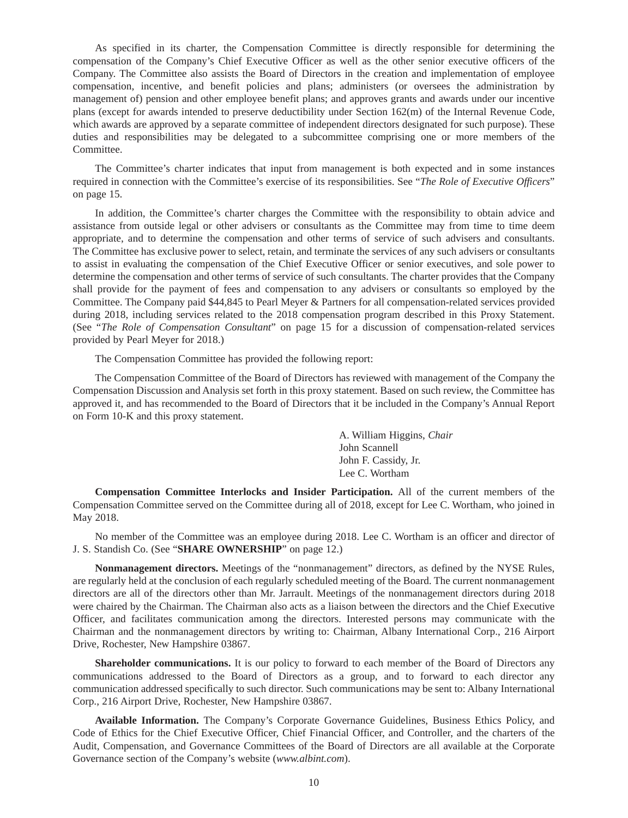As specified in its charter, the Compensation Committee is directly responsible for determining the compensation of the Company's Chief Executive Officer as well as the other senior executive officers of the Company. The Committee also assists the Board of Directors in the creation and implementation of employee compensation, incentive, and benefit policies and plans; administers (or oversees the administration by management of) pension and other employee benefit plans; and approves grants and awards under our incentive plans (except for awards intended to preserve deductibility under Section 162(m) of the Internal Revenue Code, which awards are approved by a separate committee of independent directors designated for such purpose). These duties and responsibilities may be delegated to a subcommittee comprising one or more members of the Committee.

The Committee's charter indicates that input from management is both expected and in some instances required in connection with the Committee's exercise of its responsibilities. See "*The Role of Executive Officers*" on page 15.

In addition, the Committee's charter charges the Committee with the responsibility to obtain advice and assistance from outside legal or other advisers or consultants as the Committee may from time to time deem appropriate, and to determine the compensation and other terms of service of such advisers and consultants. The Committee has exclusive power to select, retain, and terminate the services of any such advisers or consultants to assist in evaluating the compensation of the Chief Executive Officer or senior executives, and sole power to determine the compensation and other terms of service of such consultants. The charter provides that the Company shall provide for the payment of fees and compensation to any advisers or consultants so employed by the Committee. The Company paid \$44,845 to Pearl Meyer & Partners for all compensation-related services provided during 2018, including services related to the 2018 compensation program described in this Proxy Statement. (See "*The Role of Compensation Consultant*" on page 15 for a discussion of compensation-related services provided by Pearl Meyer for 2018.)

The Compensation Committee has provided the following report:

The Compensation Committee of the Board of Directors has reviewed with management of the Company the Compensation Discussion and Analysis set forth in this proxy statement. Based on such review, the Committee has approved it, and has recommended to the Board of Directors that it be included in the Company's Annual Report on Form 10-K and this proxy statement.

> A. William Higgins, *Chair*  John Scannell John F. Cassidy, Jr. Lee C. Wortham

**Compensation Committee Interlocks and Insider Participation.** All of the current members of the Compensation Committee served on the Committee during all of 2018, except for Lee C. Wortham, who joined in May 2018.

No member of the Committee was an employee during 2018. Lee C. Wortham is an officer and director of J. S. Standish Co. (See "**SHARE OWNERSHIP**" on page 12.)

**Nonmanagement directors.** Meetings of the "nonmanagement" directors, as defined by the NYSE Rules, are regularly held at the conclusion of each regularly scheduled meeting of the Board. The current nonmanagement directors are all of the directors other than Mr. Jarrault. Meetings of the nonmanagement directors during 2018 were chaired by the Chairman. The Chairman also acts as a liaison between the directors and the Chief Executive Officer, and facilitates communication among the directors. Interested persons may communicate with the Chairman and the nonmanagement directors by writing to: Chairman, Albany International Corp., 216 Airport Drive, Rochester, New Hampshire 03867.

**Shareholder communications.** It is our policy to forward to each member of the Board of Directors any communications addressed to the Board of Directors as a group, and to forward to each director any communication addressed specifically to such director. Such communications may be sent to: Albany International Corp., 216 Airport Drive, Rochester, New Hampshire 03867.

**Available Information.** The Company's Corporate Governance Guidelines, Business Ethics Policy, and Code of Ethics for the Chief Executive Officer, Chief Financial Officer, and Controller, and the charters of the Audit, Compensation, and Governance Committees of the Board of Directors are all available at the Corporate Governance section of the Company's website (*www.albint.com*).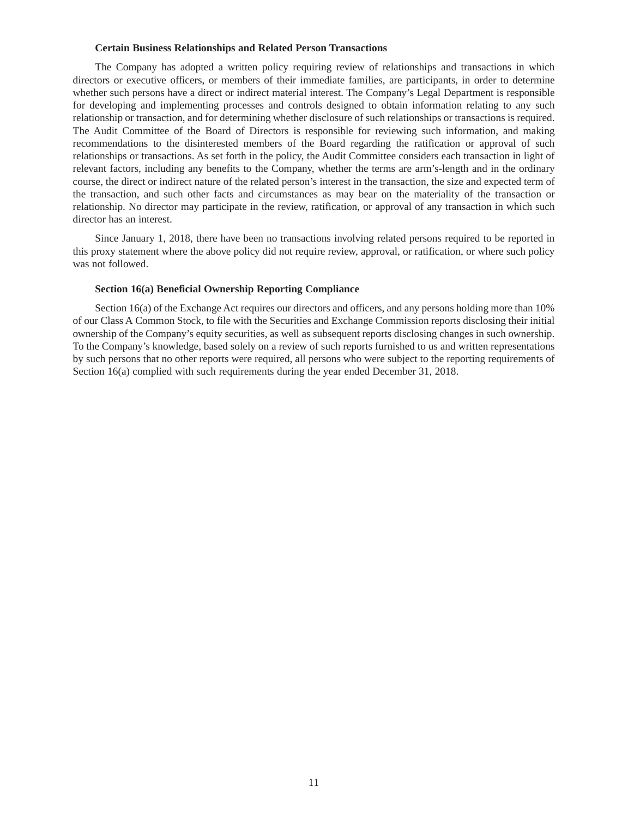#### **Certain Business Relationships and Related Person Transactions**

The Company has adopted a written policy requiring review of relationships and transactions in which directors or executive officers, or members of their immediate families, are participants, in order to determine whether such persons have a direct or indirect material interest. The Company's Legal Department is responsible for developing and implementing processes and controls designed to obtain information relating to any such relationship or transaction, and for determining whether disclosure of such relationships or transactions is required. The Audit Committee of the Board of Directors is responsible for reviewing such information, and making recommendations to the disinterested members of the Board regarding the ratification or approval of such relationships or transactions. As set forth in the policy, the Audit Committee considers each transaction in light of relevant factors, including any benefits to the Company, whether the terms are arm's-length and in the ordinary course, the direct or indirect nature of the related person's interest in the transaction, the size and expected term of the transaction, and such other facts and circumstances as may bear on the materiality of the transaction or relationship. No director may participate in the review, ratification, or approval of any transaction in which such director has an interest.

Since January 1, 2018, there have been no transactions involving related persons required to be reported in this proxy statement where the above policy did not require review, approval, or ratification, or where such policy was not followed.

### **Section 16(a) Beneficial Ownership Reporting Compliance**

Section 16(a) of the Exchange Act requires our directors and officers, and any persons holding more than 10% of our Class A Common Stock, to file with the Securities and Exchange Commission reports disclosing their initial ownership of the Company's equity securities, as well as subsequent reports disclosing changes in such ownership. To the Company's knowledge, based solely on a review of such reports furnished to us and written representations by such persons that no other reports were required, all persons who were subject to the reporting requirements of Section 16(a) complied with such requirements during the year ended December 31, 2018.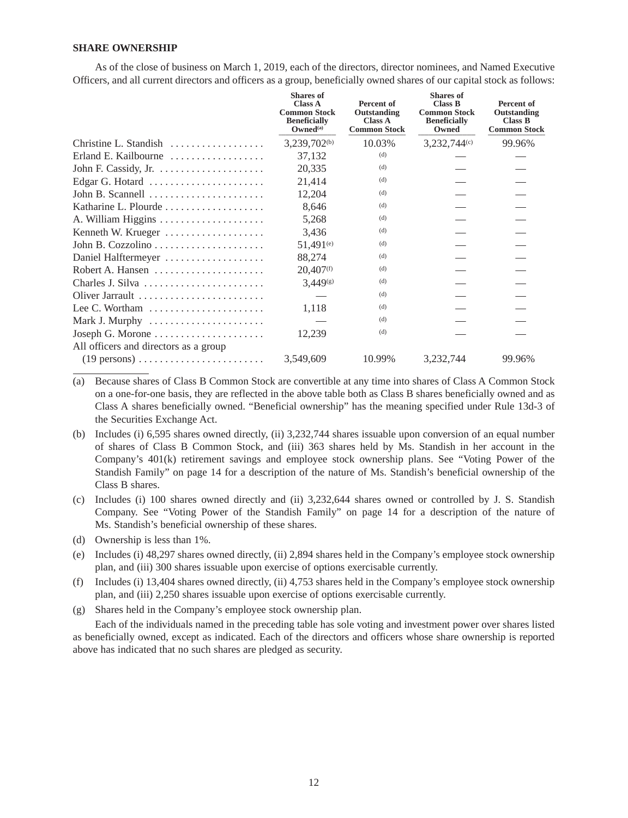## **SHARE OWNERSHIP**

As of the close of business on March 1, 2019, each of the directors, director nominees, and Named Executive Officers, and all current directors and officers as a group, beneficially owned shares of our capital stock as follows:

|                                                                  | <b>Shares</b> of<br><b>Class A</b><br><b>Common Stock</b><br><b>Beneficially</b><br>Qwned <sup>(a)</sup> | Percent of<br>Outstanding<br><b>Class A</b><br><b>Common Stock</b> | <b>Shares</b> of<br><b>Class B</b><br><b>Common Stock</b><br><b>Beneficially</b><br>Owned | Percent of<br>Outstanding<br><b>Class B</b><br><b>Common Stock</b> |
|------------------------------------------------------------------|----------------------------------------------------------------------------------------------------------|--------------------------------------------------------------------|-------------------------------------------------------------------------------------------|--------------------------------------------------------------------|
| Christine L. Standish                                            | $3,239,702^{(b)}$                                                                                        | 10.03%                                                             | 3,232,744 <sup>(c)</sup>                                                                  | 99.96%                                                             |
| Erland E. Kailbourne                                             | 37,132                                                                                                   | (d)                                                                |                                                                                           |                                                                    |
| John F. Cassidy, Jr. $\dots \dots \dots \dots \dots$             | 20,335                                                                                                   | (d)                                                                |                                                                                           |                                                                    |
| Edgar G. Hotard                                                  | 21,414                                                                                                   | (d)                                                                |                                                                                           |                                                                    |
| John B. Scannell                                                 | 12,204                                                                                                   | (d)                                                                |                                                                                           |                                                                    |
|                                                                  | 8,646                                                                                                    | (d)                                                                |                                                                                           |                                                                    |
|                                                                  | 5,268                                                                                                    | (d)                                                                |                                                                                           |                                                                    |
| Kenneth W. Krueger                                               | 3,436                                                                                                    | (d)                                                                |                                                                                           |                                                                    |
|                                                                  | $51.491^{(e)}$                                                                                           | (d)                                                                |                                                                                           |                                                                    |
| Daniel Halftermeyer                                              | 88,274                                                                                                   | (d)                                                                |                                                                                           |                                                                    |
|                                                                  | 20,407 <sup>(f)</sup>                                                                                    | (d)                                                                |                                                                                           |                                                                    |
| Charles J. Silva                                                 | $3.449$ <sup>(g)</sup>                                                                                   | (d)                                                                |                                                                                           |                                                                    |
| Oliver Jarrault                                                  |                                                                                                          | (d)                                                                |                                                                                           |                                                                    |
| Lee C. Wortham $\dots\dots\dots\dots\dots\dots\dots\dots$        | 1,118                                                                                                    | (d)                                                                |                                                                                           |                                                                    |
|                                                                  |                                                                                                          | (d)                                                                |                                                                                           |                                                                    |
|                                                                  | 12,239                                                                                                   | (d)                                                                |                                                                                           |                                                                    |
| All officers and directors as a group                            |                                                                                                          |                                                                    |                                                                                           |                                                                    |
| $(19 \text{ persons}) \dots \dots \dots \dots \dots \dots \dots$ | 3,549,609                                                                                                | 10.99%                                                             | 3,232,744                                                                                 | 99.96%                                                             |

- (a) Because shares of Class B Common Stock are convertible at any time into shares of Class A Common Stock on a one-for-one basis, they are reflected in the above table both as Class B shares beneficially owned and as Class A shares beneficially owned. "Beneficial ownership" has the meaning specified under Rule 13d-3 of the Securities Exchange Act.
- (b) Includes (i) 6,595 shares owned directly, (ii) 3,232,744 shares issuable upon conversion of an equal number of shares of Class B Common Stock, and (iii) 363 shares held by Ms. Standish in her account in the Company's 401(k) retirement savings and employee stock ownership plans. See "Voting Power of the Standish Family" on page 14 for a description of the nature of Ms. Standish's beneficial ownership of the Class B shares.
- (c) Includes (i) 100 shares owned directly and (ii) 3,232,644 shares owned or controlled by J. S. Standish Company. See "Voting Power of the Standish Family" on page 14 for a description of the nature of Ms. Standish's beneficial ownership of these shares.
- (d) Ownership is less than 1%.
- (e) Includes (i) 48,297 shares owned directly, (ii) 2,894 shares held in the Company's employee stock ownership plan, and (iii) 300 shares issuable upon exercise of options exercisable currently.
- (f) Includes (i) 13,404 shares owned directly, (ii) 4,753 shares held in the Company's employee stock ownership plan, and (iii) 2,250 shares issuable upon exercise of options exercisable currently.
- (g) Shares held in the Company's employee stock ownership plan.

Each of the individuals named in the preceding table has sole voting and investment power over shares listed as beneficially owned, except as indicated. Each of the directors and officers whose share ownership is reported above has indicated that no such shares are pledged as security.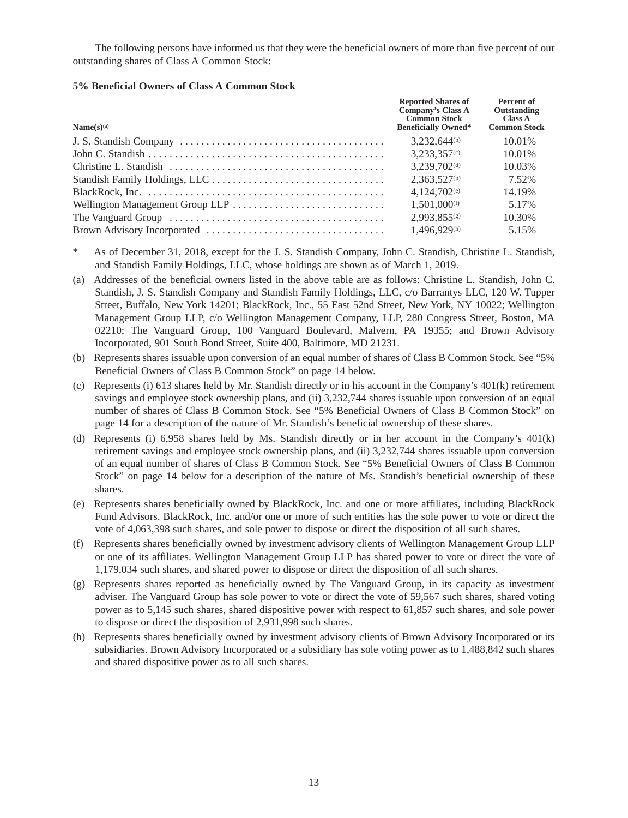The following persons have informed us that they were the beneficial owners of more than five percent of our outstanding shares of Class A Common Stock:

## **5% Beneficial Owners of Class A Common Stock**

| Name(s) <sup>(a)</sup>                                                                                       | <b>Reported Shares of</b><br>Company's Class A<br><b>Common Stock</b><br><b>Beneficially Owned*</b> | Percent of<br>Outstanding<br>Class A<br><b>Common Stock</b> |
|--------------------------------------------------------------------------------------------------------------|-----------------------------------------------------------------------------------------------------|-------------------------------------------------------------|
|                                                                                                              | $3.232.644^{(b)}$                                                                                   | 10.01%                                                      |
|                                                                                                              | $3,233,357$ <sup>(c)</sup>                                                                          | 10.01%                                                      |
|                                                                                                              | $3,239,702^{(d)}$                                                                                   | 10.03%                                                      |
|                                                                                                              | $2,363,527^{(b)}$                                                                                   | 7.52%                                                       |
| BlackRock, Inc. $\ldots \ldots \ldots \ldots \ldots \ldots \ldots \ldots \ldots \ldots \ldots \ldots \ldots$ | $4,124,702$ <sup>(e)</sup>                                                                          | 14.19%                                                      |
|                                                                                                              | $1.501,000^{(f)}$                                                                                   | 5.17%                                                       |
|                                                                                                              | $2.993.855$ (g)                                                                                     | 10.30%                                                      |
|                                                                                                              | 1,496,929 <sup>(h)</sup>                                                                            | 5.15%                                                       |

As of December 31, 2018, except for the J. S. Standish Company, John C. Standish, Christine L. Standish, and Standish Family Holdings, LLC, whose holdings are shown as of March 1, 2019.

- (a) Addresses of the beneficial owners listed in the above table are as follows: Christine L. Standish, John C. Standish, J. S. Standish Company and Standish Family Holdings, LLC, c/o Barrantys LLC, 120 W. Tupper Street, Buffalo, New York 14201; BlackRock, Inc., 55 East 52nd Street, New York, NY 10022; Wellington Management Group LLP, c/o Wellington Management Company, LLP, 280 Congress Street, Boston, MA 02210; The Vanguard Group, 100 Vanguard Boulevard, Malvern, PA 19355; and Brown Advisory Incorporated, 901 South Bond Street, Suite 400, Baltimore, MD 21231.
- (b) Represents shares issuable upon conversion of an equal number of shares of Class B Common Stock. See "5% Beneficial Owners of Class B Common Stock" on page 14 below.
- (c) Represents (i) 613 shares held by Mr. Standish directly or in his account in the Company's 401(k) retirement savings and employee stock ownership plans, and (ii) 3,232,744 shares issuable upon conversion of an equal number of shares of Class B Common Stock. See "5% Beneficial Owners of Class B Common Stock" on page 14 for a description of the nature of Mr. Standish's beneficial ownership of these shares.
- (d) Represents (i) 6,958 shares held by Ms. Standish directly or in her account in the Company's 401(k) retirement savings and employee stock ownership plans, and (ii) 3,232,744 shares issuable upon conversion of an equal number of shares of Class B Common Stock. See "5% Beneficial Owners of Class B Common Stock" on page 14 below for a description of the nature of Ms. Standish's beneficial ownership of these shares.
- (e) Represents shares beneficially owned by BlackRock, Inc. and one or more affiliates, including BlackRock Fund Advisors. BlackRock, Inc. and/or one or more of such entities has the sole power to vote or direct the vote of 4,063,398 such shares, and sole power to dispose or direct the disposition of all such shares.
- (f) Represents shares beneficially owned by investment advisory clients of Wellington Management Group LLP or one of its affiliates. Wellington Management Group LLP has shared power to vote or direct the vote of 1,179,034 such shares, and shared power to dispose or direct the disposition of all such shares.
- (g) Represents shares reported as beneficially owned by The Vanguard Group, in its capacity as investment adviser. The Vanguard Group has sole power to vote or direct the vote of 59,567 such shares, shared voting power as to 5,145 such shares, shared dispositive power with respect to 61,857 such shares, and sole power to dispose or direct the disposition of 2,931,998 such shares.
- (h) Represents shares beneficially owned by investment advisory clients of Brown Advisory Incorporated or its subsidiaries. Brown Advisory Incorporated or a subsidiary has sole voting power as to 1,488,842 such shares and shared dispositive power as to all such shares.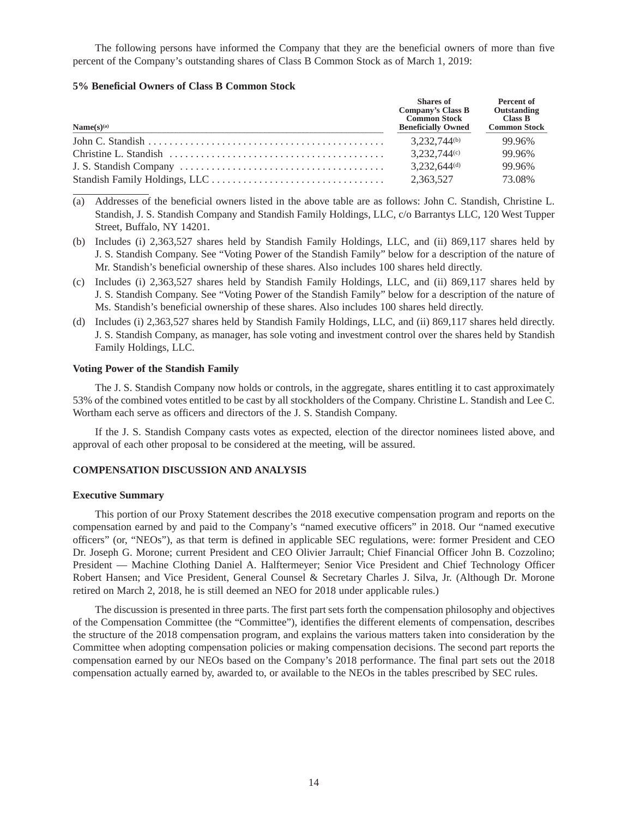The following persons have informed the Company that they are the beneficial owners of more than five percent of the Company's outstanding shares of Class B Common Stock as of March 1, 2019:

### **5% Beneficial Owners of Class B Common Stock**

| Name(s) <sup>(a)</sup> | Shares of<br>Company's Class B<br><b>Common Stock</b><br><b>Beneficially Owned</b> | Percent of<br>Outstanding<br>Class B<br><b>Common Stock</b> |
|------------------------|------------------------------------------------------------------------------------|-------------------------------------------------------------|
|                        | 3.232.744 <sup>(b)</sup>                                                           | 99.96%                                                      |
|                        | 3,232,744(c)                                                                       | 99.96%                                                      |
|                        | $3,232,644^{(d)}$                                                                  | 99.96%                                                      |
|                        | 2,363,527                                                                          | 73.08%                                                      |

- (a) Addresses of the beneficial owners listed in the above table are as follows: John C. Standish, Christine L. Standish, J. S. Standish Company and Standish Family Holdings, LLC, c/o Barrantys LLC, 120 West Tupper Street, Buffalo, NY 14201.
- (b) Includes (i) 2,363,527 shares held by Standish Family Holdings, LLC, and (ii) 869,117 shares held by J. S. Standish Company. See "Voting Power of the Standish Family" below for a description of the nature of Mr. Standish's beneficial ownership of these shares. Also includes 100 shares held directly.
- (c) Includes (i) 2,363,527 shares held by Standish Family Holdings, LLC, and (ii) 869,117 shares held by J. S. Standish Company. See "Voting Power of the Standish Family" below for a description of the nature of Ms. Standish's beneficial ownership of these shares. Also includes 100 shares held directly.
- (d) Includes (i) 2,363,527 shares held by Standish Family Holdings, LLC, and (ii) 869,117 shares held directly. J. S. Standish Company, as manager, has sole voting and investment control over the shares held by Standish Family Holdings, LLC.

### **Voting Power of the Standish Family**

The J. S. Standish Company now holds or controls, in the aggregate, shares entitling it to cast approximately 53% of the combined votes entitled to be cast by all stockholders of the Company. Christine L. Standish and Lee C. Wortham each serve as officers and directors of the J. S. Standish Company.

If the J. S. Standish Company casts votes as expected, election of the director nominees listed above, and approval of each other proposal to be considered at the meeting, will be assured.

## **COMPENSATION DISCUSSION AND ANALYSIS**

#### **Executive Summary**

This portion of our Proxy Statement describes the 2018 executive compensation program and reports on the compensation earned by and paid to the Company's "named executive officers" in 2018. Our "named executive officers" (or, "NEOs"), as that term is defined in applicable SEC regulations, were: former President and CEO Dr. Joseph G. Morone; current President and CEO Olivier Jarrault; Chief Financial Officer John B. Cozzolino; President — Machine Clothing Daniel A. Halftermeyer; Senior Vice President and Chief Technology Officer Robert Hansen; and Vice President, General Counsel & Secretary Charles J. Silva, Jr. (Although Dr. Morone retired on March 2, 2018, he is still deemed an NEO for 2018 under applicable rules.)

The discussion is presented in three parts. The first part sets forth the compensation philosophy and objectives of the Compensation Committee (the "Committee"), identifies the different elements of compensation, describes the structure of the 2018 compensation program, and explains the various matters taken into consideration by the Committee when adopting compensation policies or making compensation decisions. The second part reports the compensation earned by our NEOs based on the Company's 2018 performance. The final part sets out the 2018 compensation actually earned by, awarded to, or available to the NEOs in the tables prescribed by SEC rules.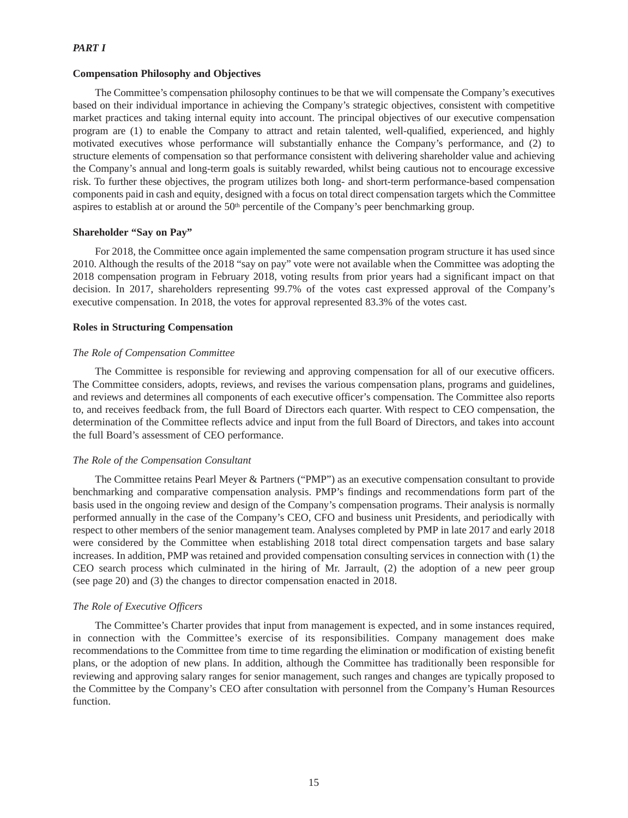### *PART I*

### **Compensation Philosophy and Objectives**

The Committee's compensation philosophy continues to be that we will compensate the Company's executives based on their individual importance in achieving the Company's strategic objectives, consistent with competitive market practices and taking internal equity into account. The principal objectives of our executive compensation program are (1) to enable the Company to attract and retain talented, well-qualified, experienced, and highly motivated executives whose performance will substantially enhance the Company's performance, and (2) to structure elements of compensation so that performance consistent with delivering shareholder value and achieving the Company's annual and long-term goals is suitably rewarded, whilst being cautious not to encourage excessive risk. To further these objectives, the program utilizes both long- and short-term performance-based compensation components paid in cash and equity, designed with a focus on total direct compensation targets which the Committee aspires to establish at or around the  $50<sup>th</sup>$  percentile of the Company's peer benchmarking group.

### **Shareholder "Say on Pay"**

For 2018, the Committee once again implemented the same compensation program structure it has used since 2010. Although the results of the 2018 "say on pay" vote were not available when the Committee was adopting the 2018 compensation program in February 2018, voting results from prior years had a significant impact on that decision. In 2017, shareholders representing 99.7% of the votes cast expressed approval of the Company's executive compensation. In 2018, the votes for approval represented 83.3% of the votes cast.

### **Roles in Structuring Compensation**

### *The Role of Compensation Committee*

The Committee is responsible for reviewing and approving compensation for all of our executive officers. The Committee considers, adopts, reviews, and revises the various compensation plans, programs and guidelines, and reviews and determines all components of each executive officer's compensation. The Committee also reports to, and receives feedback from, the full Board of Directors each quarter. With respect to CEO compensation, the determination of the Committee reflects advice and input from the full Board of Directors, and takes into account the full Board's assessment of CEO performance.

### *The Role of the Compensation Consultant*

The Committee retains Pearl Meyer & Partners ("PMP") as an executive compensation consultant to provide benchmarking and comparative compensation analysis. PMP's findings and recommendations form part of the basis used in the ongoing review and design of the Company's compensation programs. Their analysis is normally performed annually in the case of the Company's CEO, CFO and business unit Presidents, and periodically with respect to other members of the senior management team. Analyses completed by PMP in late 2017 and early 2018 were considered by the Committee when establishing 2018 total direct compensation targets and base salary increases. In addition, PMP was retained and provided compensation consulting services in connection with (1) the CEO search process which culminated in the hiring of Mr. Jarrault, (2) the adoption of a new peer group (see page 20) and (3) the changes to director compensation enacted in 2018.

### *The Role of Executive Officers*

The Committee's Charter provides that input from management is expected, and in some instances required, in connection with the Committee's exercise of its responsibilities. Company management does make recommendations to the Committee from time to time regarding the elimination or modification of existing benefit plans, or the adoption of new plans. In addition, although the Committee has traditionally been responsible for reviewing and approving salary ranges for senior management, such ranges and changes are typically proposed to the Committee by the Company's CEO after consultation with personnel from the Company's Human Resources function.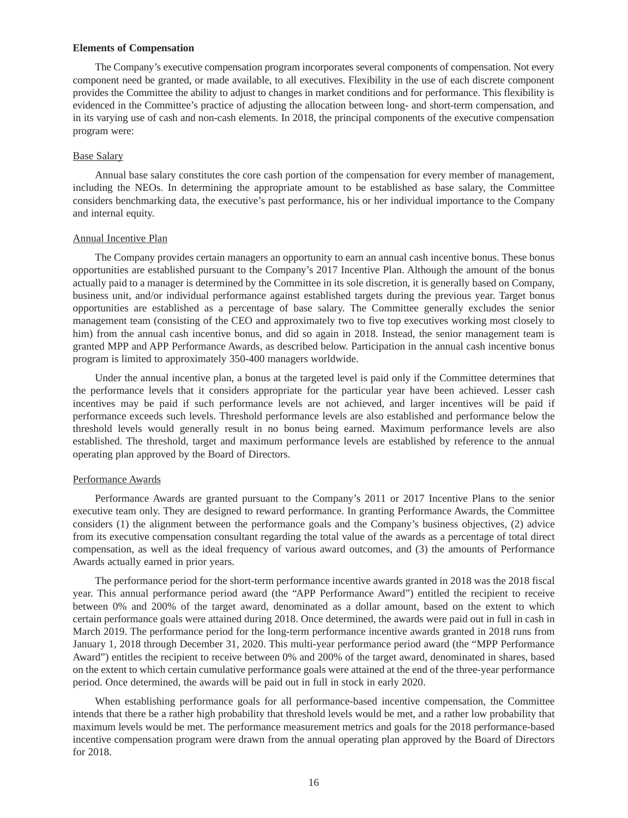#### **Elements of Compensation**

The Company's executive compensation program incorporates several components of compensation. Not every component need be granted, or made available, to all executives. Flexibility in the use of each discrete component provides the Committee the ability to adjust to changes in market conditions and for performance. This flexibility is evidenced in the Committee's practice of adjusting the allocation between long- and short-term compensation, and in its varying use of cash and non-cash elements. In 2018, the principal components of the executive compensation program were:

### Base Salary

Annual base salary constitutes the core cash portion of the compensation for every member of management, including the NEOs. In determining the appropriate amount to be established as base salary, the Committee considers benchmarking data, the executive's past performance, his or her individual importance to the Company and internal equity.

## Annual Incentive Plan

The Company provides certain managers an opportunity to earn an annual cash incentive bonus. These bonus opportunities are established pursuant to the Company's 2017 Incentive Plan. Although the amount of the bonus actually paid to a manager is determined by the Committee in its sole discretion, it is generally based on Company, business unit, and/or individual performance against established targets during the previous year. Target bonus opportunities are established as a percentage of base salary. The Committee generally excludes the senior management team (consisting of the CEO and approximately two to five top executives working most closely to him) from the annual cash incentive bonus, and did so again in 2018. Instead, the senior management team is granted MPP and APP Performance Awards, as described below. Participation in the annual cash incentive bonus program is limited to approximately 350-400 managers worldwide.

Under the annual incentive plan, a bonus at the targeted level is paid only if the Committee determines that the performance levels that it considers appropriate for the particular year have been achieved. Lesser cash incentives may be paid if such performance levels are not achieved, and larger incentives will be paid if performance exceeds such levels. Threshold performance levels are also established and performance below the threshold levels would generally result in no bonus being earned. Maximum performance levels are also established. The threshold, target and maximum performance levels are established by reference to the annual operating plan approved by the Board of Directors.

#### Performance Awards

Performance Awards are granted pursuant to the Company's 2011 or 2017 Incentive Plans to the senior executive team only. They are designed to reward performance. In granting Performance Awards, the Committee considers (1) the alignment between the performance goals and the Company's business objectives, (2) advice from its executive compensation consultant regarding the total value of the awards as a percentage of total direct compensation, as well as the ideal frequency of various award outcomes, and (3) the amounts of Performance Awards actually earned in prior years.

The performance period for the short-term performance incentive awards granted in 2018 was the 2018 fiscal year. This annual performance period award (the "APP Performance Award") entitled the recipient to receive between 0% and 200% of the target award, denominated as a dollar amount, based on the extent to which certain performance goals were attained during 2018. Once determined, the awards were paid out in full in cash in March 2019. The performance period for the long-term performance incentive awards granted in 2018 runs from January 1, 2018 through December 31, 2020. This multi-year performance period award (the "MPP Performance Award") entitles the recipient to receive between 0% and 200% of the target award, denominated in shares, based on the extent to which certain cumulative performance goals were attained at the end of the three-year performance period. Once determined, the awards will be paid out in full in stock in early 2020.

When establishing performance goals for all performance-based incentive compensation, the Committee intends that there be a rather high probability that threshold levels would be met, and a rather low probability that maximum levels would be met. The performance measurement metrics and goals for the 2018 performance-based incentive compensation program were drawn from the annual operating plan approved by the Board of Directors for 2018.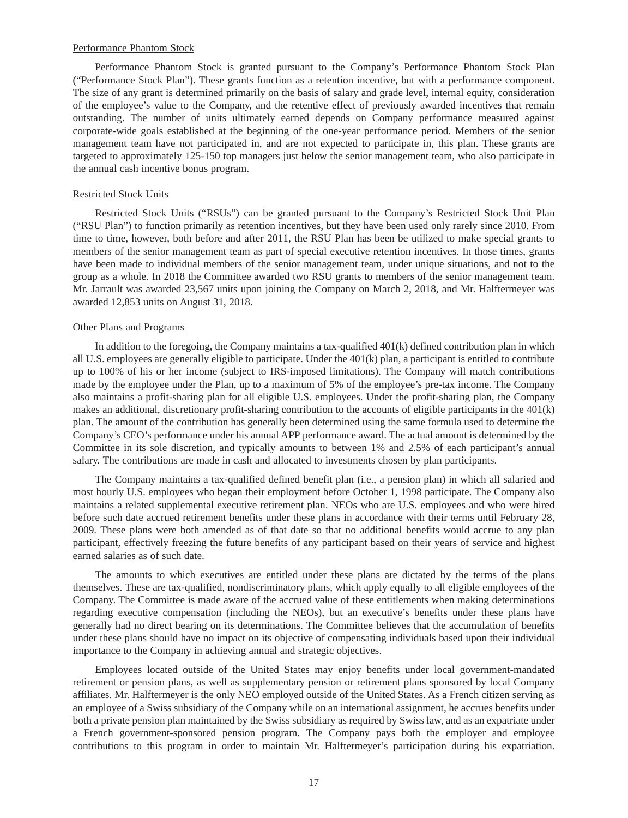#### Performance Phantom Stock

Performance Phantom Stock is granted pursuant to the Company's Performance Phantom Stock Plan ("Performance Stock Plan"). These grants function as a retention incentive, but with a performance component. The size of any grant is determined primarily on the basis of salary and grade level, internal equity, consideration of the employee's value to the Company, and the retentive effect of previously awarded incentives that remain outstanding. The number of units ultimately earned depends on Company performance measured against corporate-wide goals established at the beginning of the one-year performance period. Members of the senior management team have not participated in, and are not expected to participate in, this plan. These grants are targeted to approximately 125-150 top managers just below the senior management team, who also participate in the annual cash incentive bonus program.

### Restricted Stock Units

Restricted Stock Units ("RSUs") can be granted pursuant to the Company's Restricted Stock Unit Plan ("RSU Plan") to function primarily as retention incentives, but they have been used only rarely since 2010. From time to time, however, both before and after 2011, the RSU Plan has been be utilized to make special grants to members of the senior management team as part of special executive retention incentives. In those times, grants have been made to individual members of the senior management team, under unique situations, and not to the group as a whole. In 2018 the Committee awarded two RSU grants to members of the senior management team. Mr. Jarrault was awarded 23,567 units upon joining the Company on March 2, 2018, and Mr. Halftermeyer was awarded 12,853 units on August 31, 2018.

### Other Plans and Programs

In addition to the foregoing, the Company maintains a tax-qualified 401(k) defined contribution plan in which all U.S. employees are generally eligible to participate. Under the  $401(k)$  plan, a participant is entitled to contribute up to 100% of his or her income (subject to IRS-imposed limitations). The Company will match contributions made by the employee under the Plan, up to a maximum of 5% of the employee's pre-tax income. The Company also maintains a profit-sharing plan for all eligible U.S. employees. Under the profit-sharing plan, the Company makes an additional, discretionary profit-sharing contribution to the accounts of eligible participants in the 401(k) plan. The amount of the contribution has generally been determined using the same formula used to determine the Company's CEO's performance under his annual APP performance award. The actual amount is determined by the Committee in its sole discretion, and typically amounts to between 1% and 2.5% of each participant's annual salary. The contributions are made in cash and allocated to investments chosen by plan participants.

The Company maintains a tax-qualified defined benefit plan (i.e., a pension plan) in which all salaried and most hourly U.S. employees who began their employment before October 1, 1998 participate. The Company also maintains a related supplemental executive retirement plan. NEOs who are U.S. employees and who were hired before such date accrued retirement benefits under these plans in accordance with their terms until February 28, 2009. These plans were both amended as of that date so that no additional benefits would accrue to any plan participant, effectively freezing the future benefits of any participant based on their years of service and highest earned salaries as of such date.

The amounts to which executives are entitled under these plans are dictated by the terms of the plans themselves. These are tax-qualified, nondiscriminatory plans, which apply equally to all eligible employees of the Company. The Committee is made aware of the accrued value of these entitlements when making determinations regarding executive compensation (including the NEOs), but an executive's benefits under these plans have generally had no direct bearing on its determinations. The Committee believes that the accumulation of benefits under these plans should have no impact on its objective of compensating individuals based upon their individual importance to the Company in achieving annual and strategic objectives.

Employees located outside of the United States may enjoy benefits under local government-mandated retirement or pension plans, as well as supplementary pension or retirement plans sponsored by local Company affiliates. Mr. Halftermeyer is the only NEO employed outside of the United States. As a French citizen serving as an employee of a Swiss subsidiary of the Company while on an international assignment, he accrues benefits under both a private pension plan maintained by the Swiss subsidiary as required by Swiss law, and as an expatriate under a French government-sponsored pension program. The Company pays both the employer and employee contributions to this program in order to maintain Mr. Halftermeyer's participation during his expatriation.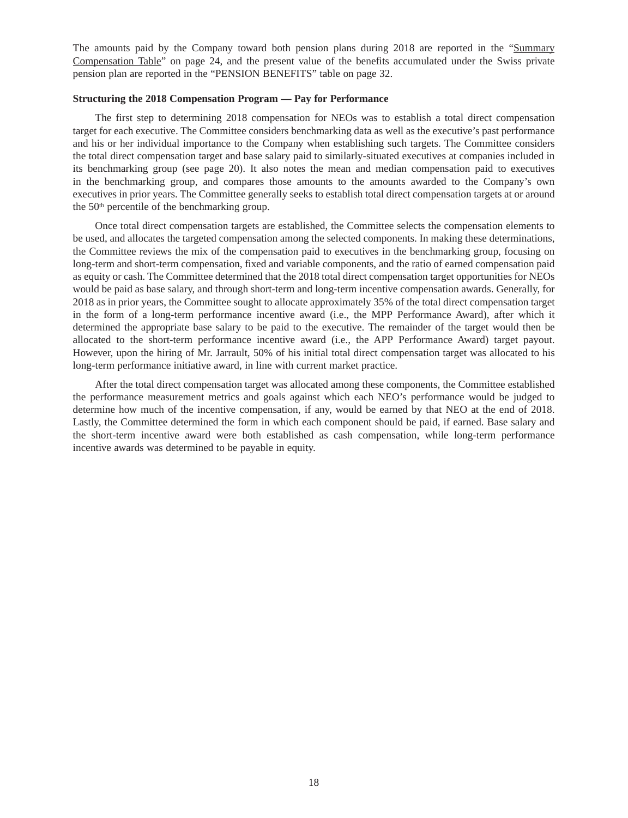The amounts paid by the Company toward both pension plans during 2018 are reported in the "Summary" Compensation Table" on page 24, and the present value of the benefits accumulated under the Swiss private pension plan are reported in the "PENSION BENEFITS" table on page 32.

### **Structuring the 2018 Compensation Program — Pay for Performance**

The first step to determining 2018 compensation for NEOs was to establish a total direct compensation target for each executive. The Committee considers benchmarking data as well as the executive's past performance and his or her individual importance to the Company when establishing such targets. The Committee considers the total direct compensation target and base salary paid to similarly-situated executives at companies included in its benchmarking group (see page 20). It also notes the mean and median compensation paid to executives in the benchmarking group, and compares those amounts to the amounts awarded to the Company's own executives in prior years. The Committee generally seeks to establish total direct compensation targets at or around the 50th percentile of the benchmarking group.

Once total direct compensation targets are established, the Committee selects the compensation elements to be used, and allocates the targeted compensation among the selected components. In making these determinations, the Committee reviews the mix of the compensation paid to executives in the benchmarking group, focusing on long-term and short-term compensation, fixed and variable components, and the ratio of earned compensation paid as equity or cash. The Committee determined that the 2018 total direct compensation target opportunities for NEOs would be paid as base salary, and through short-term and long-term incentive compensation awards. Generally, for 2018 as in prior years, the Committee sought to allocate approximately 35% of the total direct compensation target in the form of a long-term performance incentive award (i.e., the MPP Performance Award), after which it determined the appropriate base salary to be paid to the executive. The remainder of the target would then be allocated to the short-term performance incentive award (i.e., the APP Performance Award) target payout. However, upon the hiring of Mr. Jarrault, 50% of his initial total direct compensation target was allocated to his long-term performance initiative award, in line with current market practice.

After the total direct compensation target was allocated among these components, the Committee established the performance measurement metrics and goals against which each NEO's performance would be judged to determine how much of the incentive compensation, if any, would be earned by that NEO at the end of 2018. Lastly, the Committee determined the form in which each component should be paid, if earned. Base salary and the short-term incentive award were both established as cash compensation, while long-term performance incentive awards was determined to be payable in equity.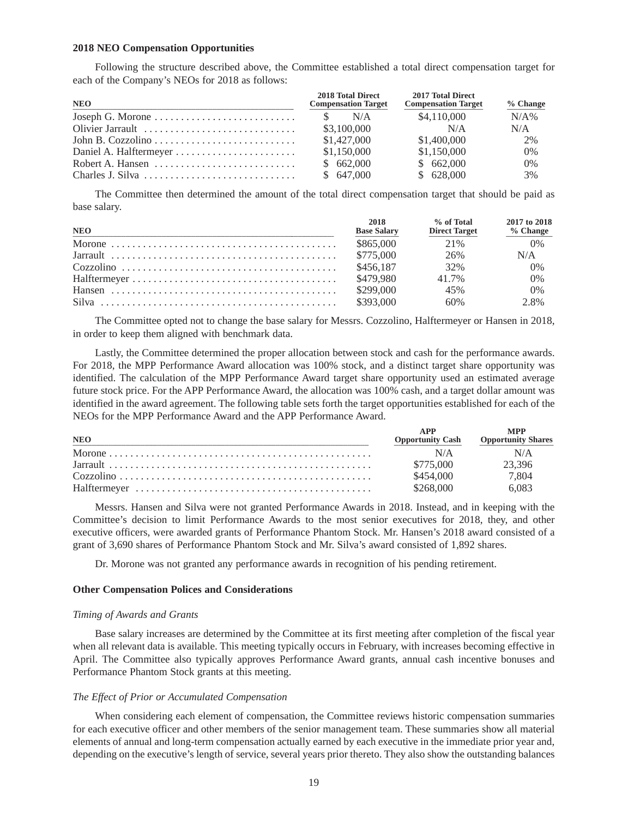#### **2018 NEO Compensation Opportunities**

Following the structure described above, the Committee established a total direct compensation target for each of the Company's NEOs for 2018 as follows:

| <b>NEO</b>       | 2018 Total Direct<br><b>Compensation Target</b> | 2017 Total Direct<br><b>Compensation Target</b> | $%$ Change |
|------------------|-------------------------------------------------|-------------------------------------------------|------------|
|                  | N/A                                             | \$4,110,000                                     | N/A%       |
| Olivier Jarrault | \$3,100,000                                     | N/A                                             | N/A        |
|                  | \$1,427,000                                     | \$1,400,000                                     | 2%         |
|                  | \$1,150,000                                     | \$1,150,000                                     | 0%         |
|                  | \$662,000                                       | \$662,000                                       | 0%         |
|                  | \$647,000                                       | \$628,000                                       | 3%         |

The Committee then determined the amount of the total direct compensation target that should be paid as base salary.

| <b>NEO</b> | 2018<br><b>Base Salary</b> | % of Total<br><b>Direct Target</b> | 2017 to 2018<br>$%$ Change |
|------------|----------------------------|------------------------------------|----------------------------|
|            | \$865,000                  | 21\%                               | 0%                         |
|            | \$775,000                  | 26%                                | N/A                        |
|            | \$456.187                  | 32%                                | 0%                         |
|            | \$479.980                  | 41.7%                              | 0%                         |
|            | \$299,000                  | 45%                                | $0\%$                      |
|            | \$393,000                  | 60%                                | 2.8%                       |

The Committee opted not to change the base salary for Messrs. Cozzolino, Halftermeyer or Hansen in 2018, in order to keep them aligned with benchmark data.

Lastly, the Committee determined the proper allocation between stock and cash for the performance awards. For 2018, the MPP Performance Award allocation was 100% stock, and a distinct target share opportunity was identified. The calculation of the MPP Performance Award target share opportunity used an estimated average future stock price. For the APP Performance Award, the allocation was 100% cash, and a target dollar amount was identified in the award agreement. The following table sets forth the target opportunities established for each of the NEOs for the MPP Performance Award and the APP Performance Award.

| <b>NEO</b> | <b>Opportunity Cash</b> | MPP<br><b>Opportunity Shares</b> |
|------------|-------------------------|----------------------------------|
|            | N/A                     | N/A                              |
|            | \$775,000               | 23.396                           |
|            | \$454,000               | 7,804                            |
|            | \$268,000               | 6.083                            |

Messrs. Hansen and Silva were not granted Performance Awards in 2018. Instead, and in keeping with the Committee's decision to limit Performance Awards to the most senior executives for 2018, they, and other executive officers, were awarded grants of Performance Phantom Stock. Mr. Hansen's 2018 award consisted of a grant of 3,690 shares of Performance Phantom Stock and Mr. Silva's award consisted of 1,892 shares.

Dr. Morone was not granted any performance awards in recognition of his pending retirement.

### **Other Compensation Polices and Considerations**

### *Timing of Awards and Grants*

Base salary increases are determined by the Committee at its first meeting after completion of the fiscal year when all relevant data is available. This meeting typically occurs in February, with increases becoming effective in April. The Committee also typically approves Performance Award grants, annual cash incentive bonuses and Performance Phantom Stock grants at this meeting.

#### *The Effect of Prior or Accumulated Compensation*

When considering each element of compensation, the Committee reviews historic compensation summaries for each executive officer and other members of the senior management team. These summaries show all material elements of annual and long-term compensation actually earned by each executive in the immediate prior year and, depending on the executive's length of service, several years prior thereto. They also show the outstanding balances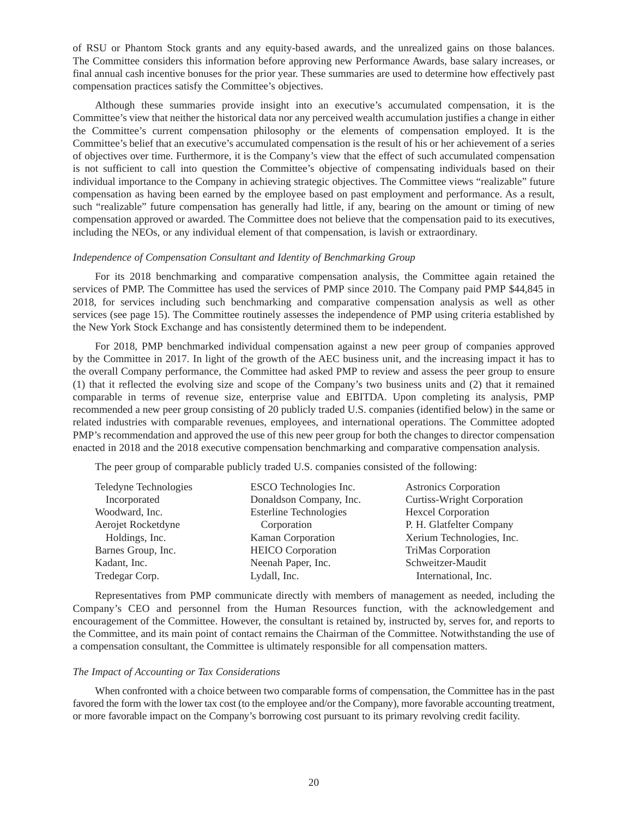of RSU or Phantom Stock grants and any equity-based awards, and the unrealized gains on those balances. The Committee considers this information before approving new Performance Awards, base salary increases, or final annual cash incentive bonuses for the prior year. These summaries are used to determine how effectively past compensation practices satisfy the Committee's objectives.

Although these summaries provide insight into an executive's accumulated compensation, it is the Committee's view that neither the historical data nor any perceived wealth accumulation justifies a change in either the Committee's current compensation philosophy or the elements of compensation employed. It is the Committee's belief that an executive's accumulated compensation is the result of his or her achievement of a series of objectives over time. Furthermore, it is the Company's view that the effect of such accumulated compensation is not sufficient to call into question the Committee's objective of compensating individuals based on their individual importance to the Company in achieving strategic objectives. The Committee views "realizable" future compensation as having been earned by the employee based on past employment and performance. As a result, such "realizable" future compensation has generally had little, if any, bearing on the amount or timing of new compensation approved or awarded. The Committee does not believe that the compensation paid to its executives, including the NEOs, or any individual element of that compensation, is lavish or extraordinary.

### *Independence of Compensation Consultant and Identity of Benchmarking Group*

For its 2018 benchmarking and comparative compensation analysis, the Committee again retained the services of PMP. The Committee has used the services of PMP since 2010. The Company paid PMP \$44,845 in 2018, for services including such benchmarking and comparative compensation analysis as well as other services (see page 15). The Committee routinely assesses the independence of PMP using criteria established by the New York Stock Exchange and has consistently determined them to be independent.

For 2018, PMP benchmarked individual compensation against a new peer group of companies approved by the Committee in 2017. In light of the growth of the AEC business unit, and the increasing impact it has to the overall Company performance, the Committee had asked PMP to review and assess the peer group to ensure (1) that it reflected the evolving size and scope of the Company's two business units and (2) that it remained comparable in terms of revenue size, enterprise value and EBITDA. Upon completing its analysis, PMP recommended a new peer group consisting of 20 publicly traded U.S. companies (identified below) in the same or related industries with comparable revenues, employees, and international operations. The Committee adopted PMP's recommendation and approved the use of this new peer group for both the changes to director compensation enacted in 2018 and the 2018 executive compensation benchmarking and comparative compensation analysis.

The peer group of comparable publicly traded U.S. companies consisted of the following:

| Teledyne Technologies | ESCO Technologies Inc.        | <b>Astronics Corporation</b>      |
|-----------------------|-------------------------------|-----------------------------------|
| Incorporated          | Donaldson Company, Inc.       | <b>Curtiss-Wright Corporation</b> |
| Woodward, Inc.        | <b>Esterline Technologies</b> | <b>Hexcel Corporation</b>         |
| Aerojet Rocketdyne    | Corporation                   | P. H. Glatfelter Company          |
| Holdings, Inc.        | Kaman Corporation             | Xerium Technologies, Inc.         |
| Barnes Group, Inc.    | <b>HEICO</b> Corporation      | TriMas Corporation                |
| Kadant, Inc.          | Neenah Paper, Inc.            | Schweitzer-Maudit                 |
| Tredegar Corp.        | Lydall, Inc.                  | International, Inc.               |
|                       |                               |                                   |

Representatives from PMP communicate directly with members of management as needed, including the Company's CEO and personnel from the Human Resources function, with the acknowledgement and encouragement of the Committee. However, the consultant is retained by, instructed by, serves for, and reports to the Committee, and its main point of contact remains the Chairman of the Committee. Notwithstanding the use of a compensation consultant, the Committee is ultimately responsible for all compensation matters.

#### *The Impact of Accounting or Tax Considerations*

When confronted with a choice between two comparable forms of compensation, the Committee has in the past favored the form with the lower tax cost (to the employee and/or the Company), more favorable accounting treatment, or more favorable impact on the Company's borrowing cost pursuant to its primary revolving credit facility.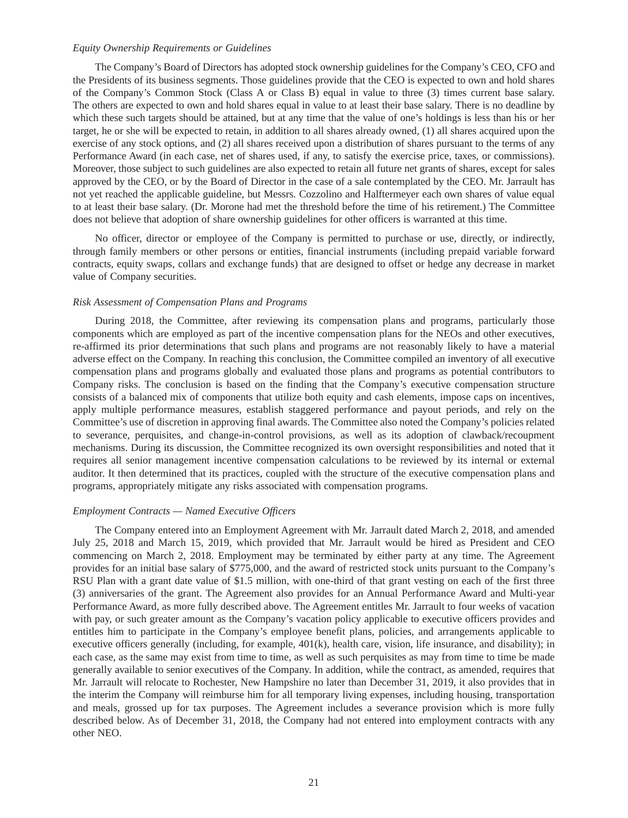### *Equity Ownership Requirements or Guidelines*

The Company's Board of Directors has adopted stock ownership guidelines for the Company's CEO, CFO and the Presidents of its business segments. Those guidelines provide that the CEO is expected to own and hold shares of the Company's Common Stock (Class A or Class B) equal in value to three (3) times current base salary. The others are expected to own and hold shares equal in value to at least their base salary. There is no deadline by which these such targets should be attained, but at any time that the value of one's holdings is less than his or her target, he or she will be expected to retain, in addition to all shares already owned, (1) all shares acquired upon the exercise of any stock options, and (2) all shares received upon a distribution of shares pursuant to the terms of any Performance Award (in each case, net of shares used, if any, to satisfy the exercise price, taxes, or commissions). Moreover, those subject to such guidelines are also expected to retain all future net grants of shares, except for sales approved by the CEO, or by the Board of Director in the case of a sale contemplated by the CEO. Mr. Jarrault has not yet reached the applicable guideline, but Messrs. Cozzolino and Halftermeyer each own shares of value equal to at least their base salary. (Dr. Morone had met the threshold before the time of his retirement.) The Committee does not believe that adoption of share ownership guidelines for other officers is warranted at this time.

No officer, director or employee of the Company is permitted to purchase or use, directly, or indirectly, through family members or other persons or entities, financial instruments (including prepaid variable forward contracts, equity swaps, collars and exchange funds) that are designed to offset or hedge any decrease in market value of Company securities.

### *Risk Assessment of Compensation Plans and Programs*

During 2018, the Committee, after reviewing its compensation plans and programs, particularly those components which are employed as part of the incentive compensation plans for the NEOs and other executives, re-affirmed its prior determinations that such plans and programs are not reasonably likely to have a material adverse effect on the Company. In reaching this conclusion, the Committee compiled an inventory of all executive compensation plans and programs globally and evaluated those plans and programs as potential contributors to Company risks. The conclusion is based on the finding that the Company's executive compensation structure consists of a balanced mix of components that utilize both equity and cash elements, impose caps on incentives, apply multiple performance measures, establish staggered performance and payout periods, and rely on the Committee's use of discretion in approving final awards. The Committee also noted the Company's policies related to severance, perquisites, and change-in-control provisions, as well as its adoption of clawback/recoupment mechanisms. During its discussion, the Committee recognized its own oversight responsibilities and noted that it requires all senior management incentive compensation calculations to be reviewed by its internal or external auditor. It then determined that its practices, coupled with the structure of the executive compensation plans and programs, appropriately mitigate any risks associated with compensation programs.

## *Employment Contracts — Named Executive Officers*

The Company entered into an Employment Agreement with Mr. Jarrault dated March 2, 2018, and amended July 25, 2018 and March 15, 2019, which provided that Mr. Jarrault would be hired as President and CEO commencing on March 2, 2018. Employment may be terminated by either party at any time. The Agreement provides for an initial base salary of \$775,000, and the award of restricted stock units pursuant to the Company's RSU Plan with a grant date value of \$1.5 million, with one-third of that grant vesting on each of the first three (3) anniversaries of the grant. The Agreement also provides for an Annual Performance Award and Multi-year Performance Award, as more fully described above. The Agreement entitles Mr. Jarrault to four weeks of vacation with pay, or such greater amount as the Company's vacation policy applicable to executive officers provides and entitles him to participate in the Company's employee benefit plans, policies, and arrangements applicable to executive officers generally (including, for example,  $401(k)$ , health care, vision, life insurance, and disability); in each case, as the same may exist from time to time, as well as such perquisites as may from time to time be made generally available to senior executives of the Company. In addition, while the contract, as amended, requires that Mr. Jarrault will relocate to Rochester, New Hampshire no later than December 31, 2019, it also provides that in the interim the Company will reimburse him for all temporary living expenses, including housing, transportation and meals, grossed up for tax purposes. The Agreement includes a severance provision which is more fully described below. As of December 31, 2018, the Company had not entered into employment contracts with any other NEO.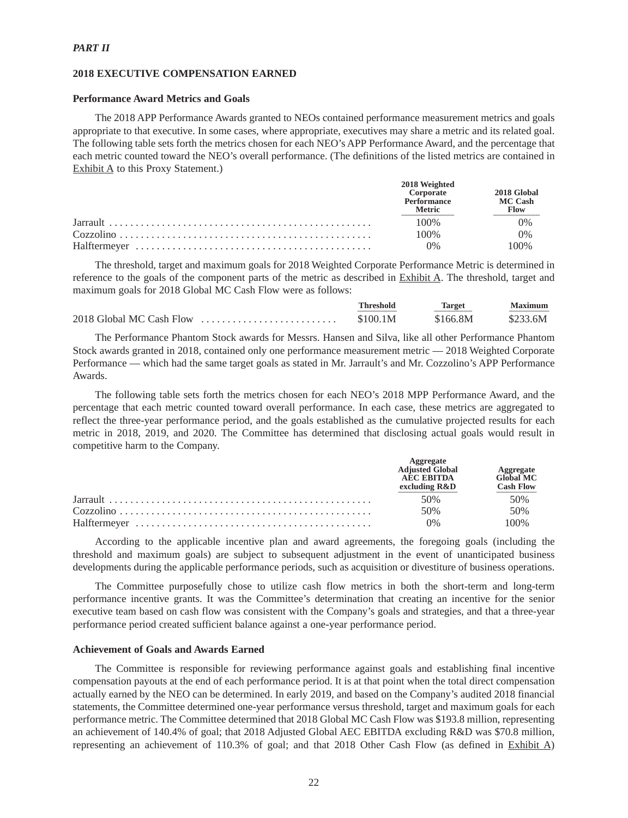### *PART II*

### **2018 EXECUTIVE COMPENSATION EARNED**

### **Performance Award Metrics and Goals**

The 2018 APP Performance Awards granted to NEOs contained performance measurement metrics and goals appropriate to that executive. In some cases, where appropriate, executives may share a metric and its related goal. The following table sets forth the metrics chosen for each NEO's APP Performance Award, and the percentage that each metric counted toward the NEO's overall performance. (The definitions of the listed metrics are contained in Exhibit A to this Proxy Statement.)

| 2018 Weighted<br>Corporate<br>Performance<br><b>Metric</b> | 2018 Global<br><b>MC Cash</b><br><b>Flow</b> |
|------------------------------------------------------------|----------------------------------------------|
| 100%                                                       | 0%                                           |
| 100%                                                       | 0%                                           |
| 0%                                                         | 00%                                          |

The threshold, target and maximum goals for 2018 Weighted Corporate Performance Metric is determined in reference to the goals of the component parts of the metric as described in Exhibit A. The threshold, target and maximum goals for 2018 Global MC Cash Flow were as follows:

|                          | Threshold | Target   | <b>Maximum</b> |
|--------------------------|-----------|----------|----------------|
| 2018 Global MC Cash Flow | \$100.1M  | \$166.8M | \$233.6M       |

The Performance Phantom Stock awards for Messrs. Hansen and Silva, like all other Performance Phantom Stock awards granted in 2018, contained only one performance measurement metric — 2018 Weighted Corporate Performance — which had the same target goals as stated in Mr. Jarrault's and Mr. Cozzolino's APP Performance Awards.

The following table sets forth the metrics chosen for each NEO's 2018 MPP Performance Award, and the percentage that each metric counted toward overall performance. In each case, these metrics are aggregated to reflect the three-year performance period, and the goals established as the cumulative projected results for each metric in 2018, 2019, and 2020. The Committee has determined that disclosing actual goals would result in competitive harm to the Company.

| Aggregate<br><b>Adiusted Global</b><br><b>AEC EBITDA</b><br>excluding R&D | <b>Aggregate</b><br>Global MC<br><b>Cash Flow</b> |
|---------------------------------------------------------------------------|---------------------------------------------------|
| 50%                                                                       | 50%                                               |
| 50%                                                                       | 50%                                               |
| 0%                                                                        | $00\%$                                            |

According to the applicable incentive plan and award agreements, the foregoing goals (including the threshold and maximum goals) are subject to subsequent adjustment in the event of unanticipated business developments during the applicable performance periods, such as acquisition or divestiture of business operations.

The Committee purposefully chose to utilize cash flow metrics in both the short-term and long-term performance incentive grants. It was the Committee's determination that creating an incentive for the senior executive team based on cash flow was consistent with the Company's goals and strategies, and that a three-year performance period created sufficient balance against a one-year performance period.

## **Achievement of Goals and Awards Earned**

The Committee is responsible for reviewing performance against goals and establishing final incentive compensation payouts at the end of each performance period. It is at that point when the total direct compensation actually earned by the NEO can be determined. In early 2019, and based on the Company's audited 2018 financial statements, the Committee determined one-year performance versus threshold, target and maximum goals for each performance metric. The Committee determined that 2018 Global MC Cash Flow was \$193.8 million, representing an achievement of 140.4% of goal; that 2018 Adjusted Global AEC EBITDA excluding R&D was \$70.8 million, representing an achievement of 110.3% of goal; and that 2018 Other Cash Flow (as defined in Exhibit A)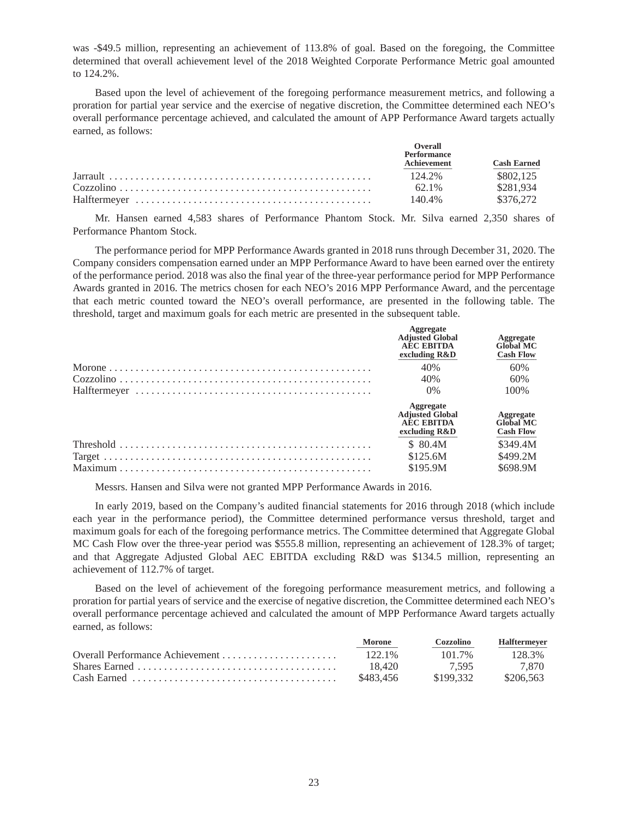was -\$49.5 million, representing an achievement of 113.8% of goal. Based on the foregoing, the Committee determined that overall achievement level of the 2018 Weighted Corporate Performance Metric goal amounted to 124.2%.

Based upon the level of achievement of the foregoing performance measurement metrics, and following a proration for partial year service and the exercise of negative discretion, the Committee determined each NEO's overall performance percentage achieved, and calculated the amount of APP Performance Award targets actually earned, as follows:

| Overall<br><b>Performance</b><br>Achievement | <b>Cash Earned</b> |
|----------------------------------------------|--------------------|
| 124.2%                                       | \$802.125          |
| 62.1%                                        | \$281.934          |
| 140.4%                                       | \$376,272          |

Mr. Hansen earned 4,583 shares of Performance Phantom Stock. Mr. Silva earned 2,350 shares of Performance Phantom Stock.

The performance period for MPP Performance Awards granted in 2018 runs through December 31, 2020. The Company considers compensation earned under an MPP Performance Award to have been earned over the entirety of the performance period. 2018 was also the final year of the three-year performance period for MPP Performance Awards granted in 2016. The metrics chosen for each NEO's 2016 MPP Performance Award, and the percentage that each metric counted toward the NEO's overall performance, are presented in the following table. The threshold, target and maximum goals for each metric are presented in the subsequent table.

| Aggregate<br><b>Adjusted Global</b><br><b>AEC EBITDA</b><br>excluding R&D | Aggregate<br><b>Global MC</b><br><b>Cash Flow</b> |
|---------------------------------------------------------------------------|---------------------------------------------------|
| 40%                                                                       | 60%                                               |
| 40%                                                                       | 60%                                               |
| $0\%$                                                                     | 100%                                              |
| Aggregate<br><b>Adjusted Global</b><br><b>AEC EBITDA</b><br>excluding R&D | Aggregate<br><b>Global MC</b><br><b>Cash Flow</b> |
| \$ 80.4M                                                                  | \$349.4M                                          |
| \$125.6M                                                                  | \$499.2M                                          |
| \$195.9M                                                                  | \$698.9M                                          |
|                                                                           |                                                   |

Messrs. Hansen and Silva were not granted MPP Performance Awards in 2016.

In early 2019, based on the Company's audited financial statements for 2016 through 2018 (which include each year in the performance period), the Committee determined performance versus threshold, target and maximum goals for each of the foregoing performance metrics. The Committee determined that Aggregate Global MC Cash Flow over the three-year period was \$555.8 million, representing an achievement of 128.3% of target; and that Aggregate Adjusted Global AEC EBITDA excluding R&D was \$134.5 million, representing an achievement of 112.7% of target.

Based on the level of achievement of the foregoing performance measurement metrics, and following a proration for partial years of service and the exercise of negative discretion, the Committee determined each NEO's overall performance percentage achieved and calculated the amount of MPP Performance Award targets actually earned, as follows:

|                                                                                         | Morone    | Cozzolino | <b>Halftermever</b> |
|-----------------------------------------------------------------------------------------|-----------|-----------|---------------------|
|                                                                                         | $122.1\%$ | 101.7%    | 128.3%              |
|                                                                                         | 18.420    | 7.595     | 7.870               |
| $Cash\, Earmed\, \ldots \ldots \ldots \ldots \ldots \ldots \ldots \ldots \ldots \ldots$ | \$483.456 | \$199.332 | \$206.563           |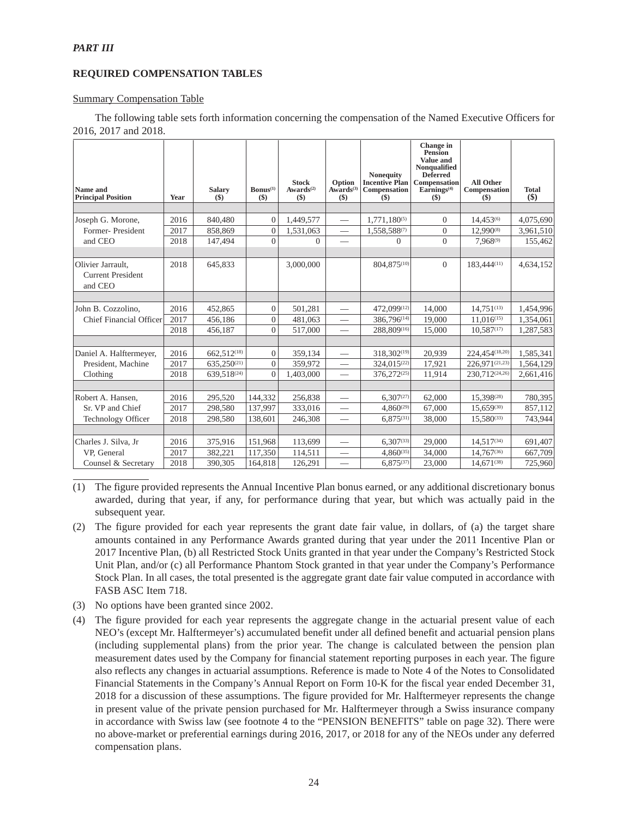## **REQUIRED COMPENSATION TABLES**

### Summary Compensation Table

The following table sets forth information concerning the compensation of the Named Executive Officers for 2016, 2017 and 2018.

| Name and<br><b>Principal Position</b>                    | Year | <b>Salary</b><br>$(\$)$ | $\mathbf{Bonus}^{(1)}$<br>$($)$ | <b>Stock</b><br>Awards <sup>(2)</sup><br>$($)$ | Option<br>Awards <sup>(3)</sup><br>$($)$ | <b>Nonequity</b><br><b>Incentive Plan</b><br>Compensation<br>$(\$)$ | Change in<br><b>Pension</b><br>Value and<br>Nonqualified<br><b>Deferred</b><br>Compensation<br>Eairnings <sup>(4)</sup><br>$($)$ | <b>All Other</b><br>Compensation<br>(S) | <b>Total</b><br>$($)$ |
|----------------------------------------------------------|------|-------------------------|---------------------------------|------------------------------------------------|------------------------------------------|---------------------------------------------------------------------|----------------------------------------------------------------------------------------------------------------------------------|-----------------------------------------|-----------------------|
|                                                          |      |                         |                                 |                                                |                                          |                                                                     |                                                                                                                                  |                                         |                       |
| Joseph G. Morone,                                        | 2016 | 840,480                 | $\overline{0}$                  | 1,449,577                                      |                                          | $1,771,180^{(5)}$                                                   | $\overline{0}$                                                                                                                   | 14.453(6)                               | 4,075,690             |
| Former-President                                         | 2017 | 858,869                 | $\Omega$                        | 1,531,063                                      | $\qquad \qquad$                          | 1,558,588(7)                                                        | $\overline{0}$                                                                                                                   | 12,990(8)                               | 3,961,510             |
| and CEO                                                  | 2018 | 147,494                 | $\Omega$                        | $\Omega$                                       | $\overline{\phantom{0}}$                 | $\Omega$                                                            | $\mathbf{0}$                                                                                                                     | 7.968(9)                                | 155,462               |
|                                                          |      |                         |                                 |                                                |                                          |                                                                     |                                                                                                                                  |                                         |                       |
| Olivier Jarrault,<br><b>Current President</b><br>and CEO | 2018 | 645,833                 |                                 | 3,000,000                                      |                                          | 804,875(10)                                                         | $\Omega$                                                                                                                         | 183,444(11)                             | 4,634,152             |
|                                                          |      |                         |                                 |                                                |                                          |                                                                     |                                                                                                                                  |                                         |                       |
| John B. Cozzolino,                                       | 2016 | 452,865                 | $\overline{0}$                  | 501,281                                        | $\qquad \qquad$                          | 472,099(12)                                                         | 14,000                                                                                                                           | $14.751^{(13)}$                         | 1,454,996             |
| <b>Chief Financial Officer</b>                           | 2017 | 456.186                 | $\overline{0}$                  | 481,063                                        | $\overline{\phantom{0}}$                 | 386,796(14)                                                         | 19,000                                                                                                                           | 11.016(15)                              | 1,354,061             |
|                                                          | 2018 | 456.187                 | $\Omega$                        | 517,000                                        | $\overline{\phantom{0}}$                 | 288,809(16)                                                         | 15,000                                                                                                                           | 10.587(17)                              | 1,287,583             |
|                                                          |      |                         |                                 |                                                |                                          |                                                                     |                                                                                                                                  |                                         |                       |
| Daniel A. Halftermeyer,                                  | 2016 | 662.512 <sup>(18)</sup> | $\overline{0}$                  | 359,134                                        | $\overline{\phantom{0}}$                 | 318.302(19)                                                         | 20.939                                                                                                                           | 224.454(18,20)                          | 1,585,341             |
| President, Machine                                       | 2017 | 635,250(21)             | $\Omega$                        | 359,972                                        | $\overline{\phantom{0}}$                 | 324,015(22)                                                         | 17,921                                                                                                                           | 226.971(21,23)                          | 1,564,129             |
| Clothing                                                 | 2018 | 639.518 <sup>(24)</sup> | $\Omega$                        | 1,403,000                                      | $\frac{1}{1}$                            | 376,272(25)                                                         | 11,914                                                                                                                           | 230,712(24,26)                          | 2,661,416             |
|                                                          |      |                         |                                 |                                                |                                          |                                                                     |                                                                                                                                  |                                         |                       |
| Robert A. Hansen.                                        | 2016 | 295.520                 | 144,332                         | 256,838                                        |                                          | $6.307^{(27)}$                                                      | 62,000                                                                                                                           | 15,398(28)                              | 780,395               |
| Sr. VP and Chief                                         | 2017 | 298,580                 | 137,997                         | 333,016                                        | $\overline{\phantom{0}}$                 | $4,860^{(29)}$                                                      | 67,000                                                                                                                           | 15.659(30)                              | 857,112               |
| <b>Technology Officer</b>                                | 2018 | 298,580                 | 138,601                         | 246,308                                        | $\overline{\phantom{0}}$                 | $6.875^{(31)}$                                                      | 38,000                                                                                                                           | $15.580^{(33)}$                         | 743,944               |
|                                                          |      |                         |                                 |                                                |                                          |                                                                     |                                                                                                                                  |                                         |                       |
| Charles J. Silva, Jr                                     | 2016 | 375,916                 | 151,968                         | 113,699                                        |                                          | $6.307^{(33)}$                                                      | 29,000                                                                                                                           | $14.517^{(34)}$                         | 691,407               |
| VP. General                                              | 2017 | 382,221                 | 117,350                         | 114,511                                        | $\overline{\phantom{0}}$                 | $4,860^{(35)}$                                                      | 34,000                                                                                                                           | 14,767(36)                              | 667,709               |
| Counsel & Secretary                                      | 2018 | 390,305                 | 164,818                         | 126,291                                        |                                          | $6.875^{(37)}$                                                      | 23,000                                                                                                                           | $14.671^{(38)}$                         | 725,960               |

(1) The figure provided represents the Annual Incentive Plan bonus earned, or any additional discretionary bonus awarded, during that year, if any, for performance during that year, but which was actually paid in the subsequent year.

- (2) The figure provided for each year represents the grant date fair value, in dollars, of (a) the target share amounts contained in any Performance Awards granted during that year under the 2011 Incentive Plan or 2017 Incentive Plan, (b) all Restricted Stock Units granted in that year under the Company's Restricted Stock Unit Plan, and/or (c) all Performance Phantom Stock granted in that year under the Company's Performance Stock Plan. In all cases, the total presented is the aggregate grant date fair value computed in accordance with FASB ASC Item 718.
- (3) No options have been granted since 2002.
- (4) The figure provided for each year represents the aggregate change in the actuarial present value of each NEO's (except Mr. Halftermeyer's) accumulated benefit under all defined benefit and actuarial pension plans (including supplemental plans) from the prior year. The change is calculated between the pension plan measurement dates used by the Company for financial statement reporting purposes in each year. The figure also reflects any changes in actuarial assumptions. Reference is made to Note 4 of the Notes to Consolidated Financial Statements in the Company's Annual Report on Form 10-K for the fiscal year ended December 31, 2018 for a discussion of these assumptions. The figure provided for Mr. Halftermeyer represents the change in present value of the private pension purchased for Mr. Halftermeyer through a Swiss insurance company in accordance with Swiss law (see footnote 4 to the "PENSION BENEFITS" table on page 32). There were no above-market or preferential earnings during 2016, 2017, or 2018 for any of the NEOs under any deferred compensation plans.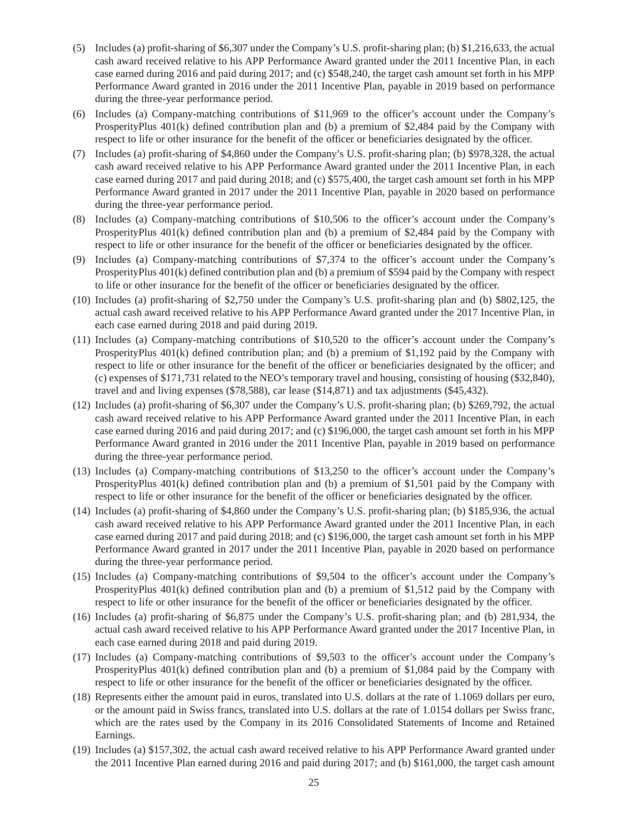- (5) Includes (a) profit-sharing of \$6,307 under the Company's U.S. profit-sharing plan; (b) \$1,216,633, the actual cash award received relative to his APP Performance Award granted under the 2011 Incentive Plan, in each case earned during 2016 and paid during 2017; and (c) \$548,240, the target cash amount set forth in his MPP Performance Award granted in 2016 under the 2011 Incentive Plan, payable in 2019 based on performance during the three-year performance period.
- (6) Includes (a) Company-matching contributions of \$11,969 to the officer's account under the Company's ProsperityPlus 401(k) defined contribution plan and (b) a premium of \$2,484 paid by the Company with respect to life or other insurance for the benefit of the officer or beneficiaries designated by the officer.
- (7) Includes (a) profit-sharing of \$4,860 under the Company's U.S. profit-sharing plan; (b) \$978,328, the actual cash award received relative to his APP Performance Award granted under the 2011 Incentive Plan, in each case earned during 2017 and paid during 2018; and (c) \$575,400, the target cash amount set forth in his MPP Performance Award granted in 2017 under the 2011 Incentive Plan, payable in 2020 based on performance during the three-year performance period.
- (8) Includes (a) Company-matching contributions of \$10,506 to the officer's account under the Company's ProsperityPlus 401(k) defined contribution plan and (b) a premium of \$2,484 paid by the Company with respect to life or other insurance for the benefit of the officer or beneficiaries designated by the officer.
- (9) Includes (a) Company-matching contributions of \$7,374 to the officer's account under the Company's ProsperityPlus 401(k) defined contribution plan and (b) a premium of \$594 paid by the Company with respect to life or other insurance for the benefit of the officer or beneficiaries designated by the officer.
- (10) Includes (a) profit-sharing of \$2,750 under the Company's U.S. profit-sharing plan and (b) \$802,125, the actual cash award received relative to his APP Performance Award granted under the 2017 Incentive Plan, in each case earned during 2018 and paid during 2019.
- (11) Includes (a) Company-matching contributions of \$10,520 to the officer's account under the Company's ProsperityPlus 401(k) defined contribution plan; and (b) a premium of \$1,192 paid by the Company with respect to life or other insurance for the benefit of the officer or beneficiaries designated by the officer; and (c) expenses of \$171,731 related to the NEO's temporary travel and housing, consisting of housing (\$32,840), travel and and living expenses (\$78,588), car lease (\$14,871) and tax adjustments (\$45,432).
- (12) Includes (a) profit-sharing of \$6,307 under the Company's U.S. profit-sharing plan; (b) \$269,792, the actual cash award received relative to his APP Performance Award granted under the 2011 Incentive Plan, in each case earned during 2016 and paid during 2017; and (c) \$196,000, the target cash amount set forth in his MPP Performance Award granted in 2016 under the 2011 Incentive Plan, payable in 2019 based on performance during the three-year performance period.
- (13) Includes (a) Company-matching contributions of \$13,250 to the officer's account under the Company's ProsperityPlus 401(k) defined contribution plan and (b) a premium of \$1,501 paid by the Company with respect to life or other insurance for the benefit of the officer or beneficiaries designated by the officer.
- (14) Includes (a) profit-sharing of \$4,860 under the Company's U.S. profit-sharing plan; (b) \$185,936, the actual cash award received relative to his APP Performance Award granted under the 2011 Incentive Plan, in each case earned during 2017 and paid during 2018; and (c) \$196,000, the target cash amount set forth in his MPP Performance Award granted in 2017 under the 2011 Incentive Plan, payable in 2020 based on performance during the three-year performance period.
- (15) Includes (a) Company-matching contributions of \$9,504 to the officer's account under the Company's ProsperityPlus 401(k) defined contribution plan and (b) a premium of \$1,512 paid by the Company with respect to life or other insurance for the benefit of the officer or beneficiaries designated by the officer.
- (16) Includes (a) profit-sharing of \$6,875 under the Company's U.S. profit-sharing plan; and (b) 281,934, the actual cash award received relative to his APP Performance Award granted under the 2017 Incentive Plan, in each case earned during 2018 and paid during 2019.
- (17) Includes (a) Company-matching contributions of \$9,503 to the officer's account under the Company's ProsperityPlus 401(k) defined contribution plan and (b) a premium of \$1,084 paid by the Company with respect to life or other insurance for the benefit of the officer or beneficiaries designated by the officer.
- (18) Represents either the amount paid in euros, translated into U.S. dollars at the rate of 1.1069 dollars per euro, or the amount paid in Swiss francs, translated into U.S. dollars at the rate of 1.0154 dollars per Swiss franc, which are the rates used by the Company in its 2016 Consolidated Statements of Income and Retained Earnings.
- (19) Includes (a) \$157,302, the actual cash award received relative to his APP Performance Award granted under the 2011 Incentive Plan earned during 2016 and paid during 2017; and (b) \$161,000, the target cash amount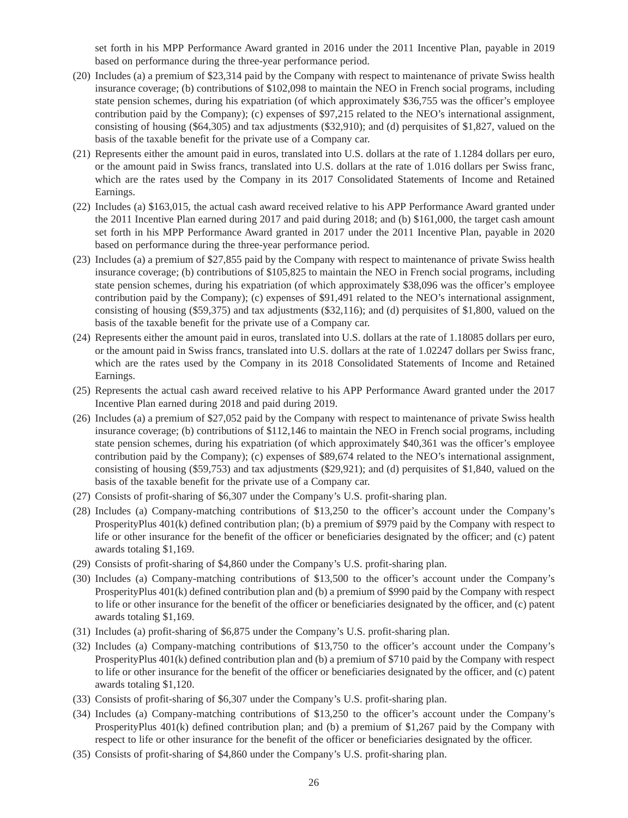set forth in his MPP Performance Award granted in 2016 under the 2011 Incentive Plan, payable in 2019 based on performance during the three-year performance period.

- (20) Includes (a) a premium of \$23,314 paid by the Company with respect to maintenance of private Swiss health insurance coverage; (b) contributions of \$102,098 to maintain the NEO in French social programs, including state pension schemes, during his expatriation (of which approximately \$36,755 was the officer's employee contribution paid by the Company); (c) expenses of \$97,215 related to the NEO's international assignment, consisting of housing (\$64,305) and tax adjustments (\$32,910); and (d) perquisites of \$1,827, valued on the basis of the taxable benefit for the private use of a Company car.
- (21) Represents either the amount paid in euros, translated into U.S. dollars at the rate of 1.1284 dollars per euro, or the amount paid in Swiss francs, translated into U.S. dollars at the rate of 1.016 dollars per Swiss franc, which are the rates used by the Company in its 2017 Consolidated Statements of Income and Retained Earnings.
- (22) Includes (a) \$163,015, the actual cash award received relative to his APP Performance Award granted under the 2011 Incentive Plan earned during 2017 and paid during 2018; and (b) \$161,000, the target cash amount set forth in his MPP Performance Award granted in 2017 under the 2011 Incentive Plan, payable in 2020 based on performance during the three-year performance period.
- (23) Includes (a) a premium of \$27,855 paid by the Company with respect to maintenance of private Swiss health insurance coverage; (b) contributions of \$105,825 to maintain the NEO in French social programs, including state pension schemes, during his expatriation (of which approximately \$38,096 was the officer's employee contribution paid by the Company); (c) expenses of \$91,491 related to the NEO's international assignment, consisting of housing (\$59,375) and tax adjustments (\$32,116); and (d) perquisites of \$1,800, valued on the basis of the taxable benefit for the private use of a Company car.
- (24) Represents either the amount paid in euros, translated into U.S. dollars at the rate of 1.18085 dollars per euro, or the amount paid in Swiss francs, translated into U.S. dollars at the rate of 1.02247 dollars per Swiss franc, which are the rates used by the Company in its 2018 Consolidated Statements of Income and Retained Earnings.
- (25) Represents the actual cash award received relative to his APP Performance Award granted under the 2017 Incentive Plan earned during 2018 and paid during 2019.
- (26) Includes (a) a premium of \$27,052 paid by the Company with respect to maintenance of private Swiss health insurance coverage; (b) contributions of \$112,146 to maintain the NEO in French social programs, including state pension schemes, during his expatriation (of which approximately \$40,361 was the officer's employee contribution paid by the Company); (c) expenses of \$89,674 related to the NEO's international assignment, consisting of housing (\$59,753) and tax adjustments (\$29,921); and (d) perquisites of \$1,840, valued on the basis of the taxable benefit for the private use of a Company car.
- (27) Consists of profit-sharing of \$6,307 under the Company's U.S. profit-sharing plan.
- (28) Includes (a) Company-matching contributions of \$13,250 to the officer's account under the Company's ProsperityPlus 401(k) defined contribution plan; (b) a premium of \$979 paid by the Company with respect to life or other insurance for the benefit of the officer or beneficiaries designated by the officer; and (c) patent awards totaling \$1,169.
- (29) Consists of profit-sharing of \$4,860 under the Company's U.S. profit-sharing plan.
- (30) Includes (a) Company-matching contributions of \$13,500 to the officer's account under the Company's ProsperityPlus 401(k) defined contribution plan and (b) a premium of \$990 paid by the Company with respect to life or other insurance for the benefit of the officer or beneficiaries designated by the officer, and (c) patent awards totaling \$1,169.
- (31) Includes (a) profit-sharing of \$6,875 under the Company's U.S. profit-sharing plan.
- (32) Includes (a) Company-matching contributions of \$13,750 to the officer's account under the Company's ProsperityPlus 401(k) defined contribution plan and (b) a premium of \$710 paid by the Company with respect to life or other insurance for the benefit of the officer or beneficiaries designated by the officer, and (c) patent awards totaling \$1,120.
- (33) Consists of profit-sharing of \$6,307 under the Company's U.S. profit-sharing plan.
- (34) Includes (a) Company-matching contributions of \$13,250 to the officer's account under the Company's ProsperityPlus 401(k) defined contribution plan; and (b) a premium of \$1,267 paid by the Company with respect to life or other insurance for the benefit of the officer or beneficiaries designated by the officer.
- (35) Consists of profit-sharing of \$4,860 under the Company's U.S. profit-sharing plan.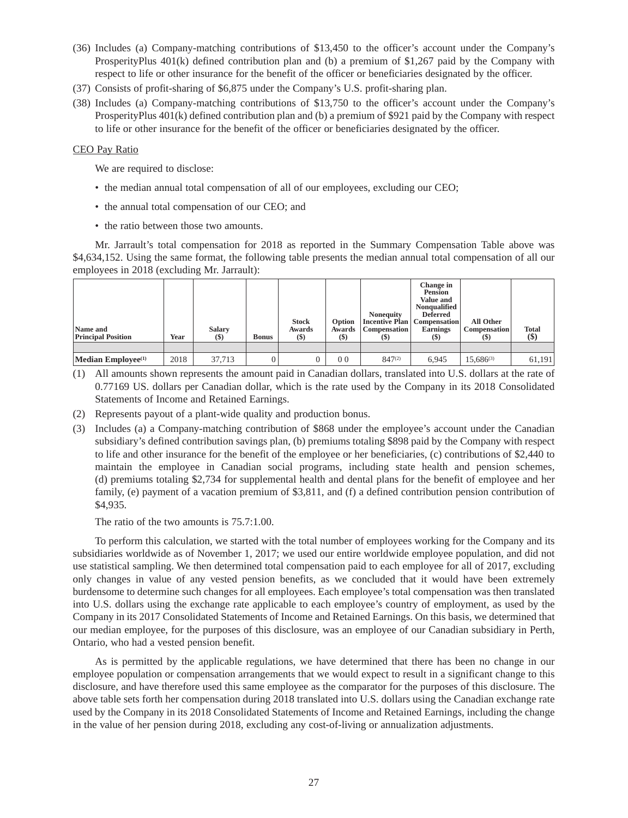- (36) Includes (a) Company-matching contributions of \$13,450 to the officer's account under the Company's ProsperityPlus 401(k) defined contribution plan and (b) a premium of \$1,267 paid by the Company with respect to life or other insurance for the benefit of the officer or beneficiaries designated by the officer.
- (37) Consists of profit-sharing of \$6,875 under the Company's U.S. profit-sharing plan.
- (38) Includes (a) Company-matching contributions of \$13,750 to the officer's account under the Company's ProsperityPlus 401(k) defined contribution plan and (b) a premium of \$921 paid by the Company with respect to life or other insurance for the benefit of the officer or beneficiaries designated by the officer.

## CEO Pay Ratio

We are required to disclose:

- the median annual total compensation of all of our employees, excluding our CEO;
- the annual total compensation of our CEO; and
- the ratio between those two amounts.

Mr. Jarrault's total compensation for 2018 as reported in the Summary Compensation Table above was \$4,634,152. Using the same format, the following table presents the median annual total compensation of all our employees in 2018 (excluding Mr. Jarrault):

| Name and<br><b>Principal Position</b> | Year | <b>Salary</b><br>$($)$ | <b>Bonus</b> | <b>Stock</b><br>Awards<br>$($)$ | Option<br>Awards<br>$(\$)$ | <b>Nonequity</b><br><b>Incentive Plan</b><br><b>Compensation</b><br>$\left( \mathbb{S}\right)$ | Change in<br><b>Pension</b><br>Value and<br>Nonqualified<br><b>Deferred</b><br><b>Compensation</b><br><b>Earnings</b><br><b>(\$)</b> | All Other<br><b>Compensation</b><br>$\left( \mathfrak{D}\right)$ | <b>Total</b><br>\$) |
|---------------------------------------|------|------------------------|--------------|---------------------------------|----------------------------|------------------------------------------------------------------------------------------------|--------------------------------------------------------------------------------------------------------------------------------------|------------------------------------------------------------------|---------------------|
| $ \text{Median Employee}^{(1)} $      | 2018 | 37.713                 |              |                                 | 0 <sub>0</sub>             | 847(2)                                                                                         | 6.945                                                                                                                                | $15,686^{(3)}$                                                   | 61,191              |

- (1) All amounts shown represents the amount paid in Canadian dollars, translated into U.S. dollars at the rate of 0.77169 US. dollars per Canadian dollar, which is the rate used by the Company in its 2018 Consolidated Statements of Income and Retained Earnings.
- (2) Represents payout of a plant-wide quality and production bonus.
- (3) Includes (a) a Company-matching contribution of \$868 under the employee's account under the Canadian subsidiary's defined contribution savings plan, (b) premiums totaling \$898 paid by the Company with respect to life and other insurance for the benefit of the employee or her beneficiaries, (c) contributions of \$2,440 to maintain the employee in Canadian social programs, including state health and pension schemes, (d) premiums totaling \$2,734 for supplemental health and dental plans for the benefit of employee and her family, (e) payment of a vacation premium of \$3,811, and (f) a defined contribution pension contribution of \$4,935.

The ratio of the two amounts is 75.7:1.00.

To perform this calculation, we started with the total number of employees working for the Company and its subsidiaries worldwide as of November 1, 2017; we used our entire worldwide employee population, and did not use statistical sampling. We then determined total compensation paid to each employee for all of 2017, excluding only changes in value of any vested pension benefits, as we concluded that it would have been extremely burdensome to determine such changes for all employees. Each employee's total compensation was then translated into U.S. dollars using the exchange rate applicable to each employee's country of employment, as used by the Company in its 2017 Consolidated Statements of Income and Retained Earnings. On this basis, we determined that our median employee, for the purposes of this disclosure, was an employee of our Canadian subsidiary in Perth, Ontario, who had a vested pension benefit.

As is permitted by the applicable regulations, we have determined that there has been no change in our employee population or compensation arrangements that we would expect to result in a significant change to this disclosure, and have therefore used this same employee as the comparator for the purposes of this disclosure. The above table sets forth her compensation during 2018 translated into U.S. dollars using the Canadian exchange rate used by the Company in its 2018 Consolidated Statements of Income and Retained Earnings, including the change in the value of her pension during 2018, excluding any cost-of-living or annualization adjustments.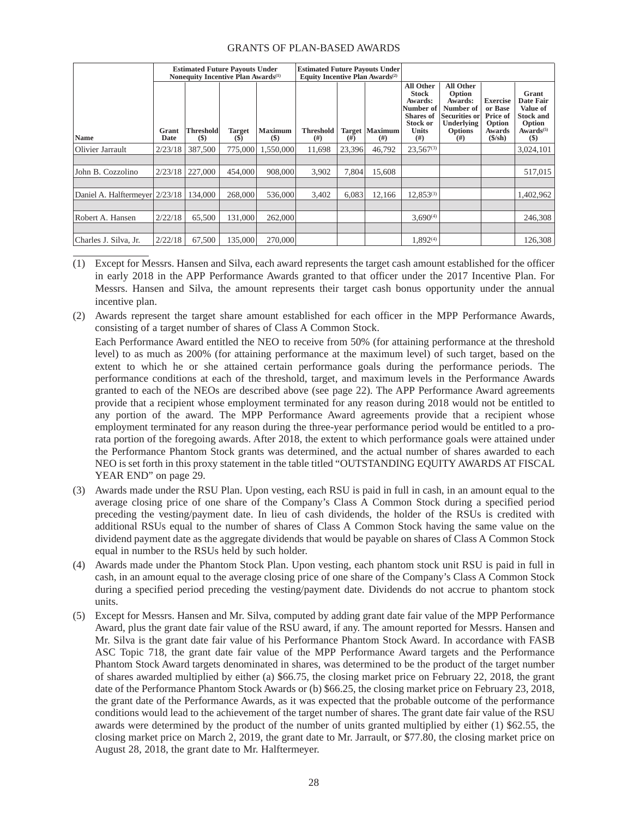## GRANTS OF PLAN-BASED AWARDS

|                                |               |                            | <b>Estimated Future Payouts Under</b><br>Nonequity Incentive Plan Awards <sup>(1)</sup> |                         | <b>Estimated Future Payouts Under</b><br><b>Equity Incentive Plan Awards</b> <sup>(2)</sup> |        |                                  |                                                                                                                         |                                                                                                                    |                                                                                              |                                                                                                |  |
|--------------------------------|---------------|----------------------------|-----------------------------------------------------------------------------------------|-------------------------|---------------------------------------------------------------------------------------------|--------|----------------------------------|-------------------------------------------------------------------------------------------------------------------------|--------------------------------------------------------------------------------------------------------------------|----------------------------------------------------------------------------------------------|------------------------------------------------------------------------------------------------|--|
| <b>Name</b>                    | Grant<br>Date | <b>Threshold</b><br>$(\$)$ | <b>Target</b><br>(S)                                                                    | <b>Maximum</b><br>$($)$ | <b>Threshold</b><br>(# )                                                                    | (# )   | <b>Target   Maximum  </b><br>(#) | <b>All Other</b><br><b>Stock</b><br>Awards:<br>Number of<br><b>Shares</b> of<br><b>Stock or</b><br><b>Units</b><br>(# ) | <b>All Other</b><br>Option<br>Awards:<br>Number of<br><b>Securities or</b><br>Underlying<br><b>Options</b><br>(# ) | <b>Exercise</b><br>or Base<br>Price of<br>Option<br>Awards<br>$(\frac{\text{S}}{\text{Sh}})$ | Grant<br>Date Fair<br>Value of<br><b>Stock and</b><br>Option<br>Awards <sup>(5)</sup><br>$($)$ |  |
| Olivier Jarrault               | 2/23/18       | 387,500                    | 775,000                                                                                 | 1.550,000               | 11.698                                                                                      | 23,396 | 46.792                           | $23.567^{(3)}$                                                                                                          |                                                                                                                    |                                                                                              | 3,024,101                                                                                      |  |
|                                |               |                            |                                                                                         |                         |                                                                                             |        |                                  |                                                                                                                         |                                                                                                                    |                                                                                              |                                                                                                |  |
| John B. Cozzolino              | 2/23/18       | 227,000                    | 454,000                                                                                 | 908,000                 | 3,902                                                                                       | 7,804  | 15.608                           |                                                                                                                         |                                                                                                                    |                                                                                              | 517,015                                                                                        |  |
|                                |               |                            |                                                                                         |                         |                                                                                             |        |                                  |                                                                                                                         |                                                                                                                    |                                                                                              |                                                                                                |  |
| Daniel A. Halftermeyer 2/23/18 |               | 134,000                    | 268,000                                                                                 | 536,000                 | 3.402                                                                                       | 6.083  | 12.166                           | $12.853^{(3)}$                                                                                                          |                                                                                                                    |                                                                                              | 1,402,962                                                                                      |  |
|                                |               |                            |                                                                                         |                         |                                                                                             |        |                                  |                                                                                                                         |                                                                                                                    |                                                                                              |                                                                                                |  |
| Robert A. Hansen               | 2/22/18       | 65,500                     | 131,000                                                                                 | 262,000                 |                                                                                             |        |                                  | $3.690^{(4)}$                                                                                                           |                                                                                                                    |                                                                                              | 246,308                                                                                        |  |
|                                |               |                            |                                                                                         |                         |                                                                                             |        |                                  |                                                                                                                         |                                                                                                                    |                                                                                              |                                                                                                |  |
| Charles J. Silva. Jr.          | 2/22/18       | 67.500                     | 135,000                                                                                 | 270,000                 |                                                                                             |        |                                  | $1.892^{(4)}$                                                                                                           |                                                                                                                    |                                                                                              | 126,308                                                                                        |  |

- (1) Except for Messrs. Hansen and Silva, each award represents the target cash amount established for the officer in early 2018 in the APP Performance Awards granted to that officer under the 2017 Incentive Plan. For Messrs. Hansen and Silva, the amount represents their target cash bonus opportunity under the annual incentive plan.
- (2) Awards represent the target share amount established for each officer in the MPP Performance Awards, consisting of a target number of shares of Class A Common Stock.

Each Performance Award entitled the NEO to receive from 50% (for attaining performance at the threshold level) to as much as 200% (for attaining performance at the maximum level) of such target, based on the extent to which he or she attained certain performance goals during the performance periods. The performance conditions at each of the threshold, target, and maximum levels in the Performance Awards granted to each of the NEOs are described above (see page 22). The APP Performance Award agreements provide that a recipient whose employment terminated for any reason during 2018 would not be entitled to any portion of the award. The MPP Performance Award agreements provide that a recipient whose employment terminated for any reason during the three-year performance period would be entitled to a prorata portion of the foregoing awards. After 2018, the extent to which performance goals were attained under the Performance Phantom Stock grants was determined, and the actual number of shares awarded to each NEO is set forth in this proxy statement in the table titled "OUTSTANDING EQUITY AWARDS AT FISCAL YEAR END" on page 29.

- (3) Awards made under the RSU Plan. Upon vesting, each RSU is paid in full in cash, in an amount equal to the average closing price of one share of the Company's Class A Common Stock during a specified period preceding the vesting/payment date. In lieu of cash dividends, the holder of the RSUs is credited with additional RSUs equal to the number of shares of Class A Common Stock having the same value on the dividend payment date as the aggregate dividends that would be payable on shares of Class A Common Stock equal in number to the RSUs held by such holder.
- (4) Awards made under the Phantom Stock Plan. Upon vesting, each phantom stock unit RSU is paid in full in cash, in an amount equal to the average closing price of one share of the Company's Class A Common Stock during a specified period preceding the vesting/payment date. Dividends do not accrue to phantom stock units.
- (5) Except for Messrs. Hansen and Mr. Silva, computed by adding grant date fair value of the MPP Performance Award, plus the grant date fair value of the RSU award, if any. The amount reported for Messrs. Hansen and Mr. Silva is the grant date fair value of his Performance Phantom Stock Award. In accordance with FASB ASC Topic 718, the grant date fair value of the MPP Performance Award targets and the Performance Phantom Stock Award targets denominated in shares, was determined to be the product of the target number of shares awarded multiplied by either (a) \$66.75, the closing market price on February 22, 2018, the grant date of the Performance Phantom Stock Awards or (b) \$66.25, the closing market price on February 23, 2018, the grant date of the Performance Awards, as it was expected that the probable outcome of the performance conditions would lead to the achievement of the target number of shares. The grant date fair value of the RSU awards were determined by the product of the number of units granted multiplied by either (1) \$62.55, the closing market price on March 2, 2019, the grant date to Mr. Jarrault, or \$77.80, the closing market price on August 28, 2018, the grant date to Mr. Halftermeyer.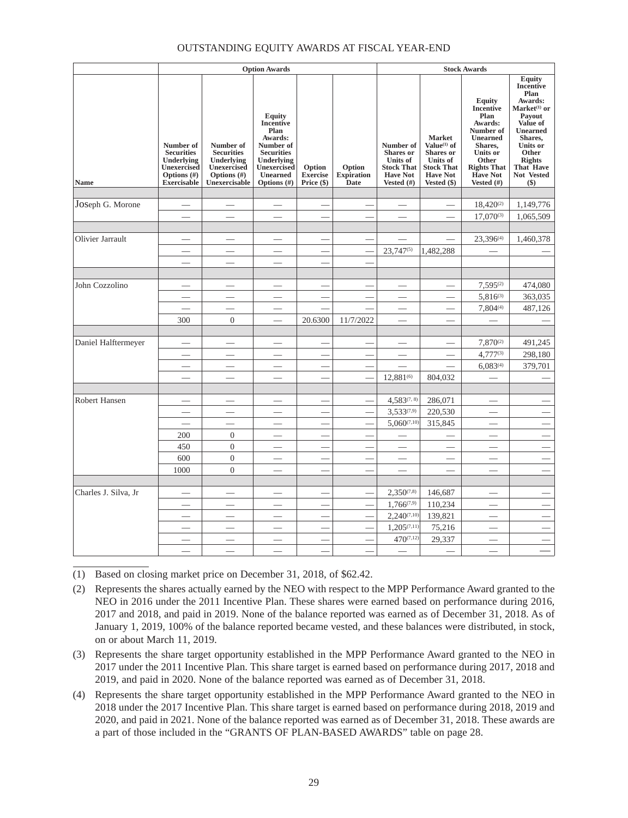# OUTSTANDING EQUITY AWARDS AT FISCAL YEAR-END

|                         |                                                                                                     |                                                                                                | <b>Option Awards</b>                                                                                                                              |                                         |                                            | <b>Stock Awards</b>                                                                                    |                                                                                                                                 |                                                                                                                                                                                      |                                                                                                                                                                                                         |
|-------------------------|-----------------------------------------------------------------------------------------------------|------------------------------------------------------------------------------------------------|---------------------------------------------------------------------------------------------------------------------------------------------------|-----------------------------------------|--------------------------------------------|--------------------------------------------------------------------------------------------------------|---------------------------------------------------------------------------------------------------------------------------------|--------------------------------------------------------------------------------------------------------------------------------------------------------------------------------------|---------------------------------------------------------------------------------------------------------------------------------------------------------------------------------------------------------|
| Name                    | Number of<br><b>Securities</b><br>Underlying<br>Unexercised<br>Options $(\#)$<br><b>Exercisable</b> | Number of<br><b>Securities</b><br>Underlying<br>Unexercised<br>Options $(\#)$<br>Unexercisable | <b>Equity</b><br><b>Incentive</b><br>Plan<br>Awards:<br>Number of<br><b>Securities</b><br>Underlying<br>Unexercised<br>Unearned<br>Options $(\#)$ | Option<br><b>Exercise</b><br>Price (\$) | Option<br><b>Expiration</b><br><b>Date</b> | Number of<br><b>Shares</b> or<br><b>Units</b> of<br><b>Stock That</b><br><b>Have Not</b><br>Vested (#) | <b>Market</b><br>Value <sup>(1)</sup> of<br><b>Shares</b> or<br>Units of<br><b>Stock That</b><br><b>Have Not</b><br>Vested (\$) | <b>Equity</b><br><b>Incentive</b><br>Plan<br>Awards:<br>Number of<br><b>Unearned</b><br>Shares,<br><b>Units or</b><br>Other<br><b>Rights That</b><br><b>Have Not</b><br>Vested $(f)$ | <b>Equity</b><br><b>Incentive</b><br>Plan<br>Awards:<br>Market <sup>(1)</sup> or<br>Pavout<br>Value of<br>Unearned<br>Shares,<br>Units or<br>Other<br><b>Rights</b><br>That Have<br>Not Vested<br>$($)$ |
|                         |                                                                                                     |                                                                                                |                                                                                                                                                   |                                         |                                            |                                                                                                        |                                                                                                                                 |                                                                                                                                                                                      |                                                                                                                                                                                                         |
| JOSeph G. Morone        |                                                                                                     |                                                                                                |                                                                                                                                                   |                                         |                                            |                                                                                                        |                                                                                                                                 | $18,420^{(2)}$                                                                                                                                                                       | 1,149,776                                                                                                                                                                                               |
|                         |                                                                                                     |                                                                                                |                                                                                                                                                   |                                         |                                            |                                                                                                        |                                                                                                                                 | 17,070(3)                                                                                                                                                                            | 1,065,509                                                                                                                                                                                               |
|                         |                                                                                                     |                                                                                                |                                                                                                                                                   |                                         |                                            |                                                                                                        |                                                                                                                                 |                                                                                                                                                                                      |                                                                                                                                                                                                         |
| <b>Olivier Jarrault</b> |                                                                                                     |                                                                                                |                                                                                                                                                   |                                         |                                            |                                                                                                        |                                                                                                                                 | 23,396(4)                                                                                                                                                                            | 1,460,378                                                                                                                                                                                               |
|                         |                                                                                                     |                                                                                                |                                                                                                                                                   |                                         |                                            | $23.747^{(5)}$                                                                                         | 1.482.288                                                                                                                       |                                                                                                                                                                                      |                                                                                                                                                                                                         |
|                         |                                                                                                     |                                                                                                |                                                                                                                                                   |                                         |                                            |                                                                                                        |                                                                                                                                 |                                                                                                                                                                                      |                                                                                                                                                                                                         |
|                         |                                                                                                     |                                                                                                |                                                                                                                                                   |                                         |                                            |                                                                                                        |                                                                                                                                 |                                                                                                                                                                                      |                                                                                                                                                                                                         |
| John Cozzolino          |                                                                                                     |                                                                                                |                                                                                                                                                   |                                         |                                            |                                                                                                        |                                                                                                                                 | $7,595^{(2)}$                                                                                                                                                                        | 474,080                                                                                                                                                                                                 |
|                         |                                                                                                     | $\overline{\phantom{0}}$                                                                       | $\overline{\phantom{0}}$                                                                                                                          |                                         |                                            |                                                                                                        | $\overline{\phantom{a}}$                                                                                                        | $5,816^{(3)}$                                                                                                                                                                        | 363,035                                                                                                                                                                                                 |
|                         |                                                                                                     |                                                                                                |                                                                                                                                                   |                                         |                                            |                                                                                                        |                                                                                                                                 | 7,804(4)                                                                                                                                                                             | 487,126                                                                                                                                                                                                 |
|                         | 300                                                                                                 | $\overline{0}$                                                                                 |                                                                                                                                                   | 20.6300                                 | 11/7/2022                                  |                                                                                                        |                                                                                                                                 |                                                                                                                                                                                      |                                                                                                                                                                                                         |
| Daniel Halftermeyer     |                                                                                                     |                                                                                                |                                                                                                                                                   |                                         |                                            |                                                                                                        |                                                                                                                                 | $7,870^{(2)}$                                                                                                                                                                        | 491,245                                                                                                                                                                                                 |
|                         |                                                                                                     |                                                                                                |                                                                                                                                                   |                                         |                                            |                                                                                                        |                                                                                                                                 | $4,777^{(3)}$                                                                                                                                                                        | 298,180                                                                                                                                                                                                 |
|                         |                                                                                                     |                                                                                                |                                                                                                                                                   |                                         |                                            |                                                                                                        |                                                                                                                                 | $6,083^{(4)}$                                                                                                                                                                        | 379,701                                                                                                                                                                                                 |
|                         |                                                                                                     |                                                                                                |                                                                                                                                                   |                                         |                                            | 12,881(6)                                                                                              | 804,032                                                                                                                         |                                                                                                                                                                                      |                                                                                                                                                                                                         |
|                         |                                                                                                     |                                                                                                |                                                                                                                                                   |                                         |                                            |                                                                                                        |                                                                                                                                 |                                                                                                                                                                                      |                                                                                                                                                                                                         |
| <b>Robert Hansen</b>    |                                                                                                     |                                                                                                |                                                                                                                                                   |                                         |                                            | $4,583^{(7,8)}$                                                                                        | 286,071                                                                                                                         |                                                                                                                                                                                      |                                                                                                                                                                                                         |
|                         |                                                                                                     |                                                                                                |                                                                                                                                                   |                                         |                                            | $3,533^{(7,9)}$                                                                                        | 220,530                                                                                                                         |                                                                                                                                                                                      |                                                                                                                                                                                                         |
|                         | $\overline{\phantom{0}}$                                                                            | $\overline{\phantom{a}}$                                                                       | $\overline{\phantom{0}}$                                                                                                                          |                                         |                                            | $5,060^{(7,10)}$                                                                                       | 315,845                                                                                                                         | $\overline{\phantom{0}}$                                                                                                                                                             | $\equiv$                                                                                                                                                                                                |
|                         | 200                                                                                                 | $\theta$                                                                                       |                                                                                                                                                   |                                         |                                            |                                                                                                        |                                                                                                                                 |                                                                                                                                                                                      |                                                                                                                                                                                                         |
|                         | 450                                                                                                 | $\boldsymbol{0}$                                                                               |                                                                                                                                                   |                                         |                                            | $\overline{\phantom{0}}$                                                                               |                                                                                                                                 |                                                                                                                                                                                      |                                                                                                                                                                                                         |
|                         | 600                                                                                                 | $\boldsymbol{0}$                                                                               |                                                                                                                                                   |                                         |                                            |                                                                                                        |                                                                                                                                 |                                                                                                                                                                                      |                                                                                                                                                                                                         |
|                         | 1000                                                                                                | $\overline{0}$                                                                                 |                                                                                                                                                   |                                         |                                            |                                                                                                        |                                                                                                                                 | $\overline{\phantom{0}}$                                                                                                                                                             |                                                                                                                                                                                                         |
|                         |                                                                                                     |                                                                                                |                                                                                                                                                   |                                         |                                            |                                                                                                        |                                                                                                                                 |                                                                                                                                                                                      |                                                                                                                                                                                                         |
| Charles J. Silva, Jr    |                                                                                                     |                                                                                                |                                                                                                                                                   |                                         |                                            | $2,350^{(7,8)}$                                                                                        | 146,687                                                                                                                         |                                                                                                                                                                                      |                                                                                                                                                                                                         |
|                         |                                                                                                     |                                                                                                |                                                                                                                                                   |                                         |                                            | $1,766^{(7,9)}$                                                                                        | 110,234                                                                                                                         |                                                                                                                                                                                      |                                                                                                                                                                                                         |
|                         |                                                                                                     |                                                                                                |                                                                                                                                                   |                                         |                                            | $2,240^{(7,10)}$                                                                                       | 139,821                                                                                                                         |                                                                                                                                                                                      | $\equiv$                                                                                                                                                                                                |
|                         |                                                                                                     |                                                                                                |                                                                                                                                                   |                                         |                                            | $1,205^{(7,11)}$                                                                                       | 75,216                                                                                                                          |                                                                                                                                                                                      | $\overline{\phantom{0}}$                                                                                                                                                                                |
|                         |                                                                                                     |                                                                                                |                                                                                                                                                   |                                         |                                            | $470^{(7,12)}$                                                                                         | 29,337                                                                                                                          | $\overline{\phantom{0}}$                                                                                                                                                             |                                                                                                                                                                                                         |
|                         |                                                                                                     |                                                                                                |                                                                                                                                                   |                                         |                                            |                                                                                                        |                                                                                                                                 |                                                                                                                                                                                      |                                                                                                                                                                                                         |

(1) Based on closing market price on December 31, 2018, of \$62.42.

(2) Represents the shares actually earned by the NEO with respect to the MPP Performance Award granted to the NEO in 2016 under the 2011 Incentive Plan. These shares were earned based on performance during 2016, 2017 and 2018, and paid in 2019. None of the balance reported was earned as of December 31, 2018. As of January 1, 2019, 100% of the balance reported became vested, and these balances were distributed, in stock, on or about March 11, 2019.

- (3) Represents the share target opportunity established in the MPP Performance Award granted to the NEO in 2017 under the 2011 Incentive Plan. This share target is earned based on performance during 2017, 2018 and 2019, and paid in 2020. None of the balance reported was earned as of December 31, 2018.
- (4) Represents the share target opportunity established in the MPP Performance Award granted to the NEO in 2018 under the 2017 Incentive Plan. This share target is earned based on performance during 2018, 2019 and 2020, and paid in 2021. None of the balance reported was earned as of December 31, 2018. These awards are a part of those included in the "GRANTS OF PLAN-BASED AWARDS" table on page 28.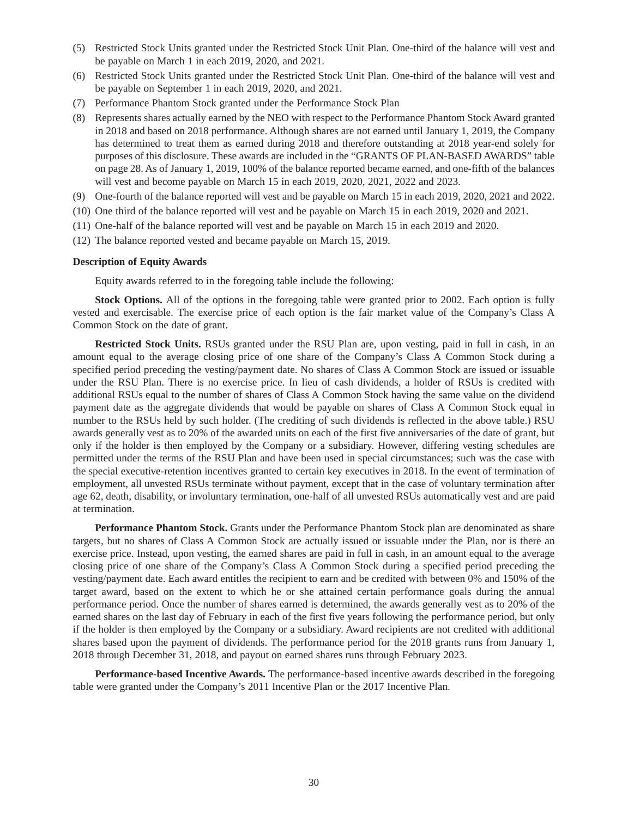- (5) Restricted Stock Units granted under the Restricted Stock Unit Plan. One-third of the balance will vest and be payable on March 1 in each 2019, 2020, and 2021.
- (6) Restricted Stock Units granted under the Restricted Stock Unit Plan. One-third of the balance will vest and be payable on September 1 in each 2019, 2020, and 2021.
- (7) Performance Phantom Stock granted under the Performance Stock Plan
- (8) Represents shares actually earned by the NEO with respect to the Performance Phantom Stock Award granted in 2018 and based on 2018 performance. Although shares are not earned until January 1, 2019, the Company has determined to treat them as earned during 2018 and therefore outstanding at 2018 year-end solely for purposes of this disclosure. These awards are included in the "GRANTS OF PLAN-BASED AWARDS" table on page 28. As of January 1, 2019, 100% of the balance reported became earned, and one-fifth of the balances will vest and become payable on March 15 in each 2019, 2020, 2021, 2022 and 2023.
- (9) One-fourth of the balance reported will vest and be payable on March 15 in each 2019, 2020, 2021 and 2022.
- (10) One third of the balance reported will vest and be payable on March 15 in each 2019, 2020 and 2021.
- (11) One-half of the balance reported will vest and be payable on March 15 in each 2019 and 2020.
- (12) The balance reported vested and became payable on March 15, 2019.

### **Description of Equity Awards**

Equity awards referred to in the foregoing table include the following:

**Stock Options.** All of the options in the foregoing table were granted prior to 2002. Each option is fully vested and exercisable. The exercise price of each option is the fair market value of the Company's Class A Common Stock on the date of grant.

**Restricted Stock Units.** RSUs granted under the RSU Plan are, upon vesting, paid in full in cash, in an amount equal to the average closing price of one share of the Company's Class A Common Stock during a specified period preceding the vesting/payment date. No shares of Class A Common Stock are issued or issuable under the RSU Plan. There is no exercise price. In lieu of cash dividends, a holder of RSUs is credited with additional RSUs equal to the number of shares of Class A Common Stock having the same value on the dividend payment date as the aggregate dividends that would be payable on shares of Class A Common Stock equal in number to the RSUs held by such holder. (The crediting of such dividends is reflected in the above table.) RSU awards generally vest as to 20% of the awarded units on each of the first five anniversaries of the date of grant, but only if the holder is then employed by the Company or a subsidiary. However, differing vesting schedules are permitted under the terms of the RSU Plan and have been used in special circumstances; such was the case with the special executive-retention incentives granted to certain key executives in 2018. In the event of termination of employment, all unvested RSUs terminate without payment, except that in the case of voluntary termination after age 62, death, disability, or involuntary termination, one-half of all unvested RSUs automatically vest and are paid at termination.

**Performance Phantom Stock.** Grants under the Performance Phantom Stock plan are denominated as share targets, but no shares of Class A Common Stock are actually issued or issuable under the Plan, nor is there an exercise price. Instead, upon vesting, the earned shares are paid in full in cash, in an amount equal to the average closing price of one share of the Company's Class A Common Stock during a specified period preceding the vesting/payment date. Each award entitles the recipient to earn and be credited with between 0% and 150% of the target award, based on the extent to which he or she attained certain performance goals during the annual performance period. Once the number of shares earned is determined, the awards generally vest as to 20% of the earned shares on the last day of February in each of the first five years following the performance period, but only if the holder is then employed by the Company or a subsidiary. Award recipients are not credited with additional shares based upon the payment of dividends. The performance period for the 2018 grants runs from January 1, 2018 through December 31, 2018, and payout on earned shares runs through February 2023.

**Performance-based Incentive Awards.** The performance-based incentive awards described in the foregoing table were granted under the Company's 2011 Incentive Plan or the 2017 Incentive Plan.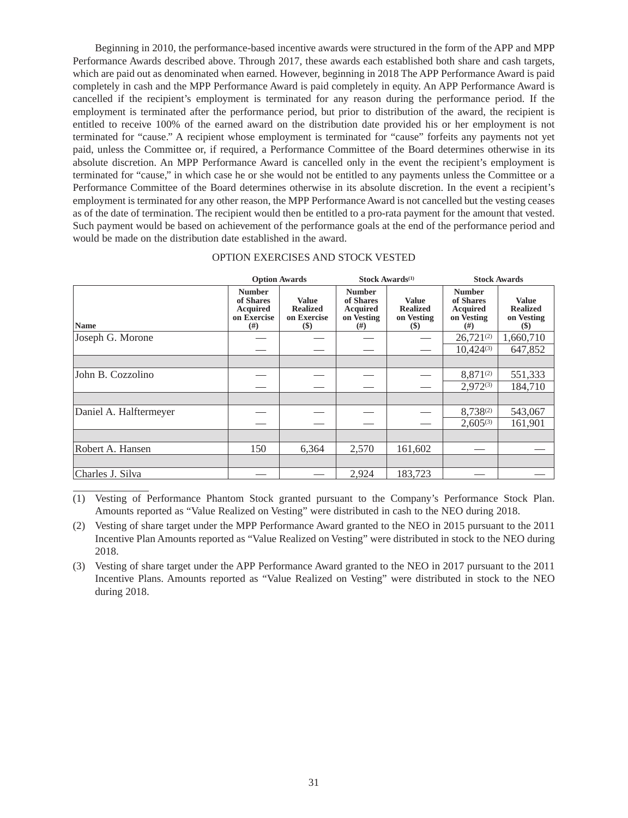Beginning in 2010, the performance-based incentive awards were structured in the form of the APP and MPP Performance Awards described above. Through 2017, these awards each established both share and cash targets, which are paid out as denominated when earned. However, beginning in 2018 The APP Performance Award is paid completely in cash and the MPP Performance Award is paid completely in equity. An APP Performance Award is cancelled if the recipient's employment is terminated for any reason during the performance period. If the employment is terminated after the performance period, but prior to distribution of the award, the recipient is entitled to receive 100% of the earned award on the distribution date provided his or her employment is not terminated for "cause." A recipient whose employment is terminated for "cause" forfeits any payments not yet paid, unless the Committee or, if required, a Performance Committee of the Board determines otherwise in its absolute discretion. An MPP Performance Award is cancelled only in the event the recipient's employment is terminated for "cause," in which case he or she would not be entitled to any payments unless the Committee or a Performance Committee of the Board determines otherwise in its absolute discretion. In the event a recipient's employment is terminated for any other reason, the MPP Performance Award is not cancelled but the vesting ceases as of the date of termination. The recipient would then be entitled to a pro-rata payment for the amount that vested. Such payment would be based on achievement of the performance goals at the end of the performance period and would be made on the distribution date established in the award.

|                        | <b>Option Awards</b>                                                     |                                                          | Stock Awards <sup>(1)</sup>                                         |                                                         | <b>Stock Awards</b>                                               |                                                         |  |
|------------------------|--------------------------------------------------------------------------|----------------------------------------------------------|---------------------------------------------------------------------|---------------------------------------------------------|-------------------------------------------------------------------|---------------------------------------------------------|--|
| <b>Name</b>            | <b>Number</b><br>of Shares<br><b>Acquired</b><br>on Exercise<br>$^{(#)}$ | <b>Value</b><br><b>Realized</b><br>on Exercise<br>$(\$)$ | <b>Number</b><br>of Shares<br><b>Acquired</b><br>on Vesting<br>(# ) | <b>Value</b><br><b>Realized</b><br>on Vesting<br>$(\$)$ | <b>Number</b><br>of Shares<br><b>Acquired</b><br>on Vesting<br>#) | <b>Value</b><br><b>Realized</b><br>on Vesting<br>$(\$)$ |  |
| Joseph G. Morone       |                                                                          |                                                          |                                                                     |                                                         | $26,721^{(2)}$                                                    | 1,660,710                                               |  |
|                        |                                                                          |                                                          |                                                                     |                                                         | $10,424^{(3)}$                                                    | 647,852                                                 |  |
|                        |                                                                          |                                                          |                                                                     |                                                         |                                                                   |                                                         |  |
| John B. Cozzolino      |                                                                          |                                                          |                                                                     |                                                         | $8,871^{(2)}$                                                     | 551,333                                                 |  |
|                        |                                                                          |                                                          |                                                                     |                                                         | $2,972^{(3)}$                                                     | 184,710                                                 |  |
|                        |                                                                          |                                                          |                                                                     |                                                         |                                                                   |                                                         |  |
| Daniel A. Halftermeyer |                                                                          |                                                          |                                                                     |                                                         | 8,738(2)                                                          | 543,067                                                 |  |
|                        |                                                                          |                                                          |                                                                     |                                                         | $2,605^{(3)}$                                                     | 161,901                                                 |  |
|                        |                                                                          |                                                          |                                                                     |                                                         |                                                                   |                                                         |  |
| Robert A. Hansen       | 150                                                                      | 6.364                                                    | 2,570                                                               | 161,602                                                 |                                                                   |                                                         |  |
|                        |                                                                          |                                                          |                                                                     |                                                         |                                                                   |                                                         |  |
| Charles J. Silva       |                                                                          |                                                          | 2,924                                                               | 183,723                                                 |                                                                   |                                                         |  |

(1) Vesting of Performance Phantom Stock granted pursuant to the Company's Performance Stock Plan. Amounts reported as "Value Realized on Vesting" were distributed in cash to the NEO during 2018.

(2) Vesting of share target under the MPP Performance Award granted to the NEO in 2015 pursuant to the 2011 Incentive Plan Amounts reported as "Value Realized on Vesting" were distributed in stock to the NEO during 2018.

(3) Vesting of share target under the APP Performance Award granted to the NEO in 2017 pursuant to the 2011 Incentive Plans. Amounts reported as "Value Realized on Vesting" were distributed in stock to the NEO during 2018.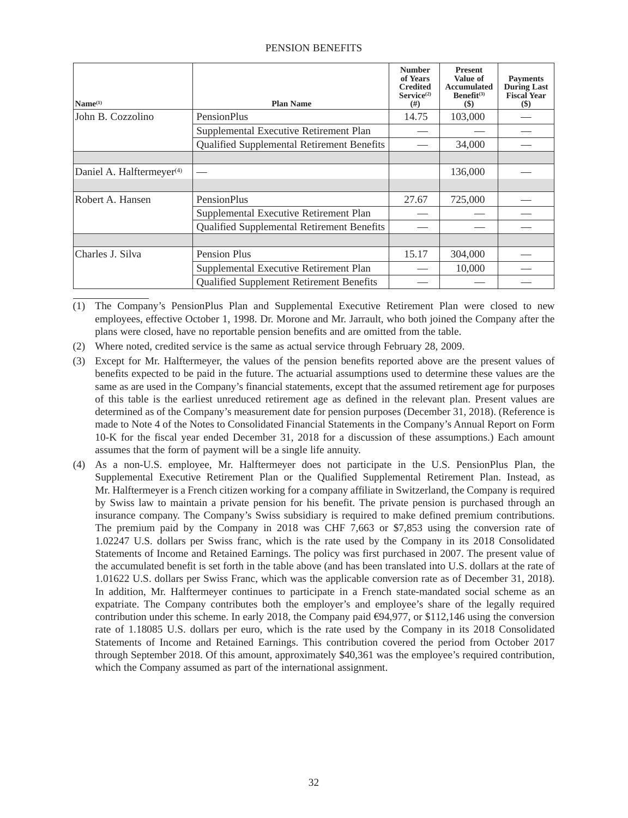| Name <sup>(1)</sup>                   | <b>Plan Name</b>                           | <b>Number</b><br>of Years<br><b>Credited</b><br>Service <sup>(2)</sup><br>(# ) | <b>Present</b><br>Value of<br><b>Accumulated</b><br>Benefit <sup>(3)</sup><br>$($)$ | <b>Payments</b><br><b>During Last</b><br><b>Fiscal Year</b><br>\$) |
|---------------------------------------|--------------------------------------------|--------------------------------------------------------------------------------|-------------------------------------------------------------------------------------|--------------------------------------------------------------------|
| John B. Cozzolino                     | <b>PensionPlus</b>                         | 14.75                                                                          | 103,000                                                                             |                                                                    |
|                                       | Supplemental Executive Retirement Plan     |                                                                                |                                                                                     |                                                                    |
|                                       | Qualified Supplemental Retirement Benefits |                                                                                | 34,000                                                                              |                                                                    |
|                                       |                                            |                                                                                |                                                                                     |                                                                    |
| Daniel A. Halftermeyer <sup>(4)</sup> |                                            |                                                                                | 136,000                                                                             |                                                                    |
|                                       |                                            |                                                                                |                                                                                     |                                                                    |
| Robert A. Hansen                      | PensionPlus                                | 27.67                                                                          | 725,000                                                                             |                                                                    |
|                                       | Supplemental Executive Retirement Plan     |                                                                                |                                                                                     |                                                                    |
|                                       | Qualified Supplemental Retirement Benefits |                                                                                |                                                                                     |                                                                    |
|                                       |                                            |                                                                                |                                                                                     |                                                                    |
| Charles J. Silva                      | Pension Plus                               | 15.17                                                                          | 304,000                                                                             |                                                                    |
|                                       | Supplemental Executive Retirement Plan     |                                                                                | 10,000                                                                              |                                                                    |
|                                       | Qualified Supplement Retirement Benefits   |                                                                                |                                                                                     |                                                                    |

(1) The Company's PensionPlus Plan and Supplemental Executive Retirement Plan were closed to new employees, effective October 1, 1998. Dr. Morone and Mr. Jarrault, who both joined the Company after the plans were closed, have no reportable pension benefits and are omitted from the table.

- (2) Where noted, credited service is the same as actual service through February 28, 2009.
- (3) Except for Mr. Halftermeyer, the values of the pension benefits reported above are the present values of benefits expected to be paid in the future. The actuarial assumptions used to determine these values are the same as are used in the Company's financial statements, except that the assumed retirement age for purposes of this table is the earliest unreduced retirement age as defined in the relevant plan. Present values are determined as of the Company's measurement date for pension purposes (December 31, 2018). (Reference is made to Note 4 of the Notes to Consolidated Financial Statements in the Company's Annual Report on Form 10-K for the fiscal year ended December 31, 2018 for a discussion of these assumptions.) Each amount assumes that the form of payment will be a single life annuity.
- (4) As a non-U.S. employee, Mr. Halftermeyer does not participate in the U.S. PensionPlus Plan, the Supplemental Executive Retirement Plan or the Qualified Supplemental Retirement Plan. Instead, as Mr. Halftermeyer is a French citizen working for a company affiliate in Switzerland, the Company is required by Swiss law to maintain a private pension for his benefit. The private pension is purchased through an insurance company. The Company's Swiss subsidiary is required to make defined premium contributions. The premium paid by the Company in 2018 was CHF 7,663 or \$7,853 using the conversion rate of 1.02247 U.S. dollars per Swiss franc, which is the rate used by the Company in its 2018 Consolidated Statements of Income and Retained Earnings. The policy was first purchased in 2007. The present value of the accumulated benefit is set forth in the table above (and has been translated into U.S. dollars at the rate of 1.01622 U.S. dollars per Swiss Franc, which was the applicable conversion rate as of December 31, 2018). In addition, Mr. Halftermeyer continues to participate in a French state-mandated social scheme as an expatriate. The Company contributes both the employer's and employee's share of the legally required contribution under this scheme. In early 2018, the Company paid  $\epsilon$ 94,977, or \$112,146 using the conversion rate of 1.18085 U.S. dollars per euro, which is the rate used by the Company in its 2018 Consolidated Statements of Income and Retained Earnings. This contribution covered the period from October 2017 through September 2018. Of this amount, approximately \$40,361 was the employee's required contribution, which the Company assumed as part of the international assignment.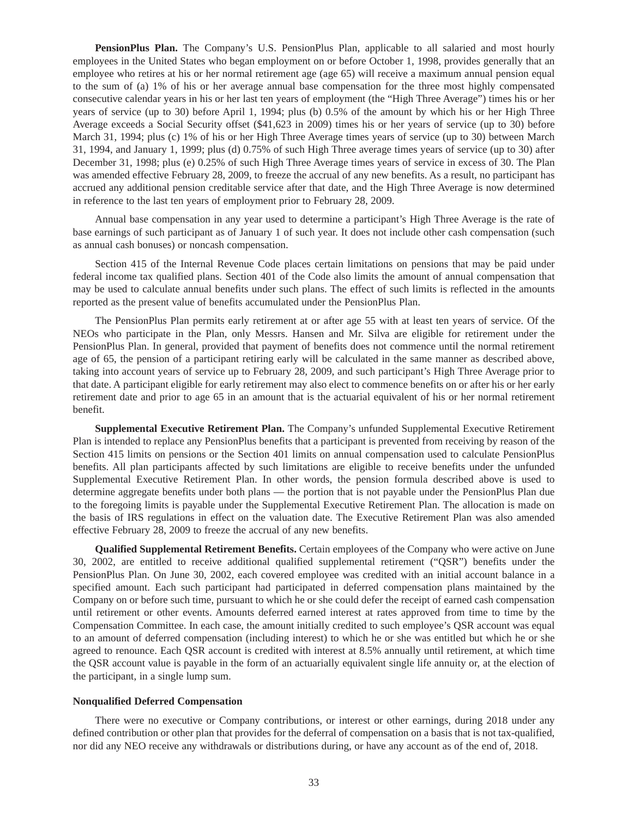**PensionPlus Plan.** The Company's U.S. PensionPlus Plan, applicable to all salaried and most hourly employees in the United States who began employment on or before October 1, 1998, provides generally that an employee who retires at his or her normal retirement age (age 65) will receive a maximum annual pension equal to the sum of (a) 1% of his or her average annual base compensation for the three most highly compensated consecutive calendar years in his or her last ten years of employment (the "High Three Average") times his or her years of service (up to 30) before April 1, 1994; plus (b) 0.5% of the amount by which his or her High Three Average exceeds a Social Security offset (\$41,623 in 2009) times his or her years of service (up to 30) before March 31, 1994; plus (c) 1% of his or her High Three Average times years of service (up to 30) between March 31, 1994, and January 1, 1999; plus (d) 0.75% of such High Three average times years of service (up to 30) after December 31, 1998; plus (e) 0.25% of such High Three Average times years of service in excess of 30. The Plan was amended effective February 28, 2009, to freeze the accrual of any new benefits. As a result, no participant has accrued any additional pension creditable service after that date, and the High Three Average is now determined in reference to the last ten years of employment prior to February 28, 2009.

Annual base compensation in any year used to determine a participant's High Three Average is the rate of base earnings of such participant as of January 1 of such year. It does not include other cash compensation (such as annual cash bonuses) or noncash compensation.

Section 415 of the Internal Revenue Code places certain limitations on pensions that may be paid under federal income tax qualified plans. Section 401 of the Code also limits the amount of annual compensation that may be used to calculate annual benefits under such plans. The effect of such limits is reflected in the amounts reported as the present value of benefits accumulated under the PensionPlus Plan.

The PensionPlus Plan permits early retirement at or after age 55 with at least ten years of service. Of the NEOs who participate in the Plan, only Messrs. Hansen and Mr. Silva are eligible for retirement under the PensionPlus Plan. In general, provided that payment of benefits does not commence until the normal retirement age of 65, the pension of a participant retiring early will be calculated in the same manner as described above, taking into account years of service up to February 28, 2009, and such participant's High Three Average prior to that date. A participant eligible for early retirement may also elect to commence benefits on or after his or her early retirement date and prior to age 65 in an amount that is the actuarial equivalent of his or her normal retirement benefit.

**Supplemental Executive Retirement Plan.** The Company's unfunded Supplemental Executive Retirement Plan is intended to replace any PensionPlus benefits that a participant is prevented from receiving by reason of the Section 415 limits on pensions or the Section 401 limits on annual compensation used to calculate PensionPlus benefits. All plan participants affected by such limitations are eligible to receive benefits under the unfunded Supplemental Executive Retirement Plan. In other words, the pension formula described above is used to determine aggregate benefits under both plans — the portion that is not payable under the PensionPlus Plan due to the foregoing limits is payable under the Supplemental Executive Retirement Plan. The allocation is made on the basis of IRS regulations in effect on the valuation date. The Executive Retirement Plan was also amended effective February 28, 2009 to freeze the accrual of any new benefits.

**Qualified Supplemental Retirement Benefits.** Certain employees of the Company who were active on June 30, 2002, are entitled to receive additional qualified supplemental retirement ("QSR") benefits under the PensionPlus Plan. On June 30, 2002, each covered employee was credited with an initial account balance in a specified amount. Each such participant had participated in deferred compensation plans maintained by the Company on or before such time, pursuant to which he or she could defer the receipt of earned cash compensation until retirement or other events. Amounts deferred earned interest at rates approved from time to time by the Compensation Committee. In each case, the amount initially credited to such employee's QSR account was equal to an amount of deferred compensation (including interest) to which he or she was entitled but which he or she agreed to renounce. Each QSR account is credited with interest at 8.5% annually until retirement, at which time the QSR account value is payable in the form of an actuarially equivalent single life annuity or, at the election of the participant, in a single lump sum.

#### **Nonqualified Deferred Compensation**

There were no executive or Company contributions, or interest or other earnings, during 2018 under any defined contribution or other plan that provides for the deferral of compensation on a basis that is not tax-qualified, nor did any NEO receive any withdrawals or distributions during, or have any account as of the end of, 2018.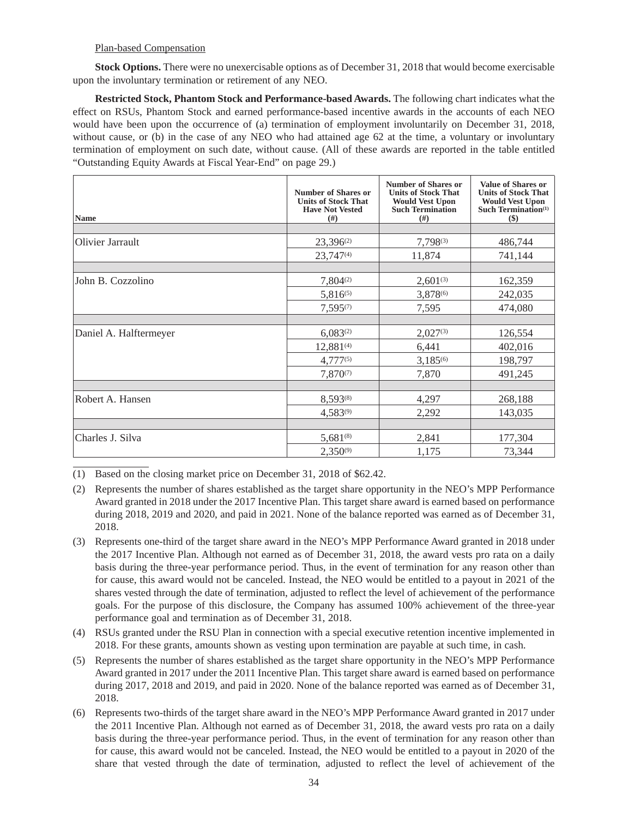## Plan-based Compensation

**Stock Options.** There were no unexercisable options as of December 31, 2018 that would become exercisable upon the involuntary termination or retirement of any NEO.

**Restricted Stock, Phantom Stock and Performance-based Awards.** The following chart indicates what the effect on RSUs, Phantom Stock and earned performance-based incentive awards in the accounts of each NEO would have been upon the occurrence of (a) termination of employment involuntarily on December 31, 2018, without cause, or (b) in the case of any NEO who had attained age 62 at the time, a voluntary or involuntary termination of employment on such date, without cause. (All of these awards are reported in the table entitled "Outstanding Equity Awards at Fiscal Year-End" on page 29.)

| <b>Name</b>            | Number of Shares or<br><b>Units of Stock That</b><br><b>Have Not Vested</b><br>(# ) | Number of Shares or<br><b>Units of Stock That</b><br><b>Would Vest Upon</b><br><b>Such Termination</b><br>(# ) | <b>Value of Shares or</b><br><b>Units of Stock That</b><br><b>Would Vest Upon</b><br>Such Termination <sup>(1)</sup><br>\$) |
|------------------------|-------------------------------------------------------------------------------------|----------------------------------------------------------------------------------------------------------------|-----------------------------------------------------------------------------------------------------------------------------|
|                        |                                                                                     |                                                                                                                |                                                                                                                             |
| Olivier Jarrault       | 23,396(2)                                                                           | 7,798(3)                                                                                                       | 486,744                                                                                                                     |
|                        | $23,747^{(4)}$                                                                      | 11,874                                                                                                         | 741,144                                                                                                                     |
|                        |                                                                                     |                                                                                                                |                                                                                                                             |
| John B. Cozzolino      | $7,804^{(2)}$                                                                       | $2,601^{(3)}$                                                                                                  | 162,359                                                                                                                     |
|                        | $5,816^{(5)}$                                                                       | 3,878(6)                                                                                                       | 242,035                                                                                                                     |
|                        | $7,595^{(7)}$                                                                       | 7,595                                                                                                          | 474,080                                                                                                                     |
|                        |                                                                                     |                                                                                                                |                                                                                                                             |
| Daniel A. Halftermeyer | $6.083^{(2)}$                                                                       | $2,027^{(3)}$                                                                                                  | 126,554                                                                                                                     |
|                        | $12,881^{(4)}$                                                                      | 6,441                                                                                                          | 402,016                                                                                                                     |
|                        | $4,777^{(5)}$                                                                       | $3,185^{(6)}$                                                                                                  | 198,797                                                                                                                     |
|                        | $7.870^{(7)}$                                                                       | 7,870                                                                                                          | 491,245                                                                                                                     |
|                        |                                                                                     |                                                                                                                |                                                                                                                             |
| Robert A. Hansen       | 8,593(8)                                                                            | 4,297                                                                                                          | 268,188                                                                                                                     |
|                        | $4.583^{(9)}$                                                                       | 2,292                                                                                                          | 143,035                                                                                                                     |
|                        |                                                                                     |                                                                                                                |                                                                                                                             |
| Charles J. Silva       | $5,681^{(8)}$                                                                       | 2,841                                                                                                          | 177,304                                                                                                                     |
|                        | $2,350^{(9)}$                                                                       | 1,175                                                                                                          | 73,344                                                                                                                      |

(1) Based on the closing market price on December 31, 2018 of \$62.42.

- (2) Represents the number of shares established as the target share opportunity in the NEO's MPP Performance Award granted in 2018 under the 2017 Incentive Plan. This target share award is earned based on performance during 2018, 2019 and 2020, and paid in 2021. None of the balance reported was earned as of December 31, 2018.
- (3) Represents one-third of the target share award in the NEO's MPP Performance Award granted in 2018 under the 2017 Incentive Plan. Although not earned as of December 31, 2018, the award vests pro rata on a daily basis during the three-year performance period. Thus, in the event of termination for any reason other than for cause, this award would not be canceled. Instead, the NEO would be entitled to a payout in 2021 of the shares vested through the date of termination, adjusted to reflect the level of achievement of the performance goals. For the purpose of this disclosure, the Company has assumed 100% achievement of the three-year performance goal and termination as of December 31, 2018.
- (4) RSUs granted under the RSU Plan in connection with a special executive retention incentive implemented in 2018. For these grants, amounts shown as vesting upon termination are payable at such time, in cash.
- (5) Represents the number of shares established as the target share opportunity in the NEO's MPP Performance Award granted in 2017 under the 2011 Incentive Plan. This target share award is earned based on performance during 2017, 2018 and 2019, and paid in 2020. None of the balance reported was earned as of December 31, 2018.
- (6) Represents two-thirds of the target share award in the NEO's MPP Performance Award granted in 2017 under the 2011 Incentive Plan. Although not earned as of December 31, 2018, the award vests pro rata on a daily basis during the three-year performance period. Thus, in the event of termination for any reason other than for cause, this award would not be canceled. Instead, the NEO would be entitled to a payout in 2020 of the share that vested through the date of termination, adjusted to reflect the level of achievement of the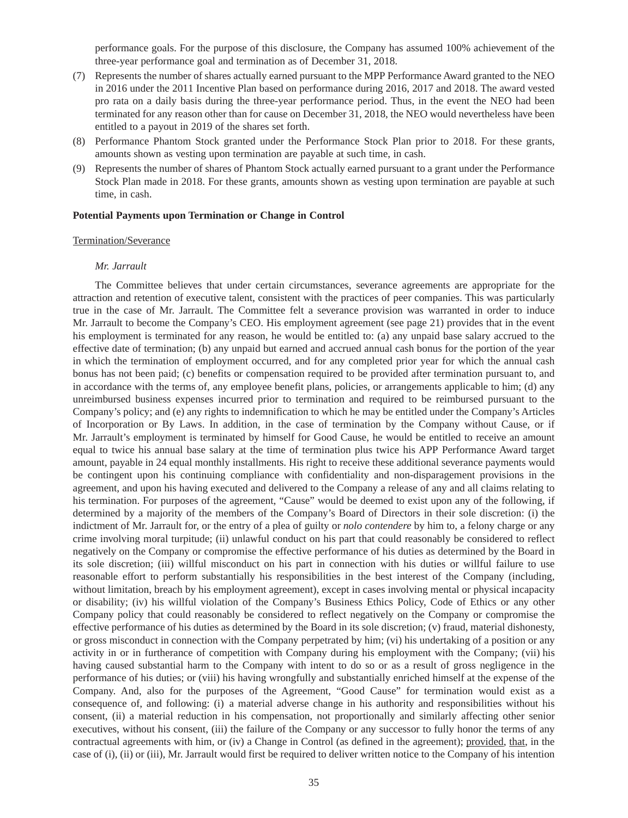performance goals. For the purpose of this disclosure, the Company has assumed 100% achievement of the three-year performance goal and termination as of December 31, 2018.

- (7) Represents the number of shares actually earned pursuant to the MPP Performance Award granted to the NEO in 2016 under the 2011 Incentive Plan based on performance during 2016, 2017 and 2018. The award vested pro rata on a daily basis during the three-year performance period. Thus, in the event the NEO had been terminated for any reason other than for cause on December 31, 2018, the NEO would nevertheless have been entitled to a payout in 2019 of the shares set forth.
- (8) Performance Phantom Stock granted under the Performance Stock Plan prior to 2018. For these grants, amounts shown as vesting upon termination are payable at such time, in cash.
- (9) Represents the number of shares of Phantom Stock actually earned pursuant to a grant under the Performance Stock Plan made in 2018. For these grants, amounts shown as vesting upon termination are payable at such time, in cash.

#### **Potential Payments upon Termination or Change in Control**

### Termination/Severance

#### *Mr. Jarrault*

The Committee believes that under certain circumstances, severance agreements are appropriate for the attraction and retention of executive talent, consistent with the practices of peer companies. This was particularly true in the case of Mr. Jarrault. The Committee felt a severance provision was warranted in order to induce Mr. Jarrault to become the Company's CEO. His employment agreement (see page 21) provides that in the event his employment is terminated for any reason, he would be entitled to: (a) any unpaid base salary accrued to the effective date of termination; (b) any unpaid but earned and accrued annual cash bonus for the portion of the year in which the termination of employment occurred, and for any completed prior year for which the annual cash bonus has not been paid; (c) benefits or compensation required to be provided after termination pursuant to, and in accordance with the terms of, any employee benefit plans, policies, or arrangements applicable to him; (d) any unreimbursed business expenses incurred prior to termination and required to be reimbursed pursuant to the Company's policy; and (e) any rights to indemnification to which he may be entitled under the Company's Articles of Incorporation or By Laws. In addition, in the case of termination by the Company without Cause, or if Mr. Jarrault's employment is terminated by himself for Good Cause, he would be entitled to receive an amount equal to twice his annual base salary at the time of termination plus twice his APP Performance Award target amount, payable in 24 equal monthly installments. His right to receive these additional severance payments would be contingent upon his continuing compliance with confidentiality and non-disparagement provisions in the agreement, and upon his having executed and delivered to the Company a release of any and all claims relating to his termination. For purposes of the agreement, "Cause" would be deemed to exist upon any of the following, if determined by a majority of the members of the Company's Board of Directors in their sole discretion: (i) the indictment of Mr. Jarrault for, or the entry of a plea of guilty or *nolo contendere* by him to, a felony charge or any crime involving moral turpitude; (ii) unlawful conduct on his part that could reasonably be considered to reflect negatively on the Company or compromise the effective performance of his duties as determined by the Board in its sole discretion; (iii) willful misconduct on his part in connection with his duties or willful failure to use reasonable effort to perform substantially his responsibilities in the best interest of the Company (including, without limitation, breach by his employment agreement), except in cases involving mental or physical incapacity or disability; (iv) his willful violation of the Company's Business Ethics Policy, Code of Ethics or any other Company policy that could reasonably be considered to reflect negatively on the Company or compromise the effective performance of his duties as determined by the Board in its sole discretion; (v) fraud, material dishonesty, or gross misconduct in connection with the Company perpetrated by him; (vi) his undertaking of a position or any activity in or in furtherance of competition with Company during his employment with the Company; (vii) his having caused substantial harm to the Company with intent to do so or as a result of gross negligence in the performance of his duties; or (viii) his having wrongfully and substantially enriched himself at the expense of the Company. And, also for the purposes of the Agreement, "Good Cause" for termination would exist as a consequence of, and following: (i) a material adverse change in his authority and responsibilities without his consent, (ii) a material reduction in his compensation, not proportionally and similarly affecting other senior executives, without his consent, (iii) the failure of the Company or any successor to fully honor the terms of any contractual agreements with him, or (iv) a Change in Control (as defined in the agreement); provided, that, in the case of (i), (ii) or (iii), Mr. Jarrault would first be required to deliver written notice to the Company of his intention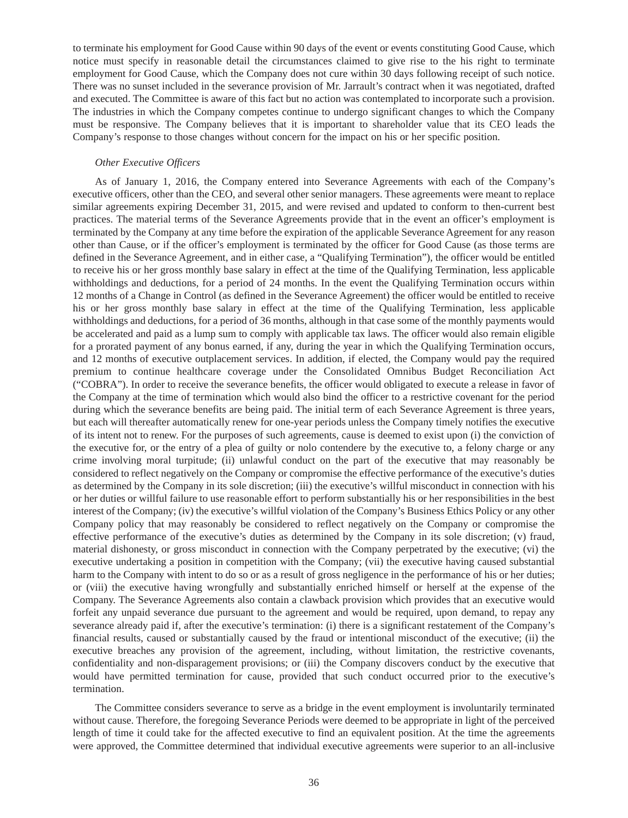to terminate his employment for Good Cause within 90 days of the event or events constituting Good Cause, which notice must specify in reasonable detail the circumstances claimed to give rise to the his right to terminate employment for Good Cause, which the Company does not cure within 30 days following receipt of such notice. There was no sunset included in the severance provision of Mr. Jarrault's contract when it was negotiated, drafted and executed. The Committee is aware of this fact but no action was contemplated to incorporate such a provision. The industries in which the Company competes continue to undergo significant changes to which the Company must be responsive. The Company believes that it is important to shareholder value that its CEO leads the Company's response to those changes without concern for the impact on his or her specific position.

### *Other Executive Officers*

As of January 1, 2016, the Company entered into Severance Agreements with each of the Company's executive officers, other than the CEO, and several other senior managers. These agreements were meant to replace similar agreements expiring December 31, 2015, and were revised and updated to conform to then-current best practices. The material terms of the Severance Agreements provide that in the event an officer's employment is terminated by the Company at any time before the expiration of the applicable Severance Agreement for any reason other than Cause, or if the officer's employment is terminated by the officer for Good Cause (as those terms are defined in the Severance Agreement, and in either case, a "Qualifying Termination"), the officer would be entitled to receive his or her gross monthly base salary in effect at the time of the Qualifying Termination, less applicable withholdings and deductions, for a period of 24 months. In the event the Qualifying Termination occurs within 12 months of a Change in Control (as defined in the Severance Agreement) the officer would be entitled to receive his or her gross monthly base salary in effect at the time of the Qualifying Termination, less applicable withholdings and deductions, for a period of 36 months, although in that case some of the monthly payments would be accelerated and paid as a lump sum to comply with applicable tax laws. The officer would also remain eligible for a prorated payment of any bonus earned, if any, during the year in which the Qualifying Termination occurs, and 12 months of executive outplacement services. In addition, if elected, the Company would pay the required premium to continue healthcare coverage under the Consolidated Omnibus Budget Reconciliation Act ("COBRA"). In order to receive the severance benefits, the officer would obligated to execute a release in favor of the Company at the time of termination which would also bind the officer to a restrictive covenant for the period during which the severance benefits are being paid. The initial term of each Severance Agreement is three years, but each will thereafter automatically renew for one-year periods unless the Company timely notifies the executive of its intent not to renew. For the purposes of such agreements, cause is deemed to exist upon (i) the conviction of the executive for, or the entry of a plea of guilty or nolo contendere by the executive to, a felony charge or any crime involving moral turpitude; (ii) unlawful conduct on the part of the executive that may reasonably be considered to reflect negatively on the Company or compromise the effective performance of the executive's duties as determined by the Company in its sole discretion; (iii) the executive's willful misconduct in connection with his or her duties or willful failure to use reasonable effort to perform substantially his or her responsibilities in the best interest of the Company; (iv) the executive's willful violation of the Company's Business Ethics Policy or any other Company policy that may reasonably be considered to reflect negatively on the Company or compromise the effective performance of the executive's duties as determined by the Company in its sole discretion; (v) fraud, material dishonesty, or gross misconduct in connection with the Company perpetrated by the executive; (vi) the executive undertaking a position in competition with the Company; (vii) the executive having caused substantial harm to the Company with intent to do so or as a result of gross negligence in the performance of his or her duties; or (viii) the executive having wrongfully and substantially enriched himself or herself at the expense of the Company. The Severance Agreements also contain a clawback provision which provides that an executive would forfeit any unpaid severance due pursuant to the agreement and would be required, upon demand, to repay any severance already paid if, after the executive's termination: (i) there is a significant restatement of the Company's financial results, caused or substantially caused by the fraud or intentional misconduct of the executive; (ii) the executive breaches any provision of the agreement, including, without limitation, the restrictive covenants, confidentiality and non-disparagement provisions; or (iii) the Company discovers conduct by the executive that would have permitted termination for cause, provided that such conduct occurred prior to the executive's termination.

The Committee considers severance to serve as a bridge in the event employment is involuntarily terminated without cause. Therefore, the foregoing Severance Periods were deemed to be appropriate in light of the perceived length of time it could take for the affected executive to find an equivalent position. At the time the agreements were approved, the Committee determined that individual executive agreements were superior to an all-inclusive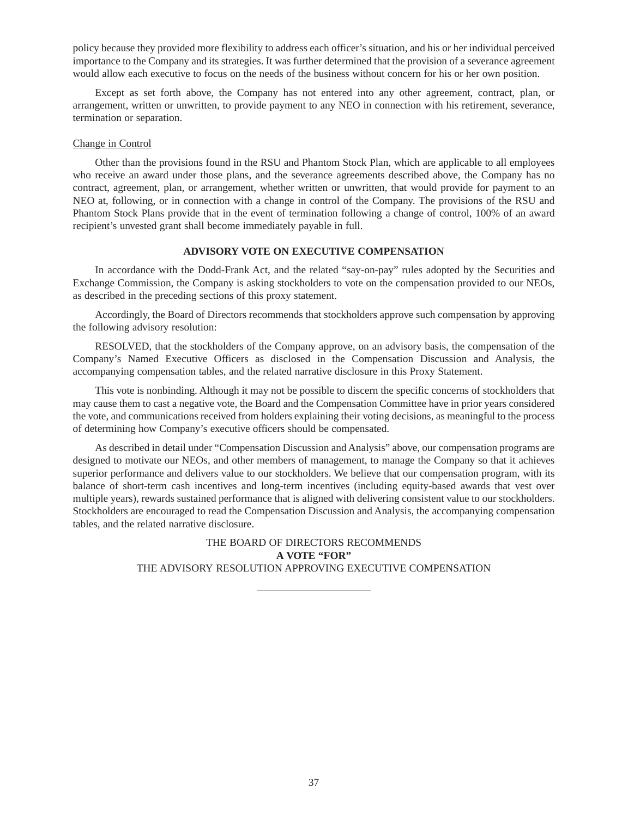policy because they provided more flexibility to address each officer's situation, and his or her individual perceived importance to the Company and its strategies. It was further determined that the provision of a severance agreement would allow each executive to focus on the needs of the business without concern for his or her own position.

Except as set forth above, the Company has not entered into any other agreement, contract, plan, or arrangement, written or unwritten, to provide payment to any NEO in connection with his retirement, severance, termination or separation.

## Change in Control

Other than the provisions found in the RSU and Phantom Stock Plan, which are applicable to all employees who receive an award under those plans, and the severance agreements described above, the Company has no contract, agreement, plan, or arrangement, whether written or unwritten, that would provide for payment to an NEO at, following, or in connection with a change in control of the Company. The provisions of the RSU and Phantom Stock Plans provide that in the event of termination following a change of control, 100% of an award recipient's unvested grant shall become immediately payable in full.

### **ADVISORY VOTE ON EXECUTIVE COMPENSATION**

In accordance with the Dodd-Frank Act, and the related "say-on-pay" rules adopted by the Securities and Exchange Commission, the Company is asking stockholders to vote on the compensation provided to our NEOs, as described in the preceding sections of this proxy statement.

Accordingly, the Board of Directors recommends that stockholders approve such compensation by approving the following advisory resolution:

RESOLVED, that the stockholders of the Company approve, on an advisory basis, the compensation of the Company's Named Executive Officers as disclosed in the Compensation Discussion and Analysis, the accompanying compensation tables, and the related narrative disclosure in this Proxy Statement.

This vote is nonbinding. Although it may not be possible to discern the specific concerns of stockholders that may cause them to cast a negative vote, the Board and the Compensation Committee have in prior years considered the vote, and communications received from holders explaining their voting decisions, as meaningful to the process of determining how Company's executive officers should be compensated.

As described in detail under "Compensation Discussion and Analysis" above, our compensation programs are designed to motivate our NEOs, and other members of management, to manage the Company so that it achieves superior performance and delivers value to our stockholders. We believe that our compensation program, with its balance of short-term cash incentives and long-term incentives (including equity-based awards that vest over multiple years), rewards sustained performance that is aligned with delivering consistent value to our stockholders. Stockholders are encouraged to read the Compensation Discussion and Analysis, the accompanying compensation tables, and the related narrative disclosure.

> THE BOARD OF DIRECTORS RECOMMENDS **A VOTE "FOR"** THE ADVISORY RESOLUTION APPROVING EXECUTIVE COMPENSATION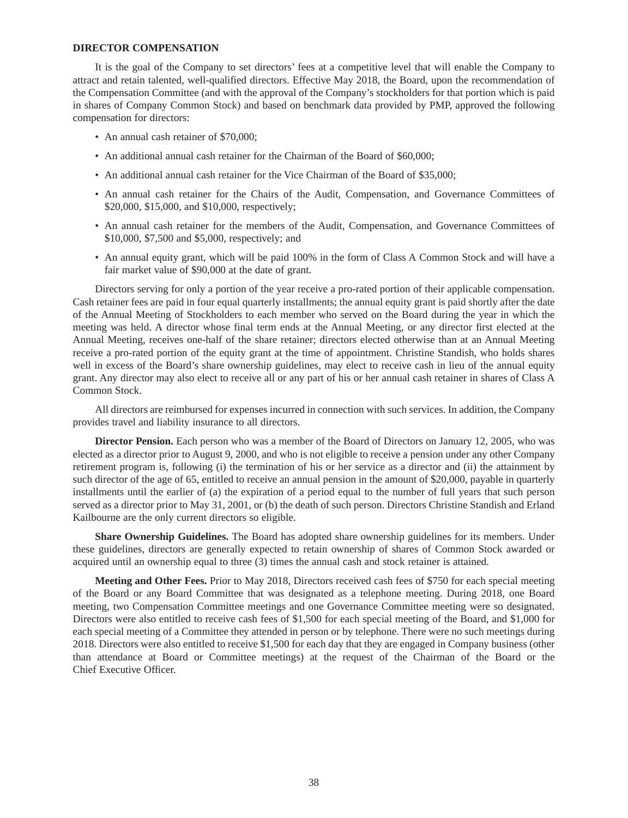#### **DIRECTOR COMPENSATION**

It is the goal of the Company to set directors' fees at a competitive level that will enable the Company to attract and retain talented, well-qualified directors. Effective May 2018, the Board, upon the recommendation of the Compensation Committee (and with the approval of the Company's stockholders for that portion which is paid in shares of Company Common Stock) and based on benchmark data provided by PMP, approved the following compensation for directors:

- An annual cash retainer of \$70,000;
- An additional annual cash retainer for the Chairman of the Board of \$60,000;
- An additional annual cash retainer for the Vice Chairman of the Board of \$35,000;
- An annual cash retainer for the Chairs of the Audit, Compensation, and Governance Committees of \$20,000, \$15,000, and \$10,000, respectively;
- An annual cash retainer for the members of the Audit, Compensation, and Governance Committees of \$10,000, \$7,500 and \$5,000, respectively; and
- An annual equity grant, which will be paid 100% in the form of Class A Common Stock and will have a fair market value of \$90,000 at the date of grant.

Directors serving for only a portion of the year receive a pro-rated portion of their applicable compensation. Cash retainer fees are paid in four equal quarterly installments; the annual equity grant is paid shortly after the date of the Annual Meeting of Stockholders to each member who served on the Board during the year in which the meeting was held. A director whose final term ends at the Annual Meeting, or any director first elected at the Annual Meeting, receives one-half of the share retainer; directors elected otherwise than at an Annual Meeting receive a pro-rated portion of the equity grant at the time of appointment. Christine Standish, who holds shares well in excess of the Board's share ownership guidelines, may elect to receive cash in lieu of the annual equity grant. Any director may also elect to receive all or any part of his or her annual cash retainer in shares of Class A Common Stock.

All directors are reimbursed for expenses incurred in connection with such services. In addition, the Company provides travel and liability insurance to all directors.

**Director Pension.** Each person who was a member of the Board of Directors on January 12, 2005, who was elected as a director prior to August 9, 2000, and who is not eligible to receive a pension under any other Company retirement program is, following (i) the termination of his or her service as a director and (ii) the attainment by such director of the age of 65, entitled to receive an annual pension in the amount of \$20,000, payable in quarterly installments until the earlier of (a) the expiration of a period equal to the number of full years that such person served as a director prior to May 31, 2001, or (b) the death of such person. Directors Christine Standish and Erland Kailbourne are the only current directors so eligible.

**Share Ownership Guidelines.** The Board has adopted share ownership guidelines for its members. Under these guidelines, directors are generally expected to retain ownership of shares of Common Stock awarded or acquired until an ownership equal to three (3) times the annual cash and stock retainer is attained.

**Meeting and Other Fees.** Prior to May 2018, Directors received cash fees of \$750 for each special meeting of the Board or any Board Committee that was designated as a telephone meeting. During 2018, one Board meeting, two Compensation Committee meetings and one Governance Committee meeting were so designated. Directors were also entitled to receive cash fees of \$1,500 for each special meeting of the Board, and \$1,000 for each special meeting of a Committee they attended in person or by telephone. There were no such meetings during 2018. Directors were also entitled to receive \$1,500 for each day that they are engaged in Company business (other than attendance at Board or Committee meetings) at the request of the Chairman of the Board or the Chief Executive Officer.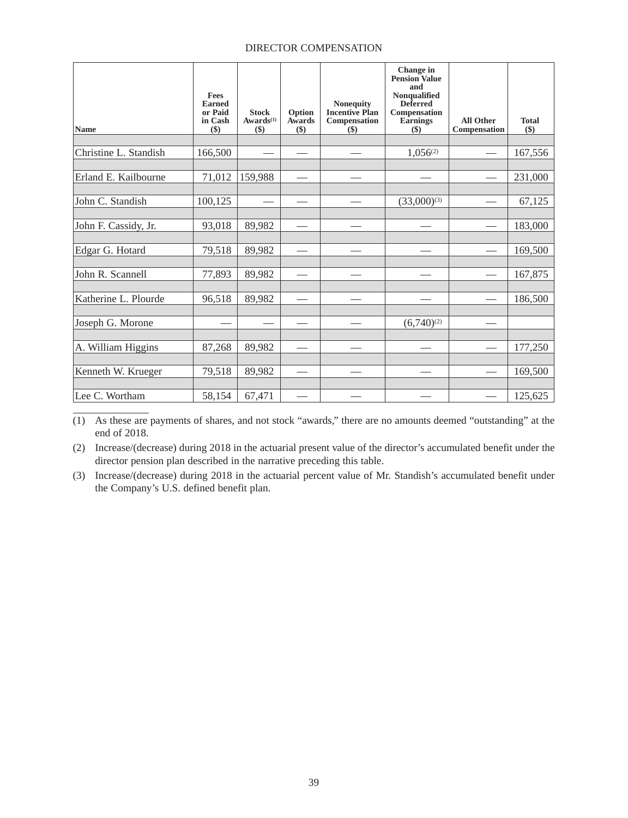## DIRECTOR COMPENSATION

| Name                  | <b>Fees</b><br><b>Earned</b><br>or Paid<br>in Cash<br>$($)$ | <b>Stock</b><br>$Awards^{(1)}$<br>$($)$ | Option<br><b>Awards</b><br>$($)$ | <b>Nonequity</b><br><b>Incentive Plan</b><br>Compensation<br>$\left( \text{\$}\right)$ | Change in<br><b>Pension Value</b><br>and<br>Nonqualified<br><b>Deferred</b><br>Compensation<br>Earnings<br>$($)$ | <b>All Other</b><br>Compensation | <b>Total</b><br>\$) |
|-----------------------|-------------------------------------------------------------|-----------------------------------------|----------------------------------|----------------------------------------------------------------------------------------|------------------------------------------------------------------------------------------------------------------|----------------------------------|---------------------|
|                       |                                                             |                                         |                                  |                                                                                        |                                                                                                                  |                                  |                     |
| Christine L. Standish | 166,500                                                     |                                         |                                  |                                                                                        | $1,056^{(2)}$                                                                                                    |                                  | 167,556             |
|                       |                                                             |                                         |                                  |                                                                                        |                                                                                                                  |                                  |                     |
| Erland E. Kailbourne  | 71,012                                                      | 159,988                                 |                                  |                                                                                        |                                                                                                                  |                                  | 231,000             |
|                       |                                                             |                                         |                                  |                                                                                        |                                                                                                                  |                                  |                     |
| John C. Standish      | 100,125                                                     |                                         |                                  |                                                                                        | $(33,000)^{(3)}$                                                                                                 |                                  | 67,125              |
|                       |                                                             |                                         |                                  |                                                                                        |                                                                                                                  |                                  |                     |
| John F. Cassidy, Jr.  | 93,018                                                      | 89,982                                  |                                  |                                                                                        |                                                                                                                  |                                  | 183,000             |
|                       |                                                             |                                         |                                  |                                                                                        |                                                                                                                  |                                  |                     |
| Edgar G. Hotard       | 79,518                                                      | 89,982                                  |                                  |                                                                                        |                                                                                                                  |                                  | 169,500             |
|                       |                                                             |                                         |                                  |                                                                                        |                                                                                                                  |                                  |                     |
| John R. Scannell      | 77,893                                                      | 89,982                                  |                                  |                                                                                        |                                                                                                                  |                                  | 167,875             |
|                       |                                                             |                                         |                                  |                                                                                        |                                                                                                                  |                                  |                     |
| Katherine L. Plourde  | 96,518                                                      | 89,982                                  |                                  |                                                                                        |                                                                                                                  |                                  | 186,500             |
|                       |                                                             |                                         |                                  |                                                                                        |                                                                                                                  |                                  |                     |
| Joseph G. Morone      |                                                             |                                         |                                  |                                                                                        | $(6,740)^{(2)}$                                                                                                  |                                  |                     |
|                       |                                                             |                                         |                                  |                                                                                        |                                                                                                                  |                                  |                     |
| A. William Higgins    | 87,268                                                      | 89,982                                  |                                  |                                                                                        |                                                                                                                  |                                  | 177,250             |
|                       |                                                             |                                         |                                  |                                                                                        |                                                                                                                  |                                  |                     |
| Kenneth W. Krueger    | 79,518                                                      | 89,982                                  |                                  |                                                                                        |                                                                                                                  |                                  | 169,500             |
|                       |                                                             |                                         |                                  |                                                                                        |                                                                                                                  |                                  |                     |
| Lee C. Wortham        | 58,154                                                      | 67,471                                  |                                  |                                                                                        |                                                                                                                  |                                  | 125,625             |

(1) As these are payments of shares, and not stock "awards," there are no amounts deemed "outstanding" at the end of 2018.

(2) Increase/(decrease) during 2018 in the actuarial present value of the director's accumulated benefit under the director pension plan described in the narrative preceding this table.

(3) Increase/(decrease) during 2018 in the actuarial percent value of Mr. Standish's accumulated benefit under the Company's U.S. defined benefit plan.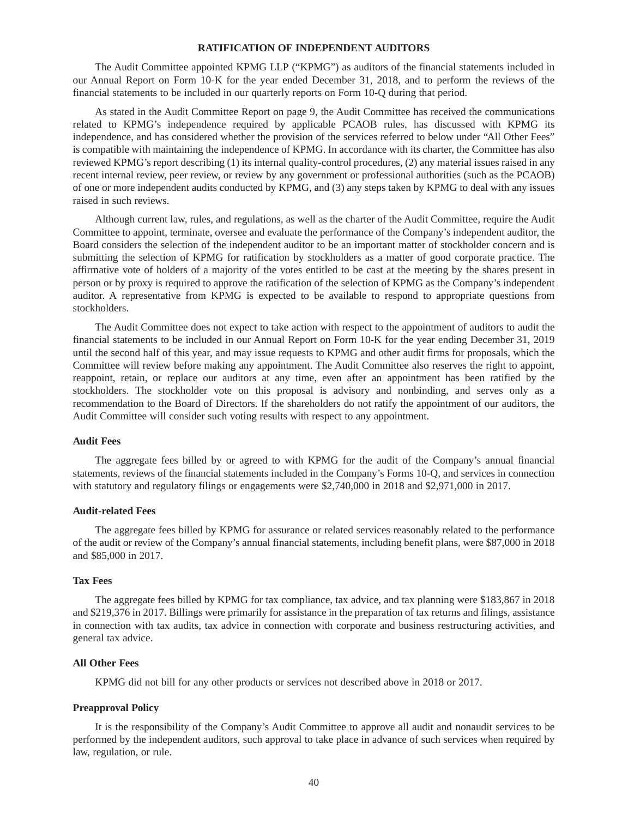## **RATIFICATION OF INDEPENDENT AUDITORS**

The Audit Committee appointed KPMG LLP ("KPMG") as auditors of the financial statements included in our Annual Report on Form 10-K for the year ended December 31, 2018, and to perform the reviews of the financial statements to be included in our quarterly reports on Form 10-Q during that period.

As stated in the Audit Committee Report on page 9, the Audit Committee has received the communications related to KPMG's independence required by applicable PCAOB rules, has discussed with KPMG its independence, and has considered whether the provision of the services referred to below under "All Other Fees" is compatible with maintaining the independence of KPMG. In accordance with its charter, the Committee has also reviewed KPMG's report describing (1) its internal quality-control procedures, (2) any material issues raised in any recent internal review, peer review, or review by any government or professional authorities (such as the PCAOB) of one or more independent audits conducted by KPMG, and (3) any steps taken by KPMG to deal with any issues raised in such reviews.

Although current law, rules, and regulations, as well as the charter of the Audit Committee, require the Audit Committee to appoint, terminate, oversee and evaluate the performance of the Company's independent auditor, the Board considers the selection of the independent auditor to be an important matter of stockholder concern and is submitting the selection of KPMG for ratification by stockholders as a matter of good corporate practice. The affirmative vote of holders of a majority of the votes entitled to be cast at the meeting by the shares present in person or by proxy is required to approve the ratification of the selection of KPMG as the Company's independent auditor. A representative from KPMG is expected to be available to respond to appropriate questions from stockholders.

The Audit Committee does not expect to take action with respect to the appointment of auditors to audit the financial statements to be included in our Annual Report on Form 10-K for the year ending December 31, 2019 until the second half of this year, and may issue requests to KPMG and other audit firms for proposals, which the Committee will review before making any appointment. The Audit Committee also reserves the right to appoint, reappoint, retain, or replace our auditors at any time, even after an appointment has been ratified by the stockholders. The stockholder vote on this proposal is advisory and nonbinding, and serves only as a recommendation to the Board of Directors. If the shareholders do not ratify the appointment of our auditors, the Audit Committee will consider such voting results with respect to any appointment.

#### **Audit Fees**

The aggregate fees billed by or agreed to with KPMG for the audit of the Company's annual financial statements, reviews of the financial statements included in the Company's Forms 10-Q, and services in connection with statutory and regulatory filings or engagements were \$2,740,000 in 2018 and \$2,971,000 in 2017.

### **Audit-related Fees**

The aggregate fees billed by KPMG for assurance or related services reasonably related to the performance of the audit or review of the Company's annual financial statements, including benefit plans, were \$87,000 in 2018 and \$85,000 in 2017.

### **Tax Fees**

The aggregate fees billed by KPMG for tax compliance, tax advice, and tax planning were \$183,867 in 2018 and \$219,376 in 2017. Billings were primarily for assistance in the preparation of tax returns and filings, assistance in connection with tax audits, tax advice in connection with corporate and business restructuring activities, and general tax advice.

# **All Other Fees**

KPMG did not bill for any other products or services not described above in 2018 or 2017.

### **Preapproval Policy**

It is the responsibility of the Company's Audit Committee to approve all audit and nonaudit services to be performed by the independent auditors, such approval to take place in advance of such services when required by law, regulation, or rule.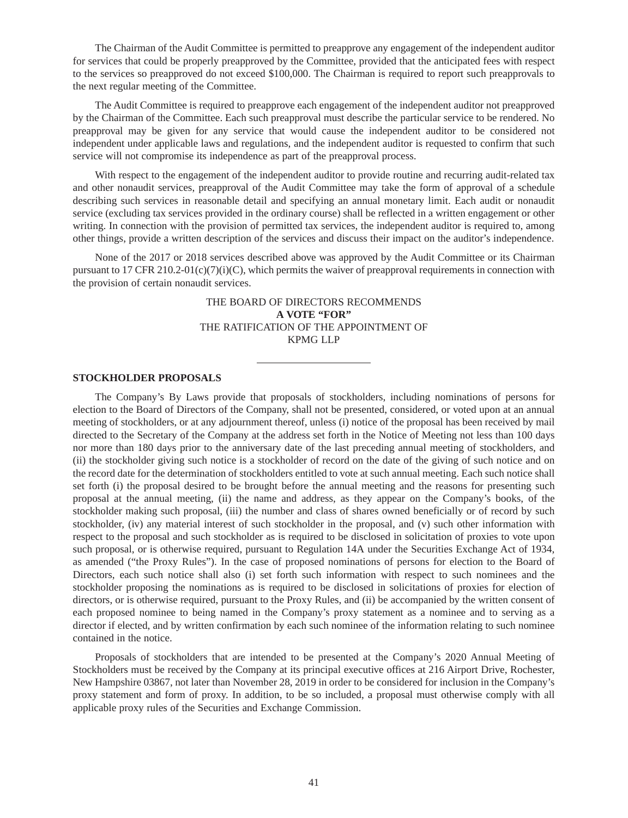The Chairman of the Audit Committee is permitted to preapprove any engagement of the independent auditor for services that could be properly preapproved by the Committee, provided that the anticipated fees with respect to the services so preapproved do not exceed \$100,000. The Chairman is required to report such preapprovals to the next regular meeting of the Committee.

The Audit Committee is required to preapprove each engagement of the independent auditor not preapproved by the Chairman of the Committee. Each such preapproval must describe the particular service to be rendered. No preapproval may be given for any service that would cause the independent auditor to be considered not independent under applicable laws and regulations, and the independent auditor is requested to confirm that such service will not compromise its independence as part of the preapproval process.

With respect to the engagement of the independent auditor to provide routine and recurring audit-related tax and other nonaudit services, preapproval of the Audit Committee may take the form of approval of a schedule describing such services in reasonable detail and specifying an annual monetary limit. Each audit or nonaudit service (excluding tax services provided in the ordinary course) shall be reflected in a written engagement or other writing. In connection with the provision of permitted tax services, the independent auditor is required to, among other things, provide a written description of the services and discuss their impact on the auditor's independence.

None of the 2017 or 2018 services described above was approved by the Audit Committee or its Chairman pursuant to 17 CFR 210.2-01(c)(7)(i)(C), which permits the waiver of preapproval requirements in connection with the provision of certain nonaudit services.

# THE BOARD OF DIRECTORS RECOMMENDS **A VOTE "FOR"** THE RATIFICATION OF THE APPOINTMENT OF KPMG LLP

### **STOCKHOLDER PROPOSALS**

The Company's By Laws provide that proposals of stockholders, including nominations of persons for election to the Board of Directors of the Company, shall not be presented, considered, or voted upon at an annual meeting of stockholders, or at any adjournment thereof, unless (i) notice of the proposal has been received by mail directed to the Secretary of the Company at the address set forth in the Notice of Meeting not less than 100 days nor more than 180 days prior to the anniversary date of the last preceding annual meeting of stockholders, and (ii) the stockholder giving such notice is a stockholder of record on the date of the giving of such notice and on the record date for the determination of stockholders entitled to vote at such annual meeting. Each such notice shall set forth (i) the proposal desired to be brought before the annual meeting and the reasons for presenting such proposal at the annual meeting, (ii) the name and address, as they appear on the Company's books, of the stockholder making such proposal, (iii) the number and class of shares owned beneficially or of record by such stockholder, (iv) any material interest of such stockholder in the proposal, and (v) such other information with respect to the proposal and such stockholder as is required to be disclosed in solicitation of proxies to vote upon such proposal, or is otherwise required, pursuant to Regulation 14A under the Securities Exchange Act of 1934, as amended ("the Proxy Rules"). In the case of proposed nominations of persons for election to the Board of Directors, each such notice shall also (i) set forth such information with respect to such nominees and the stockholder proposing the nominations as is required to be disclosed in solicitations of proxies for election of directors, or is otherwise required, pursuant to the Proxy Rules, and (ii) be accompanied by the written consent of each proposed nominee to being named in the Company's proxy statement as a nominee and to serving as a director if elected, and by written confirmation by each such nominee of the information relating to such nominee contained in the notice.

Proposals of stockholders that are intended to be presented at the Company's 2020 Annual Meeting of Stockholders must be received by the Company at its principal executive offices at 216 Airport Drive, Rochester, New Hampshire 03867, not later than November 28, 2019 in order to be considered for inclusion in the Company's proxy statement and form of proxy. In addition, to be so included, a proposal must otherwise comply with all applicable proxy rules of the Securities and Exchange Commission.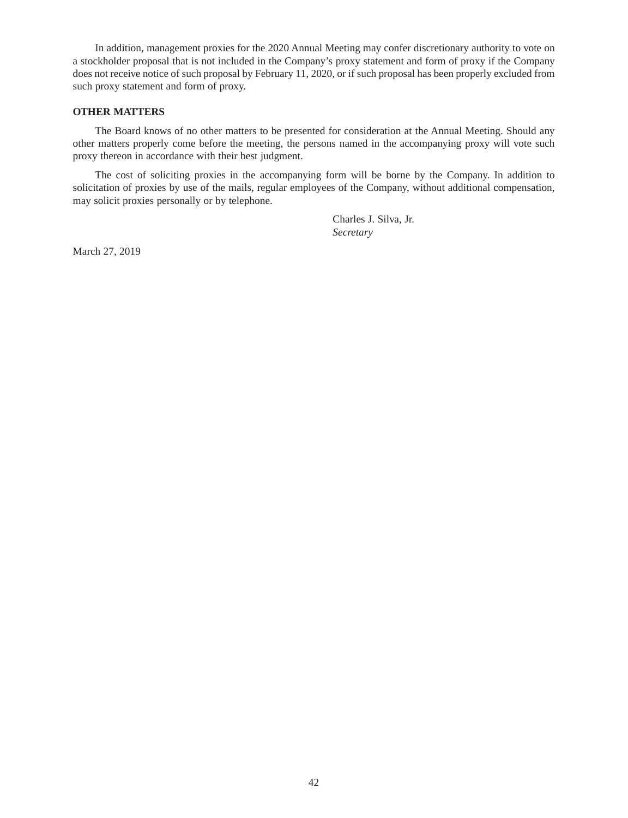In addition, management proxies for the 2020 Annual Meeting may confer discretionary authority to vote on a stockholder proposal that is not included in the Company's proxy statement and form of proxy if the Company does not receive notice of such proposal by February 11, 2020, or if such proposal has been properly excluded from such proxy statement and form of proxy.

### **OTHER MATTERS**

The Board knows of no other matters to be presented for consideration at the Annual Meeting. Should any other matters properly come before the meeting, the persons named in the accompanying proxy will vote such proxy thereon in accordance with their best judgment.

The cost of soliciting proxies in the accompanying form will be borne by the Company. In addition to solicitation of proxies by use of the mails, regular employees of the Company, without additional compensation, may solicit proxies personally or by telephone.

> Charles J. Silva, Jr. *Secretary*

March 27, 2019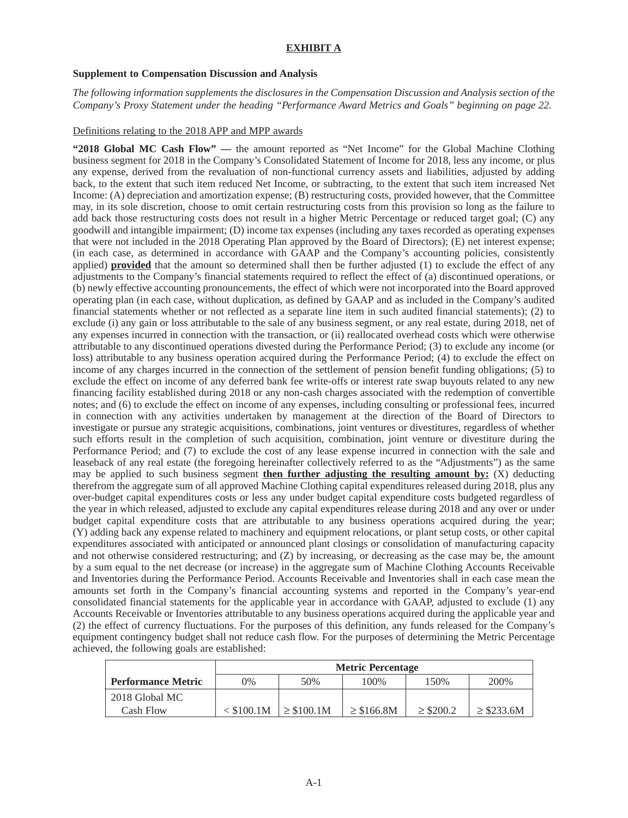## **EXHIBIT A**

### **Supplement to Compensation Discussion and Analysis**

*The following information supplements the disclosures in the Compensation Discussion and Analysis section of the Company's Proxy Statement under the heading "Performance Award Metrics and Goals" beginning on page 22.*

### Definitions relating to the 2018 APP and MPP awards

**"2018 Global MC Cash Flow" —** the amount reported as "Net Income" for the Global Machine Clothing business segment for 2018 in the Company's Consolidated Statement of Income for 2018, less any income, or plus any expense, derived from the revaluation of non-functional currency assets and liabilities, adjusted by adding back, to the extent that such item reduced Net Income, or subtracting, to the extent that such item increased Net Income: (A) depreciation and amortization expense; (B) restructuring costs, provided however, that the Committee may, in its sole discretion, choose to omit certain restructuring costs from this provision so long as the failure to add back those restructuring costs does not result in a higher Metric Percentage or reduced target goal; (C) any goodwill and intangible impairment; (D) income tax expenses (including any taxes recorded as operating expenses that were not included in the 2018 Operating Plan approved by the Board of Directors); (E) net interest expense; (in each case, as determined in accordance with GAAP and the Company's accounting policies, consistently applied) **provided** that the amount so determined shall then be further adjusted (1) to exclude the effect of any adjustments to the Company's financial statements required to reflect the effect of (a) discontinued operations, or (b) newly effective accounting pronouncements, the effect of which were not incorporated into the Board approved operating plan (in each case, without duplication, as defined by GAAP and as included in the Company's audited financial statements whether or not reflected as a separate line item in such audited financial statements); (2) to exclude (i) any gain or loss attributable to the sale of any business segment, or any real estate, during 2018, net of any expenses incurred in connection with the transaction, or (ii) reallocated overhead costs which were otherwise attributable to any discontinued operations divested during the Performance Period; (3) to exclude any income (or loss) attributable to any business operation acquired during the Performance Period; (4) to exclude the effect on income of any charges incurred in the connection of the settlement of pension benefit funding obligations; (5) to exclude the effect on income of any deferred bank fee write-offs or interest rate swap buyouts related to any new financing facility established during 2018 or any non-cash charges associated with the redemption of convertible notes; and (6) to exclude the effect on income of any expenses, including consulting or professional fees, incurred in connection with any activities undertaken by management at the direction of the Board of Directors to investigate or pursue any strategic acquisitions, combinations, joint ventures or divestitures, regardless of whether such efforts result in the completion of such acquisition, combination, joint venture or divestiture during the Performance Period; and (7) to exclude the cost of any lease expense incurred in connection with the sale and leaseback of any real estate (the foregoing hereinafter collectively referred to as the "Adjustments") as the same may be applied to such business segment **then further adjusting the resulting amount by:** (X) deducting therefrom the aggregate sum of all approved Machine Clothing capital expenditures released during 2018, plus any over-budget capital expenditures costs or less any under budget capital expenditure costs budgeted regardless of the year in which released, adjusted to exclude any capital expenditures release during 2018 and any over or under budget capital expenditure costs that are attributable to any business operations acquired during the year; (Y) adding back any expense related to machinery and equipment relocations, or plant setup costs, or other capital expenditures associated with anticipated or announced plant closings or consolidation of manufacturing capacity and not otherwise considered restructuring; and (Z) by increasing, or decreasing as the case may be, the amount by a sum equal to the net decrease (or increase) in the aggregate sum of Machine Clothing Accounts Receivable and Inventories during the Performance Period. Accounts Receivable and Inventories shall in each case mean the amounts set forth in the Company's financial accounting systems and reported in the Company's year-end consolidated financial statements for the applicable year in accordance with GAAP, adjusted to exclude (1) any Accounts Receivable or Inventories attributable to any business operations acquired during the applicable year and (2) the effect of currency fluctuations. For the purposes of this definition, any funds released for the Company's equipment contingency budget shall not reduce cash flow. For the purposes of determining the Metric Percentage achieved, the following goals are established:

|                           | <b>Metric Percentage</b> |                 |                 |                |                 |  |  |  |
|---------------------------|--------------------------|-----------------|-----------------|----------------|-----------------|--|--|--|
| <b>Performance Metric</b> | $0\%$                    | 50%             | 100%            | 150%           | 200%            |  |  |  |
| 2018 Global MC            |                          |                 |                 |                |                 |  |  |  |
| Cash Flow                 | $<$ \$100.1M             | $\geq$ \$100.1M | $\geq$ \$166.8M | $\geq$ \$200.2 | $\geq$ \$233.6M |  |  |  |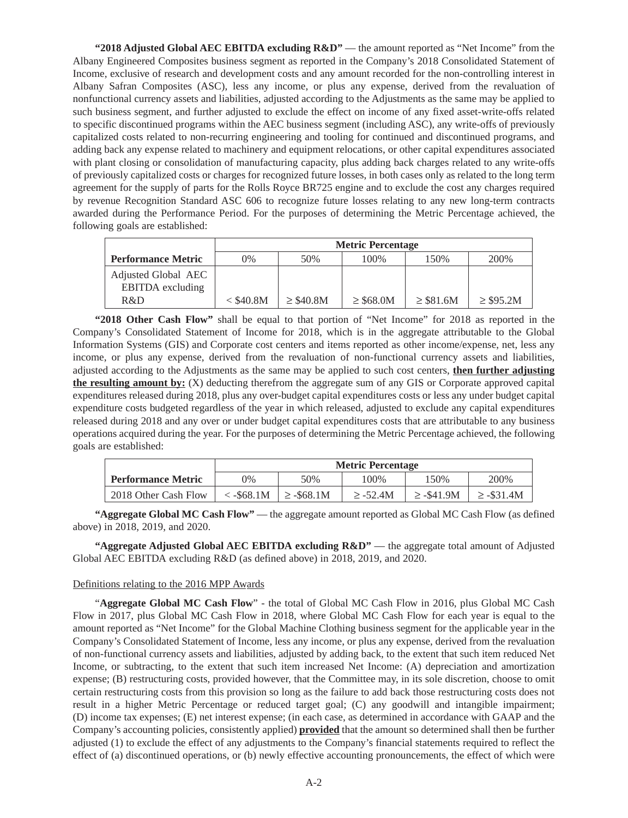**"2018 Adjusted Global AEC EBITDA excluding R&D"** — the amount reported as "Net Income" from the Albany Engineered Composites business segment as reported in the Company's 2018 Consolidated Statement of Income, exclusive of research and development costs and any amount recorded for the non-controlling interest in Albany Safran Composites (ASC), less any income, or plus any expense, derived from the revaluation of nonfunctional currency assets and liabilities, adjusted according to the Adjustments as the same may be applied to such business segment, and further adjusted to exclude the effect on income of any fixed asset-write-offs related to specific discontinued programs within the AEC business segment (including ASC), any write-offs of previously capitalized costs related to non-recurring engineering and tooling for continued and discontinued programs, and adding back any expense related to machinery and equipment relocations, or other capital expenditures associated with plant closing or consolidation of manufacturing capacity, plus adding back charges related to any write-offs of previously capitalized costs or charges for recognized future losses, in both cases only as related to the long term agreement for the supply of parts for the Rolls Royce BR725 engine and to exclude the cost any charges required by revenue Recognition Standard ASC 606 to recognize future losses relating to any new long-term contracts awarded during the Performance Period. For the purposes of determining the Metric Percentage achieved, the following goals are established:

|                                                | <b>Metric Percentage</b> |                |                |                |                |  |  |  |
|------------------------------------------------|--------------------------|----------------|----------------|----------------|----------------|--|--|--|
| <b>Performance Metric</b>                      | 0%                       | 50%            | 100%           | 150%           | 200%           |  |  |  |
| Adjusted Global AEC<br><b>EBITDA</b> excluding |                          |                |                |                |                |  |  |  |
| R&D                                            | $<$ \$40.8M              | $\geq$ \$40.8M | $\geq$ \$68.0M | $\geq$ \$81.6M | $\geq$ \$95.2M |  |  |  |

**"2018 Other Cash Flow"** shall be equal to that portion of "Net Income" for 2018 as reported in the Company's Consolidated Statement of Income for 2018, which is in the aggregate attributable to the Global Information Systems (GIS) and Corporate cost centers and items reported as other income/expense, net, less any income, or plus any expense, derived from the revaluation of non-functional currency assets and liabilities, adjusted according to the Adjustments as the same may be applied to such cost centers, **then further adjusting the resulting amount by:** (X) deducting therefrom the aggregate sum of any GIS or Corporate approved capital expenditures released during 2018, plus any over-budget capital expenditures costs or less any under budget capital expenditure costs budgeted regardless of the year in which released, adjusted to exclude any capital expenditures released during 2018 and any over or under budget capital expenditures costs that are attributable to any business operations acquired during the year. For the purposes of determining the Metric Percentage achieved, the following goals are established:

|                           | <b>Metric Percentage</b>   |                 |               |                 |                |  |
|---------------------------|----------------------------|-----------------|---------------|-----------------|----------------|--|
| <b>Performance Metric</b> | $9\%$                      | 50%             | 100%          | 150%            | 200%           |  |
| 2018 Other Cash Flow      | $\langle -\$68.1M \rangle$ | $\geq$ -\$68.1M | $\geq$ -52.4M | $\geq$ -\$41.9M | $\ge$ -\$31.4M |  |

**"Aggregate Global MC Cash Flow"** — the aggregate amount reported as Global MC Cash Flow (as defined above) in 2018, 2019, and 2020.

**"Aggregate Adjusted Global AEC EBITDA excluding R&D"** — the aggregate total amount of Adjusted Global AEC EBITDA excluding R&D (as defined above) in 2018, 2019, and 2020.

## Definitions relating to the 2016 MPP Awards

"**Aggregate Global MC Cash Flow**" - the total of Global MC Cash Flow in 2016, plus Global MC Cash Flow in 2017, plus Global MC Cash Flow in 2018, where Global MC Cash Flow for each year is equal to the amount reported as "Net Income" for the Global Machine Clothing business segment for the applicable year in the Company's Consolidated Statement of Income, less any income, or plus any expense, derived from the revaluation of non-functional currency assets and liabilities, adjusted by adding back, to the extent that such item reduced Net Income, or subtracting, to the extent that such item increased Net Income: (A) depreciation and amortization expense; (B) restructuring costs, provided however, that the Committee may, in its sole discretion, choose to omit certain restructuring costs from this provision so long as the failure to add back those restructuring costs does not result in a higher Metric Percentage or reduced target goal; (C) any goodwill and intangible impairment; (D) income tax expenses; (E) net interest expense; (in each case, as determined in accordance with GAAP and the Company's accounting policies, consistently applied) **provided** that the amount so determined shall then be further adjusted (1) to exclude the effect of any adjustments to the Company's financial statements required to reflect the effect of (a) discontinued operations, or (b) newly effective accounting pronouncements, the effect of which were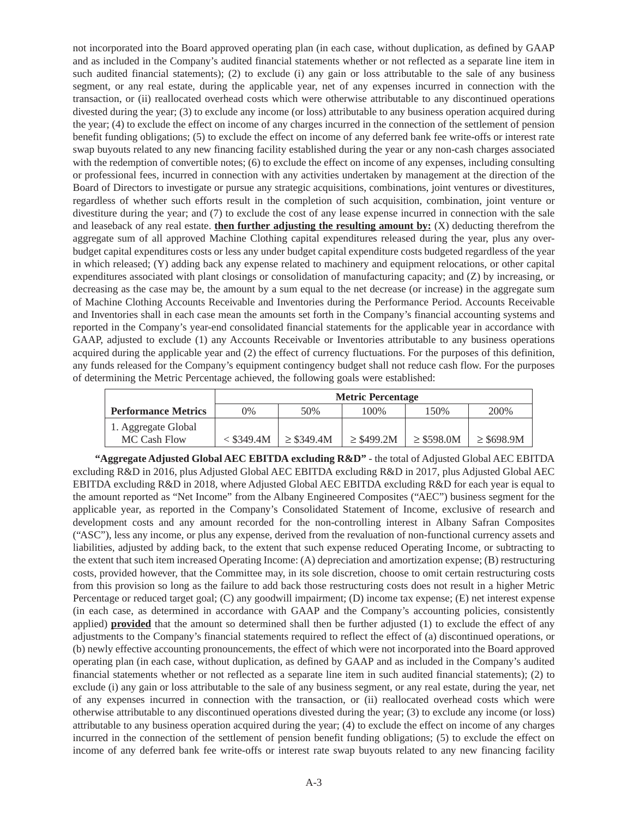not incorporated into the Board approved operating plan (in each case, without duplication, as defined by GAAP and as included in the Company's audited financial statements whether or not reflected as a separate line item in such audited financial statements); (2) to exclude (i) any gain or loss attributable to the sale of any business segment, or any real estate, during the applicable year, net of any expenses incurred in connection with the transaction, or (ii) reallocated overhead costs which were otherwise attributable to any discontinued operations divested during the year; (3) to exclude any income (or loss) attributable to any business operation acquired during the year; (4) to exclude the effect on income of any charges incurred in the connection of the settlement of pension benefit funding obligations; (5) to exclude the effect on income of any deferred bank fee write-offs or interest rate swap buyouts related to any new financing facility established during the year or any non-cash charges associated with the redemption of convertible notes; (6) to exclude the effect on income of any expenses, including consulting or professional fees, incurred in connection with any activities undertaken by management at the direction of the Board of Directors to investigate or pursue any strategic acquisitions, combinations, joint ventures or divestitures, regardless of whether such efforts result in the completion of such acquisition, combination, joint venture or divestiture during the year; and (7) to exclude the cost of any lease expense incurred in connection with the sale and leaseback of any real estate. **then further adjusting the resulting amount by:** (X) deducting therefrom the aggregate sum of all approved Machine Clothing capital expenditures released during the year, plus any overbudget capital expenditures costs or less any under budget capital expenditure costs budgeted regardless of the year in which released; (Y) adding back any expense related to machinery and equipment relocations, or other capital expenditures associated with plant closings or consolidation of manufacturing capacity; and (Z) by increasing, or decreasing as the case may be, the amount by a sum equal to the net decrease (or increase) in the aggregate sum of Machine Clothing Accounts Receivable and Inventories during the Performance Period. Accounts Receivable and Inventories shall in each case mean the amounts set forth in the Company's financial accounting systems and reported in the Company's year-end consolidated financial statements for the applicable year in accordance with GAAP, adjusted to exclude (1) any Accounts Receivable or Inventories attributable to any business operations acquired during the applicable year and (2) the effect of currency fluctuations. For the purposes of this definition, any funds released for the Company's equipment contingency budget shall not reduce cash flow. For the purposes of determining the Metric Percentage achieved, the following goals were established:

|                                     | <b>Metric Percentage</b> |                 |                 |                 |                 |  |
|-------------------------------------|--------------------------|-----------------|-----------------|-----------------|-----------------|--|
| <b>Performance Metrics</b>          | $0\%$                    | 50%             | 100%            | 150%            | 200%            |  |
| 1. Aggregate Global<br>MC Cash Flow | $<$ \$349.4M             | $\geq$ \$349.4M | $\geq$ \$499.2M | $\geq$ \$598.0M | $\geq$ \$698.9M |  |

**"Aggregate Adjusted Global AEC EBITDA excluding R&D"** - the total of Adjusted Global AEC EBITDA excluding R&D in 2016, plus Adjusted Global AEC EBITDA excluding R&D in 2017, plus Adjusted Global AEC EBITDA excluding R&D in 2018, where Adjusted Global AEC EBITDA excluding R&D for each year is equal to the amount reported as "Net Income" from the Albany Engineered Composites ("AEC") business segment for the applicable year, as reported in the Company's Consolidated Statement of Income, exclusive of research and development costs and any amount recorded for the non-controlling interest in Albany Safran Composites ("ASC"), less any income, or plus any expense, derived from the revaluation of non-functional currency assets and liabilities, adjusted by adding back, to the extent that such expense reduced Operating Income, or subtracting to the extent that such item increased Operating Income: (A) depreciation and amortization expense; (B) restructuring costs, provided however, that the Committee may, in its sole discretion, choose to omit certain restructuring costs from this provision so long as the failure to add back those restructuring costs does not result in a higher Metric Percentage or reduced target goal; (C) any goodwill impairment; (D) income tax expense; (E) net interest expense (in each case, as determined in accordance with GAAP and the Company's accounting policies, consistently applied) **provided** that the amount so determined shall then be further adjusted (1) to exclude the effect of any adjustments to the Company's financial statements required to reflect the effect of (a) discontinued operations, or (b) newly effective accounting pronouncements, the effect of which were not incorporated into the Board approved operating plan (in each case, without duplication, as defined by GAAP and as included in the Company's audited financial statements whether or not reflected as a separate line item in such audited financial statements); (2) to exclude (i) any gain or loss attributable to the sale of any business segment, or any real estate, during the year, net of any expenses incurred in connection with the transaction, or (ii) reallocated overhead costs which were otherwise attributable to any discontinued operations divested during the year; (3) to exclude any income (or loss) attributable to any business operation acquired during the year; (4) to exclude the effect on income of any charges incurred in the connection of the settlement of pension benefit funding obligations; (5) to exclude the effect on income of any deferred bank fee write-offs or interest rate swap buyouts related to any new financing facility